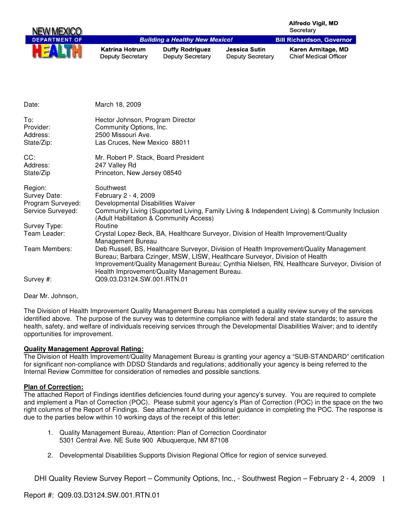|                                                                   |                                                                                      |                                                                                                                              |                                                 | <b>Alfredo Vigil, MD</b><br>Secretary                                                                                                                                                   |
|-------------------------------------------------------------------|--------------------------------------------------------------------------------------|------------------------------------------------------------------------------------------------------------------------------|-------------------------------------------------|-----------------------------------------------------------------------------------------------------------------------------------------------------------------------------------------|
| <b>DEPARTMENT OF</b>                                              |                                                                                      | <b>Building a Healthy New Mexico!</b>                                                                                        |                                                 | <b>Bill Richardson, Governor</b>                                                                                                                                                        |
|                                                                   | <b>Katrina Hotrum</b><br><b>Deputy Secretary</b>                                     | <b>Duffy Rodriguez</b><br><b>Deputy Secretary</b>                                                                            | <b>Jessica Sutin</b><br><b>Deputy Secretary</b> | Karen Armitage, MD<br><b>Chief Medical Officer</b>                                                                                                                                      |
|                                                                   |                                                                                      |                                                                                                                              |                                                 |                                                                                                                                                                                         |
| Date:                                                             | March 18, 2009                                                                       |                                                                                                                              |                                                 |                                                                                                                                                                                         |
| To:<br>Provider:<br>Address:                                      | Hector Johnson, Program Director<br>Community Options, Inc.<br>2500 Missouri Ave.    |                                                                                                                              |                                                 |                                                                                                                                                                                         |
| State/Zip:                                                        | Las Cruces, New Mexico 88011                                                         |                                                                                                                              |                                                 |                                                                                                                                                                                         |
| CC:<br>Address:<br>State/Zip                                      | Mr. Robert P. Stack, Board President<br>247 Valley Rd<br>Princeton, New Jersey 08540 |                                                                                                                              |                                                 |                                                                                                                                                                                         |
| Region:<br>Survey Date:<br>Program Surveyed:<br>Service Surveyed: | Southwest<br>February 2 - 4, 2009<br>Developmental Disabilities Waiver               | (Adult Habilitation & Community Access)                                                                                      |                                                 | Community Living (Supported Living, Family Living & Independent Living) & Community Inclusion                                                                                           |
| Survey Type:                                                      | Routine                                                                              |                                                                                                                              |                                                 |                                                                                                                                                                                         |
| Team Leader:                                                      | Management Bureau                                                                    |                                                                                                                              |                                                 | Crystal Lopez-Beck, BA, Healthcare Surveyor, Division of Health Improvement/Quality                                                                                                     |
| Team Members:                                                     |                                                                                      | Bureau; Barbara Czinger, MSW, LISW, Healthcare Surveyor, Division of Health<br>Health Improvement/Quality Management Bureau. |                                                 | Deb Russell, BS, Healthcare Surveyor, Division of Health Improvement/Quality Management<br>Improvement/Quality Management Bureau; Cynthia Nielsen, RN, Healthcare Surveyor, Division of |
| Survey #:                                                         | Q09.03.D3124.SW.001.RTN.01                                                           |                                                                                                                              |                                                 |                                                                                                                                                                                         |

Dear Mr. Johnson,

The Division of Health Improvement Quality Management Bureau has completed a quality review survey of the services identified above. The purpose of the survey was to determine compliance with federal and state standards; to assure the health, safety, and welfare of individuals receiving services through the Developmental Disabilities Waiver; and to identify opportunities for improvement.

#### **Quality Management Approval Rating:**

The Division of Health Improvement/Quality Management Bureau is granting your agency a "SUB-STANDARD" certification for significant non-compliance with DDSD Standards and regulations; additionally your agency is being referred to the Internal Review Committee for consideration of remedies and possible sanctions.

#### **Plan of Correction:**

The attached Report of Findings identifies deficiencies found during your agency's survey. You are required to complete and implement a Plan of Correction (POC). Please submit your agency's Plan of Correction (POC) in the space on the two right columns of the Report of Findings. See attachment A for additional guidance in completing the POC. The response is due to the parties below within 10 working days of the receipt of this letter:

- 1. Quality Management Bureau, Attention: Plan of Correction Coordinator 5301 Central Ave. NE Suite 900 Albuquerque, NM 87108
- 2. Developmental Disabilities Supports Division Regional Office for region of service surveyed.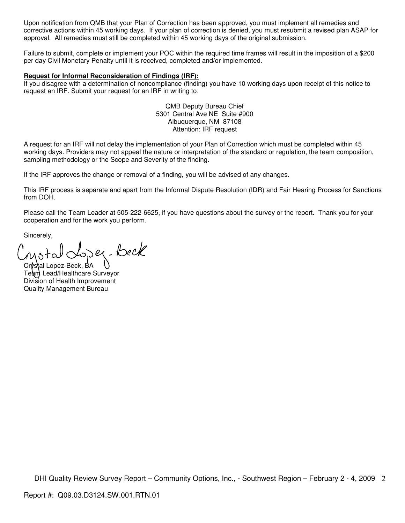Upon notification from QMB that your Plan of Correction has been approved, you must implement all remedies and corrective actions within 45 working days. If your plan of correction is denied, you must resubmit a revised plan ASAP for approval. All remedies must still be completed within 45 working days of the original submission.

Failure to submit, complete or implement your POC within the required time frames will result in the imposition of a \$200 per day Civil Monetary Penalty until it is received, completed and/or implemented.

#### **Request for Informal Reconsideration of Findings (IRF):**

If you disagree with a determination of noncompliance (finding) you have 10 working days upon receipt of this notice to request an IRF. Submit your request for an IRF in writing to:

> QMB Deputy Bureau Chief 5301 Central Ave NE Suite #900 Albuquerque, NM 87108 Attention: IRF request

A request for an IRF will not delay the implementation of your Plan of Correction which must be completed within 45 working days. Providers may not appeal the nature or interpretation of the standard or regulation, the team composition, sampling methodology or the Scope and Severity of the finding.

If the IRF approves the change or removal of a finding, you will be advised of any changes.

This IRF process is separate and apart from the Informal Dispute Resolution (IDR) and Fair Hearing Process for Sanctions from DOH.

Please call the Team Leader at 505-222-6625, if you have questions about the survey or the report. Thank you for your cooperation and for the work you perform.

Sincerely,

er-Beck

Crystal Lopez-Beck, BA Team Lead/Healthcare Surveyor Division of Health Improvement Quality Management Bureau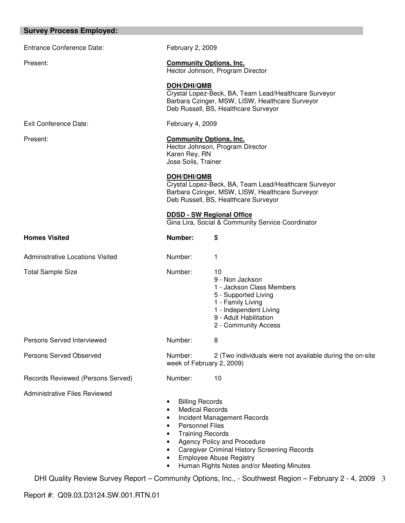| <b>Survey Process Employed:</b>         |                                                                                                            |                                                                                                                                                                             |
|-----------------------------------------|------------------------------------------------------------------------------------------------------------|-----------------------------------------------------------------------------------------------------------------------------------------------------------------------------|
| <b>Entrance Conference Date:</b>        | February 2, 2009                                                                                           |                                                                                                                                                                             |
| Present:                                | <b>Community Options, Inc.</b>                                                                             | Hector Johnson, Program Director                                                                                                                                            |
|                                         | DOH/DHI/QMB                                                                                                | Crystal Lopez-Beck, BA, Team Lead/Healthcare Surveyor<br>Barbara Czinger, MSW, LISW, Healthcare Surveyor<br>Deb Russell, BS, Healthcare Surveyor                            |
| Exit Conference Date:                   | February 4, 2009                                                                                           |                                                                                                                                                                             |
| Present:                                | <b>Community Options, Inc.</b><br>Hector Johnson, Program Director<br>Karen Rey, RN<br>Jose Solis, Trainer |                                                                                                                                                                             |
|                                         | DOH/DHI/QMB                                                                                                | Crystal Lopez-Beck, BA, Team Lead/Healthcare Surveyor<br>Barbara Czinger, MSW, LISW, Healthcare Surveyor<br>Deb Russell, BS, Healthcare Surveyor                            |
|                                         |                                                                                                            | <b>DDSD - SW Regional Office</b><br>Gina Lira, Social & Community Service Coordinator                                                                                       |
| <b>Homes Visited</b>                    | Number:                                                                                                    | 5                                                                                                                                                                           |
| <b>Administrative Locations Visited</b> | Number:                                                                                                    | 1                                                                                                                                                                           |
| <b>Total Sample Size</b>                | Number:                                                                                                    | 10<br>9 - Non Jackson<br>1 - Jackson Class Members<br>5 - Supported Living<br>1 - Family Living<br>1 - Independent Living<br>9 - Adult Habilitation<br>2 - Community Access |
| Persons Served Interviewed              | Number:                                                                                                    | 8                                                                                                                                                                           |
| Persons Served Observed                 | Number:<br>week of February 2, 2009)                                                                       | 2 (Two individuals were not available during the on-site                                                                                                                    |
| Records Reviewed (Persons Served)       | Number:                                                                                                    | 10                                                                                                                                                                          |
| <b>Administrative Files Reviewed</b>    | <b>Billing Records</b><br>٠<br><b>Medical Records</b><br><b>Personnel Files</b>                            | Incident Management Records                                                                                                                                                 |

- Training Records
- Agency Policy and Procedure
- Caregiver Criminal History Screening Records
- Employee Abuse Registry
- Human Rights Notes and/or Meeting Minutes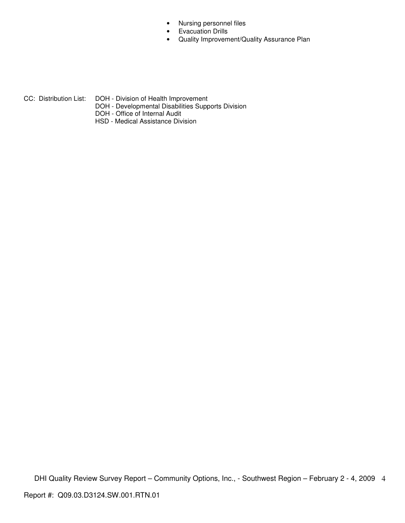- Nursing personnel files
- Evacuation Drills
- Quality Improvement/Quality Assurance Plan

- CC: Distribution List: DOH Division of Health Improvement
	- DOH Developmental Disabilities Supports Division
	- DOH Office of Internal Audit
	- HSD Medical Assistance Division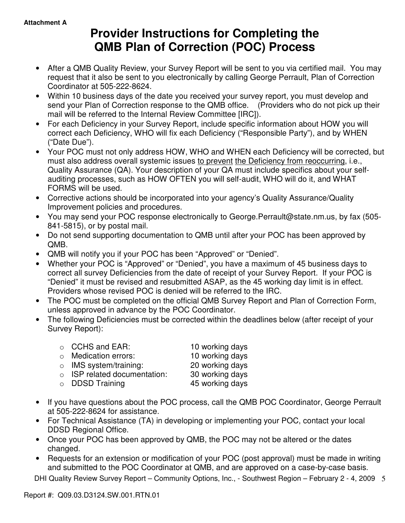# **Provider Instructions for Completing the QMB Plan of Correction (POC) Process**

- After a QMB Quality Review, your Survey Report will be sent to you via certified mail. You may request that it also be sent to you electronically by calling George Perrault, Plan of Correction Coordinator at 505-222-8624.
- Within 10 business days of the date you received your survey report, you must develop and send your Plan of Correction response to the QMB office. (Providers who do not pick up their mail will be referred to the Internal Review Committee [IRC]).
- For each Deficiency in your Survey Report, include specific information about HOW you will correct each Deficiency, WHO will fix each Deficiency ("Responsible Party"), and by WHEN ("Date Due").
- Your POC must not only address HOW, WHO and WHEN each Deficiency will be corrected, but must also address overall systemic issues to prevent the Deficiency from reoccurring, i.e., Quality Assurance (QA). Your description of your QA must include specifics about your selfauditing processes, such as HOW OFTEN you will self-audit, WHO will do it, and WHAT FORMS will be used.
- Corrective actions should be incorporated into your agency's Quality Assurance/Quality Improvement policies and procedures.
- You may send your POC response electronically to George.Perrault@state.nm.us, by fax (505- 841-5815), or by postal mail.
- Do not send supporting documentation to QMB until after your POC has been approved by QMB.
- QMB will notify you if your POC has been "Approved" or "Denied".
- Whether your POC is "Approved" or "Denied", you have a maximum of 45 business days to correct all survey Deficiencies from the date of receipt of your Survey Report. If your POC is "Denied" it must be revised and resubmitted ASAP, as the 45 working day limit is in effect. Providers whose revised POC is denied will be referred to the IRC.
- The POC must be completed on the official QMB Survey Report and Plan of Correction Form, unless approved in advance by the POC Coordinator.
- The following Deficiencies must be corrected within the deadlines below (after receipt of your Survey Report):

| $\circ$ CCHS and EAR:              | 10 working days |
|------------------------------------|-----------------|
| $\circ$ Medication errors:         | 10 working days |
| $\circ$ IMS system/training:       | 20 working days |
| $\circ$ ISP related documentation: | 30 working days |
| $\circ$ DDSD Training              | 45 working days |

- If you have questions about the POC process, call the QMB POC Coordinator, George Perrault at 505-222-8624 for assistance.
- For Technical Assistance (TA) in developing or implementing your POC, contact your local DDSD Regional Office.
- Once your POC has been approved by QMB, the POC may not be altered or the dates changed.
- Requests for an extension or modification of your POC (post approval) must be made in writing and submitted to the POC Coordinator at QMB, and are approved on a case-by-case basis.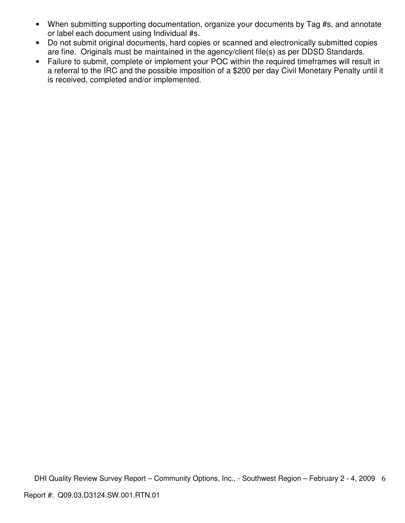- When submitting supporting documentation, organize your documents by Tag #s, and annotate or label each document using Individual #s.
- Do not submit original documents, hard copies or scanned and electronically submitted copies are fine. Originals must be maintained in the agency/client file(s) as per DDSD Standards.
- Failure to submit, complete or implement your POC within the required timeframes will result in a referral to the IRC and the possible imposition of a \$200 per day Civil Monetary Penalty until it is received, completed and/or implemented.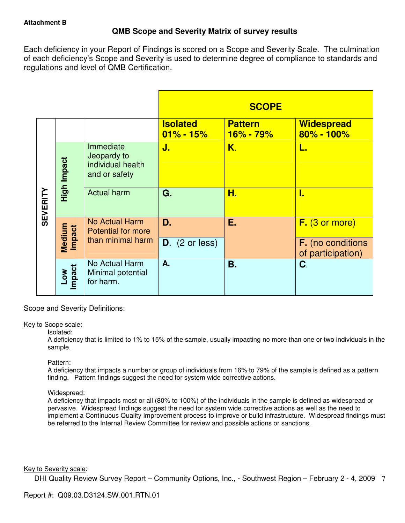# **QMB Scope and Severity Matrix of survey results**

Each deficiency in your Report of Findings is scored on a Scope and Severity Scale. The culmination of each deficiency's Scope and Severity is used to determine degree of compliance to standards and regulations and level of QMB Certification.

|                 |                            |                                                                |                                  | <b>SCOPE</b>                  |                                               |
|-----------------|----------------------------|----------------------------------------------------------------|----------------------------------|-------------------------------|-----------------------------------------------|
|                 |                            |                                                                | <b>Isolated</b><br>$01\% - 15\%$ | <b>Pattern</b><br>$16% - 79%$ | <b>Widespread</b><br>$80\% - 100\%$           |
| <b>SEVERITY</b> | High Impact                | Immediate<br>Jeopardy to<br>individual health<br>and or safety | J.                               | Κ.                            | L.                                            |
|                 |                            | <b>Actual harm</b>                                             | G.                               | Н.                            | I.                                            |
|                 | Medium<br><b>Impact</b>    | <b>No Actual Harm</b><br>Potential for more                    | D.                               | Е.                            | $F.$ (3 or more)                              |
|                 |                            | than minimal harm                                              | $D.$ (2 or less)                 |                               | <b>F.</b> (no conditions<br>of participation) |
|                 | Impact<br>$\sum_{i=1}^{N}$ | No Actual Harm<br>Minimal potential<br>for harm.               | А.                               | <b>B.</b>                     | C.                                            |

Scope and Severity Definitions:

#### Key to Scope scale:

#### Isolated:

A deficiency that is limited to 1% to 15% of the sample, usually impacting no more than one or two individuals in the sample.

#### Pattern:

A deficiency that impacts a number or group of individuals from 16% to 79% of the sample is defined as a pattern finding. Pattern findings suggest the need for system wide corrective actions.

# Widespread:

A deficiency that impacts most or all (80% to 100%) of the individuals in the sample is defined as widespread or pervasive. Widespread findings suggest the need for system wide corrective actions as well as the need to implement a Continuous Quality Improvement process to improve or build infrastructure. Widespread findings must be referred to the Internal Review Committee for review and possible actions or sanctions.

#### Key to Severity scale: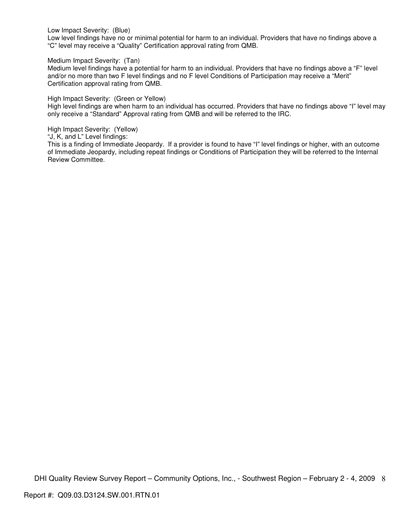Low Impact Severity: (Blue)

Low level findings have no or minimal potential for harm to an individual. Providers that have no findings above a "C" level may receive a "Quality" Certification approval rating from QMB.

Medium Impact Severity: (Tan)

Medium level findings have a potential for harm to an individual. Providers that have no findings above a "F" level and/or no more than two F level findings and no F level Conditions of Participation may receive a "Merit" Certification approval rating from QMB.

High Impact Severity: (Green or Yellow)

High level findings are when harm to an individual has occurred. Providers that have no findings above "I" level may only receive a "Standard" Approval rating from QMB and will be referred to the IRC.

High Impact Severity: (Yellow)

"J, K, and L" Level findings:

This is a finding of Immediate Jeopardy. If a provider is found to have "I" level findings or higher, with an outcome of Immediate Jeopardy, including repeat findings or Conditions of Participation they will be referred to the Internal Review Committee.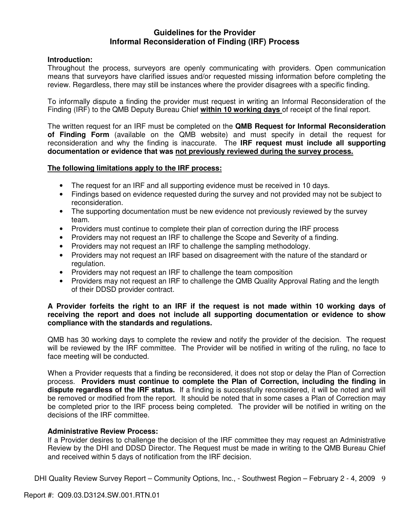# **Guidelines for the Provider Informal Reconsideration of Finding (IRF) Process**

# **Introduction:**

Throughout the process, surveyors are openly communicating with providers. Open communication means that surveyors have clarified issues and/or requested missing information before completing the review. Regardless, there may still be instances where the provider disagrees with a specific finding.

To informally dispute a finding the provider must request in writing an Informal Reconsideration of the Finding (IRF) to the QMB Deputy Bureau Chief **within 10 working days** of receipt of the final report.

The written request for an IRF must be completed on the **QMB Request for Informal Reconsideration of Finding Form** (available on the QMB website) and must specify in detail the request for reconsideration and why the finding is inaccurate. The **IRF request must include all supporting documentation or evidence that was not previously reviewed during the survey process.** 

## **The following limitations apply to the IRF process:**

- The request for an IRF and all supporting evidence must be received in 10 days.
- Findings based on evidence requested during the survey and not provided may not be subject to reconsideration.
- The supporting documentation must be new evidence not previously reviewed by the survey team.
- Providers must continue to complete their plan of correction during the IRF process
- Providers may not request an IRF to challenge the Scope and Severity of a finding.
- Providers may not request an IRF to challenge the sampling methodology.
- Providers may not request an IRF based on disagreement with the nature of the standard or regulation.
- Providers may not request an IRF to challenge the team composition
- Providers may not request an IRF to challenge the QMB Quality Approval Rating and the length of their DDSD provider contract.

## **A Provider forfeits the right to an IRF if the request is not made within 10 working days of receiving the report and does not include all supporting documentation or evidence to show compliance with the standards and regulations.**

QMB has 30 working days to complete the review and notify the provider of the decision. The request will be reviewed by the IRF committee. The Provider will be notified in writing of the ruling, no face to face meeting will be conducted.

When a Provider requests that a finding be reconsidered, it does not stop or delay the Plan of Correction process. **Providers must continue to complete the Plan of Correction, including the finding in dispute regardless of the IRF status.** If a finding is successfully reconsidered, it will be noted and will be removed or modified from the report. It should be noted that in some cases a Plan of Correction may be completed prior to the IRF process being completed. The provider will be notified in writing on the decisions of the IRF committee.

#### **Administrative Review Process:**

If a Provider desires to challenge the decision of the IRF committee they may request an Administrative Review by the DHI and DDSD Director. The Request must be made in writing to the QMB Bureau Chief and received within 5 days of notification from the IRF decision.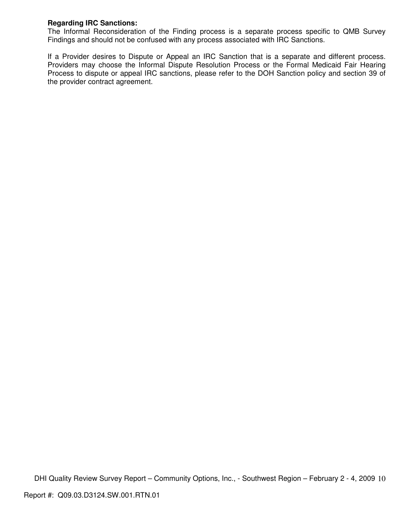# **Regarding IRC Sanctions:**

The Informal Reconsideration of the Finding process is a separate process specific to QMB Survey Findings and should not be confused with any process associated with IRC Sanctions.

If a Provider desires to Dispute or Appeal an IRC Sanction that is a separate and different process. Providers may choose the Informal Dispute Resolution Process or the Formal Medicaid Fair Hearing Process to dispute or appeal IRC sanctions, please refer to the DOH Sanction policy and section 39 of the provider contract agreement.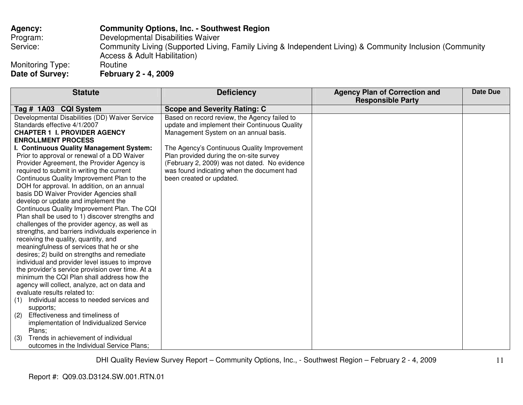# **Agency: Community Options, Inc. - Southwest Region** Program: Developmental Disabilities Waiver Service: Community Living (Supported Living, Family Living & Independent Living) & Community Inclusion (Community Access & Adult Habilitation)

Monitoring Type:<br>Date of Survey: **Date of Survey: February 2 - 4, 2009** 

| <b>Statute</b>                                                                                 | <b>Deficiency</b>                             | <b>Agency Plan of Correction and</b><br><b>Responsible Party</b> | Date Due |
|------------------------------------------------------------------------------------------------|-----------------------------------------------|------------------------------------------------------------------|----------|
| Tag # 1A03 CQI System                                                                          | <b>Scope and Severity Rating: C</b>           |                                                                  |          |
| Developmental Disabilities (DD) Waiver Service                                                 | Based on record review, the Agency failed to  |                                                                  |          |
| Standards effective 4/1/2007                                                                   | update and implement their Continuous Quality |                                                                  |          |
| <b>CHAPTER 1 I. PROVIDER AGENCY</b>                                                            | Management System on an annual basis.         |                                                                  |          |
| <b>ENROLLMENT PROCESS</b>                                                                      |                                               |                                                                  |          |
| I. Continuous Quality Management System:                                                       | The Agency's Continuous Quality Improvement   |                                                                  |          |
| Prior to approval or renewal of a DD Waiver                                                    | Plan provided during the on-site survey       |                                                                  |          |
| Provider Agreement, the Provider Agency is                                                     | (February 2, 2009) was not dated. No evidence |                                                                  |          |
| required to submit in writing the current                                                      | was found indicating when the document had    |                                                                  |          |
| Continuous Quality Improvement Plan to the                                                     | been created or updated.                      |                                                                  |          |
| DOH for approval. In addition, on an annual                                                    |                                               |                                                                  |          |
| basis DD Waiver Provider Agencies shall                                                        |                                               |                                                                  |          |
| develop or update and implement the                                                            |                                               |                                                                  |          |
| Continuous Quality Improvement Plan. The CQI                                                   |                                               |                                                                  |          |
| Plan shall be used to 1) discover strengths and                                                |                                               |                                                                  |          |
| challenges of the provider agency, as well as                                                  |                                               |                                                                  |          |
| strengths, and barriers individuals experience in                                              |                                               |                                                                  |          |
| receiving the quality, quantity, and                                                           |                                               |                                                                  |          |
| meaningfulness of services that he or she                                                      |                                               |                                                                  |          |
| desires; 2) build on strengths and remediate                                                   |                                               |                                                                  |          |
| individual and provider level issues to improve                                                |                                               |                                                                  |          |
| the provider's service provision over time. At a<br>minimum the CQI Plan shall address how the |                                               |                                                                  |          |
|                                                                                                |                                               |                                                                  |          |
| agency will collect, analyze, act on data and<br>evaluate results related to:                  |                                               |                                                                  |          |
| Individual access to needed services and<br>(1)                                                |                                               |                                                                  |          |
| supports;                                                                                      |                                               |                                                                  |          |
| Effectiveness and timeliness of<br>(2)                                                         |                                               |                                                                  |          |
| implementation of Individualized Service                                                       |                                               |                                                                  |          |
| Plans;                                                                                         |                                               |                                                                  |          |
| Trends in achievement of individual<br>(3)                                                     |                                               |                                                                  |          |
| outcomes in the Individual Service Plans;                                                      |                                               |                                                                  |          |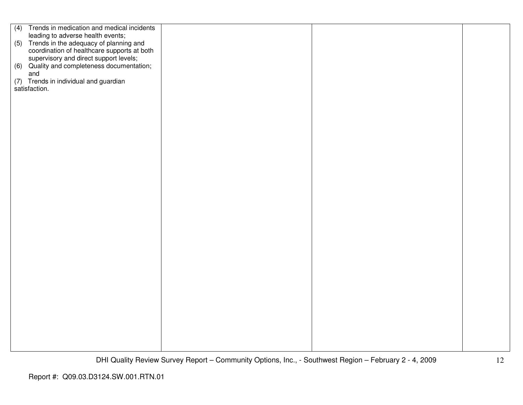| (4) Trends in medication and medical incidents                                                                                       |  |  |
|--------------------------------------------------------------------------------------------------------------------------------------|--|--|
| leading to adverse health events;                                                                                                    |  |  |
| (5) Trends in the adequacy of planning and                                                                                           |  |  |
|                                                                                                                                      |  |  |
|                                                                                                                                      |  |  |
| coordination of healthcare supports at both<br>supervisory and direct support levels;<br>(6) Quality and completeness documentation; |  |  |
| and                                                                                                                                  |  |  |
|                                                                                                                                      |  |  |
| (7) Trends in individual and guardian                                                                                                |  |  |
| satisfaction.                                                                                                                        |  |  |
|                                                                                                                                      |  |  |
|                                                                                                                                      |  |  |
|                                                                                                                                      |  |  |
|                                                                                                                                      |  |  |
|                                                                                                                                      |  |  |
|                                                                                                                                      |  |  |
|                                                                                                                                      |  |  |
|                                                                                                                                      |  |  |
|                                                                                                                                      |  |  |
|                                                                                                                                      |  |  |
|                                                                                                                                      |  |  |
|                                                                                                                                      |  |  |
|                                                                                                                                      |  |  |
|                                                                                                                                      |  |  |
|                                                                                                                                      |  |  |
|                                                                                                                                      |  |  |
|                                                                                                                                      |  |  |
|                                                                                                                                      |  |  |
|                                                                                                                                      |  |  |
|                                                                                                                                      |  |  |
|                                                                                                                                      |  |  |
|                                                                                                                                      |  |  |
|                                                                                                                                      |  |  |
|                                                                                                                                      |  |  |
|                                                                                                                                      |  |  |
|                                                                                                                                      |  |  |
|                                                                                                                                      |  |  |
|                                                                                                                                      |  |  |
|                                                                                                                                      |  |  |
|                                                                                                                                      |  |  |
|                                                                                                                                      |  |  |
|                                                                                                                                      |  |  |
|                                                                                                                                      |  |  |
|                                                                                                                                      |  |  |
|                                                                                                                                      |  |  |
|                                                                                                                                      |  |  |
|                                                                                                                                      |  |  |
|                                                                                                                                      |  |  |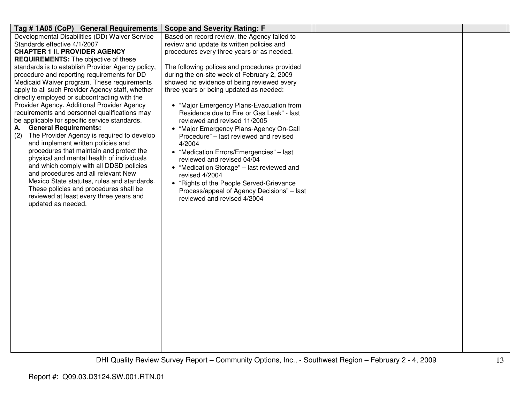| Tag #1A05 (CoP) General Requirements                                               | <b>Scope and Severity Rating: F</b>           |  |
|------------------------------------------------------------------------------------|-----------------------------------------------|--|
| Developmental Disabilities (DD) Waiver Service                                     | Based on record review, the Agency failed to  |  |
| Standards effective 4/1/2007                                                       | review and update its written policies and    |  |
| <b>CHAPTER 1 II. PROVIDER AGENCY</b>                                               | procedures every three years or as needed.    |  |
| <b>REQUIREMENTS:</b> The objective of these                                        |                                               |  |
| standards is to establish Provider Agency policy,                                  | The following polices and procedures provided |  |
| procedure and reporting requirements for DD                                        | during the on-site week of February 2, 2009   |  |
| Medicaid Waiver program. These requirements                                        | showed no evidence of being reviewed every    |  |
| apply to all such Provider Agency staff, whether                                   | three years or being updated as needed:       |  |
| directly employed or subcontracting with the                                       |                                               |  |
| Provider Agency. Additional Provider Agency                                        | • "Major Emergency Plans-Evacuation from      |  |
| requirements and personnel qualifications may                                      | Residence due to Fire or Gas Leak" - last     |  |
| be applicable for specific service standards.                                      | reviewed and revised 11/2005                  |  |
| <b>General Requirements:</b><br>А.                                                 | • "Major Emergency Plans-Agency On-Call       |  |
| The Provider Agency is required to develop<br>(2)                                  | Procedure" - last reviewed and revised        |  |
| and implement written policies and                                                 | 4/2004                                        |  |
| procedures that maintain and protect the                                           | • "Medication Errors/Emergencies" - last      |  |
| physical and mental health of individuals                                          | reviewed and revised 04/04                    |  |
| and which comply with all DDSD policies                                            | • "Medication Storage" - last reviewed and    |  |
| and procedures and all relevant New<br>Mexico State statutes, rules and standards. | revised 4/2004                                |  |
| These policies and procedures shall be                                             | • "Rights of the People Served-Grievance      |  |
| reviewed at least every three years and                                            | Process/appeal of Agency Decisions" - last    |  |
| updated as needed.                                                                 | reviewed and revised 4/2004                   |  |
|                                                                                    |                                               |  |
|                                                                                    |                                               |  |
|                                                                                    |                                               |  |
|                                                                                    |                                               |  |
|                                                                                    |                                               |  |
|                                                                                    |                                               |  |
|                                                                                    |                                               |  |
|                                                                                    |                                               |  |
|                                                                                    |                                               |  |
|                                                                                    |                                               |  |
|                                                                                    |                                               |  |
|                                                                                    |                                               |  |
|                                                                                    |                                               |  |
|                                                                                    |                                               |  |
|                                                                                    |                                               |  |
|                                                                                    |                                               |  |
|                                                                                    |                                               |  |
|                                                                                    |                                               |  |
|                                                                                    |                                               |  |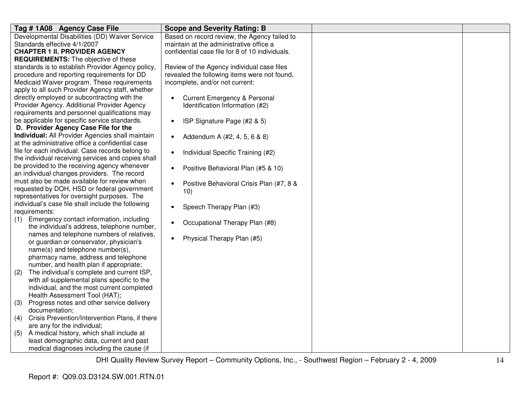| Tag #1A08 Agency Case File                                                                           | <b>Scope and Severity Rating: B</b>                   |  |
|------------------------------------------------------------------------------------------------------|-------------------------------------------------------|--|
| Developmental Disabilities (DD) Waiver Service                                                       | Based on record review, the Agency failed to          |  |
| Standards effective 4/1/2007                                                                         | maintain at the administrative office a               |  |
| <b>CHAPTER 1 II. PROVIDER AGENCY</b>                                                                 | confidential case file for 8 of 10 individuals.       |  |
| <b>REQUIREMENTS:</b> The objective of these                                                          |                                                       |  |
| standards is to establish Provider Agency policy,                                                    | Review of the Agency individual case files            |  |
| procedure and reporting requirements for DD                                                          | revealed the following items were not found,          |  |
| Medicaid Waiver program. These requirements                                                          | incomplete, and/or not current:                       |  |
| apply to all such Provider Agency staff, whether                                                     |                                                       |  |
| directly employed or subcontracting with the                                                         | <b>Current Emergency &amp; Personal</b><br>$\bullet$  |  |
| Provider Agency. Additional Provider Agency                                                          | Identification Information (#2)                       |  |
| requirements and personnel qualifications may                                                        |                                                       |  |
| be applicable for specific service standards.                                                        | ISP Signature Page (#2 & 5)<br>$\bullet$              |  |
| D. Provider Agency Case File for the                                                                 |                                                       |  |
| Individual: All Provider Agencies shall maintain<br>at the administrative office a confidential case | Addendum A (#2, 4, 5, 6 & 8)<br>$\bullet$             |  |
| file for each individual. Case records belong to                                                     |                                                       |  |
|                                                                                                      | Individual Specific Training (#2)<br>$\bullet$        |  |
| the individual receiving services and copies shall<br>be provided to the receiving agency whenever   |                                                       |  |
| an individual changes providers. The record                                                          | Positive Behavioral Plan (#5 & 10)<br>$\bullet$       |  |
| must also be made available for review when                                                          |                                                       |  |
| requested by DOH, HSD or federal government                                                          | Positive Behavioral Crisis Plan (#7, 8 &<br>$\bullet$ |  |
| representatives for oversight purposes. The                                                          | 10)                                                   |  |
| individual's case file shall include the following                                                   |                                                       |  |
| requirements:                                                                                        | Speech Therapy Plan (#3)<br>$\bullet$                 |  |
| Emergency contact information, including<br>(1)                                                      |                                                       |  |
| the individual's address, telephone number,                                                          | Occupational Therapy Plan (#8)<br>$\bullet$           |  |
| names and telephone numbers of relatives,                                                            |                                                       |  |
| or guardian or conservator, physician's                                                              | Physical Therapy Plan (#5)<br>$\bullet$               |  |
| name(s) and telephone number(s),                                                                     |                                                       |  |
| pharmacy name, address and telephone                                                                 |                                                       |  |
| number, and health plan if appropriate;                                                              |                                                       |  |
| The individual's complete and current ISP,<br>(2)                                                    |                                                       |  |
| with all supplemental plans specific to the                                                          |                                                       |  |
| individual, and the most current completed                                                           |                                                       |  |
| Health Assessment Tool (HAT);                                                                        |                                                       |  |
| Progress notes and other service delivery<br>(3)                                                     |                                                       |  |
| documentation;                                                                                       |                                                       |  |
| Crisis Prevention/Intervention Plans, if there<br>(4)                                                |                                                       |  |
| are any for the individual;                                                                          |                                                       |  |
| A medical history, which shall include at<br>(5)                                                     |                                                       |  |
| least demographic data, current and past                                                             |                                                       |  |
| medical diagnoses including the cause (if                                                            |                                                       |  |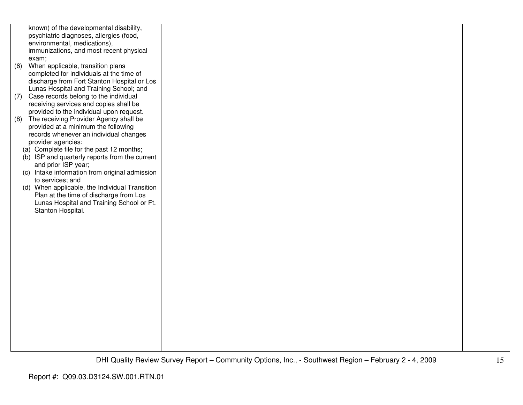|     | known) of the developmental disability,<br>psychiatric diagnoses, allergies (food,<br>environmental, medications),<br>immunizations, and most recent physical |  |  |
|-----|---------------------------------------------------------------------------------------------------------------------------------------------------------------|--|--|
| (6) | exam;<br>When applicable, transition plans<br>completed for individuals at the time of                                                                        |  |  |
|     | discharge from Fort Stanton Hospital or Los<br>Lunas Hospital and Training School; and                                                                        |  |  |
| (7) | Case records belong to the individual<br>receiving services and copies shall be                                                                               |  |  |
| (8) | provided to the individual upon request.<br>The receiving Provider Agency shall be<br>provided at a minimum the following                                     |  |  |
|     | records whenever an individual changes<br>provider agencies:                                                                                                  |  |  |
|     | (a) Complete file for the past 12 months;<br>(b) ISP and quarterly reports from the current                                                                   |  |  |
|     | and prior ISP year;<br>(c) Intake information from original admission                                                                                         |  |  |
|     | to services; and<br>(d) When applicable, the Individual Transition                                                                                            |  |  |
|     | Plan at the time of discharge from Los<br>Lunas Hospital and Training School or Ft.<br>Stanton Hospital.                                                      |  |  |
|     |                                                                                                                                                               |  |  |
|     |                                                                                                                                                               |  |  |
|     |                                                                                                                                                               |  |  |
|     |                                                                                                                                                               |  |  |
|     |                                                                                                                                                               |  |  |
|     |                                                                                                                                                               |  |  |
|     |                                                                                                                                                               |  |  |
|     |                                                                                                                                                               |  |  |
|     |                                                                                                                                                               |  |  |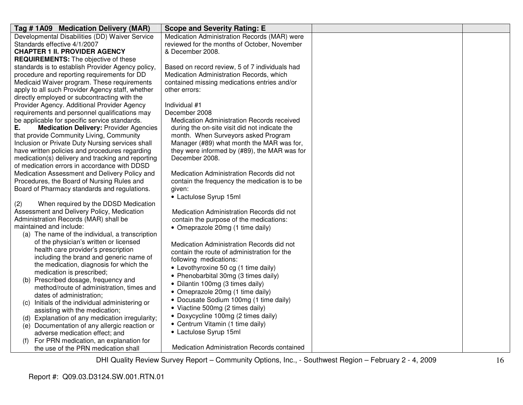| Tag #1A09 Medication Delivery (MAR)                              | <b>Scope and Severity Rating: E</b>            |  |
|------------------------------------------------------------------|------------------------------------------------|--|
| Developmental Disabilities (DD) Waiver Service                   | Medication Administration Records (MAR) were   |  |
| Standards effective 4/1/2007                                     | reviewed for the months of October, November   |  |
| <b>CHAPTER 1 II. PROVIDER AGENCY</b>                             | & December 2008.                               |  |
| <b>REQUIREMENTS:</b> The objective of these                      |                                                |  |
| standards is to establish Provider Agency policy,                | Based on record review, 5 of 7 individuals had |  |
| procedure and reporting requirements for DD                      | Medication Administration Records, which       |  |
| Medicaid Waiver program. These requirements                      | contained missing medications entries and/or   |  |
| apply to all such Provider Agency staff, whether                 | other errors:                                  |  |
| directly employed or subcontracting with the                     |                                                |  |
| Provider Agency. Additional Provider Agency                      | Individual #1                                  |  |
| requirements and personnel qualifications may                    | December 2008                                  |  |
| be applicable for specific service standards.                    | Medication Administration Records received     |  |
| <b>Medication Delivery: Provider Agencies</b><br>Е.              | during the on-site visit did not indicate the  |  |
| that provide Community Living, Community                         | month. When Surveyors asked Program            |  |
| Inclusion or Private Duty Nursing services shall                 | Manager (#89) what month the MAR was for,      |  |
| have written policies and procedures regarding                   | they were informed by (#89), the MAR was for   |  |
| medication(s) delivery and tracking and reporting                | December 2008.                                 |  |
| of medication errors in accordance with DDSD                     |                                                |  |
| Medication Assessment and Delivery Policy and                    | Medication Administration Records did not      |  |
| Procedures, the Board of Nursing Rules and                       | contain the frequency the medication is to be  |  |
| Board of Pharmacy standards and regulations.                     | given:                                         |  |
|                                                                  | • Lactulose Syrup 15ml                         |  |
| (2)<br>When required by the DDSD Medication                      |                                                |  |
| Assessment and Delivery Policy, Medication                       | Medication Administration Records did not      |  |
| Administration Records (MAR) shall be<br>maintained and include: | contain the purpose of the medications:        |  |
| (a) The name of the individual, a transcription                  | • Omeprazole 20mg (1 time daily)               |  |
| of the physician's written or licensed                           |                                                |  |
| health care provider's prescription                              | Medication Administration Records did not      |  |
| including the brand and generic name of                          | contain the route of administration for the    |  |
| the medication, diagnosis for which the                          | following medications:                         |  |
| medication is prescribed;                                        | • Levothyroxine 50 cg (1 time daily)           |  |
| (b) Prescribed dosage, frequency and                             | • Phenobarbital 30mg (3 times daily)           |  |
| method/route of administration, times and                        | • Dilantin 100mg (3 times daily)               |  |
| dates of administration;                                         | • Omeprazole 20mg (1 time daily)               |  |
| Initials of the individual administering or<br>(C)               | • Docusate Sodium 100mg (1 time daily)         |  |
| assisting with the medication;                                   | • Viactine 500mg (2 times daily)               |  |
| (d) Explanation of any medication irregularity;                  | • Doxycycline 100mg (2 times daily)            |  |
| (e) Documentation of any allergic reaction or                    | • Centrum Vitamin (1 time daily)               |  |
| adverse medication effect; and                                   | • Lactulose Syrup 15ml                         |  |
| For PRN medication, an explanation for                           |                                                |  |
| the use of the PRN medication shall                              | Medication Administration Records contained    |  |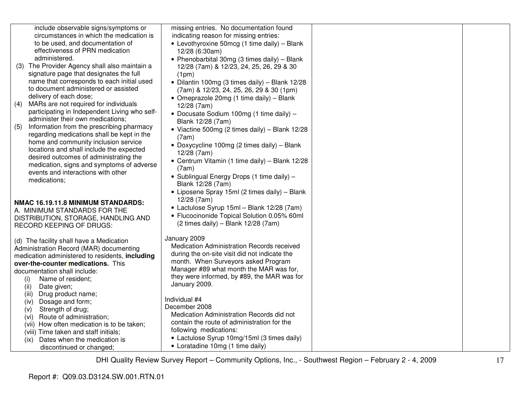| include observable signs/symptoms or<br>circumstances in which the medication is<br>to be used, and documentation of | missing entries. No documentation found<br>indicating reason for missing entries:<br>• Levothyroxine 50mcg (1 time daily) - Blank |  |
|----------------------------------------------------------------------------------------------------------------------|-----------------------------------------------------------------------------------------------------------------------------------|--|
| effectiveness of PRN medication<br>administered.                                                                     | 12/28 (6:30am)<br>• Phenobarbital 30mg (3 times daily) - Blank                                                                    |  |
| (3) The Provider Agency shall also maintain a<br>signature page that designates the full                             | 12/28 (7am) & 12/23, 24, 25, 26, 29 & 30<br>(1pm)                                                                                 |  |
| name that corresponds to each initial used<br>to document administered or assisted                                   | • Dilantin 100mg (3 times daily) - Blank 12/28<br>(7am) & 12/23, 24, 25, 26, 29 & 30 (1pm)                                        |  |
| delivery of each dose;<br>MARs are not required for individuals<br>(4)                                               | • Omeprazole 20mg (1 time daily) – Blank                                                                                          |  |
| participating in Independent Living who self-                                                                        | 12/28 (7am)<br>· Docusate Sodium 100mg (1 time daily) -                                                                           |  |
| administer their own medications;<br>Information from the prescribing pharmacy<br>(5)                                | Blank 12/28 (7am)<br>• Viactine 500mg (2 times daily) - Blank 12/28                                                               |  |
| regarding medications shall be kept in the<br>home and community inclusion service                                   | (7am)<br>• Doxycycline 100mg (2 times daily) - Blank                                                                              |  |
| locations and shall include the expected<br>desired outcomes of administrating the                                   | 12/28 (7am)                                                                                                                       |  |
| medication, signs and symptoms of adverse<br>events and interactions with other                                      | • Centrum Vitamin (1 time daily) - Blank 12/28<br>(7am)                                                                           |  |
| medications;                                                                                                         | • Sublingual Energy Drops (1 time daily) -<br>Blank 12/28 (7am)                                                                   |  |
|                                                                                                                      | • Liposene Spray 15ml (2 times daily) - Blank<br>12/28 (7am)                                                                      |  |
| NMAC 16.19.11.8 MINIMUM STANDARDS:<br>A. MINIMUM STANDARDS FOR THE                                                   | • Lactulose Syrup 15ml - Blank 12/28 (7am)<br>• Flucocinonide Topical Solution 0.05% 60ml                                         |  |
| DISTRIBUTION, STORAGE, HANDLING AND<br><b>RECORD KEEPING OF DRUGS:</b>                                               | $(2 \text{ times daily}) - \text{Blank } 12/28$ (7am)                                                                             |  |
| (d) The facility shall have a Medication                                                                             | January 2009                                                                                                                      |  |
| Administration Record (MAR) documenting<br>medication administered to residents, including                           | Medication Administration Records received<br>during the on-site visit did not indicate the                                       |  |
| over-the-counter medications. This<br>documentation shall include:                                                   | month. When Surveyors asked Program<br>Manager #89 what month the MAR was for,                                                    |  |
| Name of resident;<br>(i)                                                                                             | they were informed, by #89, the MAR was for<br>January 2009.                                                                      |  |
| (ii)<br>Date given;<br>Drug product name;<br>(iii)                                                                   | Individual #4                                                                                                                     |  |
| Dosage and form;<br>(iv)<br>Strength of drug;<br>(v)                                                                 | December 2008                                                                                                                     |  |
| Route of administration;<br>(vi)                                                                                     | Medication Administration Records did not                                                                                         |  |
| (vii) How often medication is to be taken;                                                                           | contain the route of administration for the<br>following medications:                                                             |  |
| (viii) Time taken and staff initials;<br>Dates when the medication is<br>(ix)                                        | • Lactulose Syrup 10mg/15ml (3 times daily)                                                                                       |  |
| discontinued or changed;                                                                                             | • Loratadine 10mg (1 time daily)                                                                                                  |  |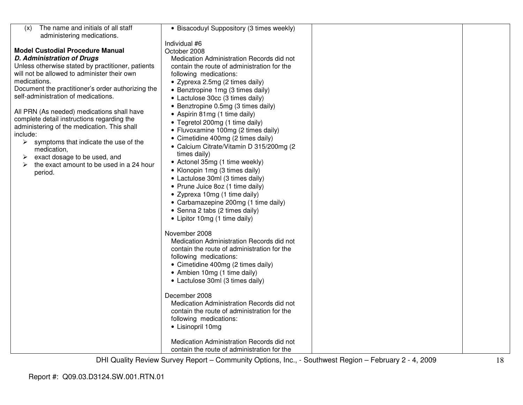| The name and initials of all staff<br>(x)                                                | • Bisacoduyl Suppository (3 times weekly)                  |  |
|------------------------------------------------------------------------------------------|------------------------------------------------------------|--|
| administering medications.                                                               |                                                            |  |
|                                                                                          | Individual #6                                              |  |
| <b>Model Custodial Procedure Manual</b>                                                  | October 2008                                               |  |
| <b>D. Administration of Drugs</b>                                                        | Medication Administration Records did not                  |  |
| Unless otherwise stated by practitioner, patients                                        | contain the route of administration for the                |  |
| will not be allowed to administer their own                                              | following medications:                                     |  |
| medications.                                                                             | • Zyprexa 2.5mg (2 times daily)                            |  |
| Document the practitioner's order authorizing the                                        | • Benztropine 1mg (3 times daily)                          |  |
| self-administration of medications.                                                      | • Lactulose 30cc (3 times daily)                           |  |
|                                                                                          | • Benztropine 0.5mg (3 times daily)                        |  |
| All PRN (As needed) medications shall have<br>complete detail instructions regarding the | • Aspirin 81mg (1 time daily)                              |  |
| administering of the medication. This shall                                              | • Tegretol 200mg (1 time daily)                            |  |
| include:                                                                                 | • Fluvoxamine 100mg (2 times daily)                        |  |
| $\triangleright$ symptoms that indicate the use of the                                   | • Cimetidine 400mg (2 times daily)                         |  |
| medication,                                                                              | • Calcium Citrate/Vitamin D 315/200mg (2                   |  |
| exact dosage to be used, and<br>➤                                                        | times daily)                                               |  |
| the exact amount to be used in a 24 hour<br>⋗                                            | • Actonel 35mg (1 time weekly)                             |  |
| period.                                                                                  | • Klonopin 1mg (3 times daily)                             |  |
|                                                                                          | • Lactulose 30ml (3 times daily)                           |  |
|                                                                                          | • Prune Juice 8oz (1 time daily)                           |  |
|                                                                                          | • Zyprexa 10mg (1 time daily)                              |  |
|                                                                                          | • Carbamazepine 200mg (1 time daily)                       |  |
|                                                                                          | • Senna 2 tabs (2 times daily)                             |  |
|                                                                                          | • Lipitor 10mg (1 time daily)                              |  |
|                                                                                          |                                                            |  |
|                                                                                          | November 2008<br>Medication Administration Records did not |  |
|                                                                                          | contain the route of administration for the                |  |
|                                                                                          | following medications:                                     |  |
|                                                                                          | • Cimetidine 400mg (2 times daily)                         |  |
|                                                                                          | • Ambien 10mg (1 time daily)                               |  |
|                                                                                          | • Lactulose 30ml (3 times daily)                           |  |
|                                                                                          |                                                            |  |
|                                                                                          | December 2008                                              |  |
|                                                                                          | Medication Administration Records did not                  |  |
|                                                                                          | contain the route of administration for the                |  |
|                                                                                          | following medications:                                     |  |
|                                                                                          | • Lisinopril 10mg                                          |  |
|                                                                                          |                                                            |  |
|                                                                                          | Medication Administration Records did not                  |  |
|                                                                                          | contain the route of administration for the                |  |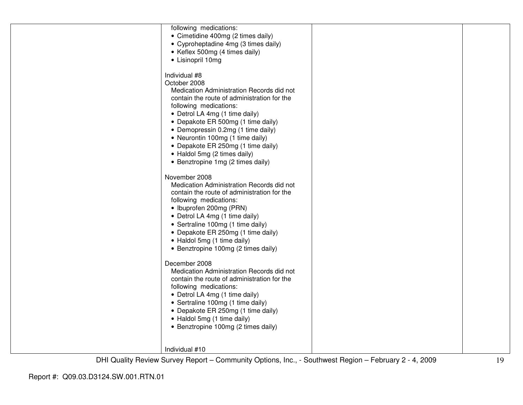| following medications:<br>• Cimetidine 400mg (2 times daily)<br>• Cyproheptadine 4mg (3 times daily)<br>• Keflex 500mg (4 times daily)<br>• Lisinopril 10mg                                                                                                                                                                                                                                                      |  |
|------------------------------------------------------------------------------------------------------------------------------------------------------------------------------------------------------------------------------------------------------------------------------------------------------------------------------------------------------------------------------------------------------------------|--|
| Individual #8<br>October 2008<br>Medication Administration Records did not<br>contain the route of administration for the<br>following medications:<br>• Detrol LA 4mg (1 time daily)<br>• Depakote ER 500mg (1 time daily)<br>• Demopressin 0.2mg (1 time daily)<br>• Neurontin 100mg (1 time daily)<br>• Depakote ER 250mg (1 time daily)<br>• Haldol 5mg (2 times daily)<br>• Benztropine 1mg (2 times daily) |  |
| November 2008<br>Medication Administration Records did not<br>contain the route of administration for the<br>following medications:<br>• Ibuprofen 200mg (PRN)<br>• Detrol LA 4mg (1 time daily)<br>• Sertraline 100mg (1 time daily)<br>• Depakote ER 250mg (1 time daily)<br>• Haldol 5mg (1 time daily)<br>• Benztropine 100mg (2 times daily)                                                                |  |
| December 2008<br>Medication Administration Records did not<br>contain the route of administration for the<br>following medications:<br>• Detrol LA 4mg (1 time daily)<br>• Sertraline 100mg (1 time daily)<br>• Depakote ER 250mg (1 time daily)<br>• Haldol 5mg (1 time daily)<br>• Benztropine 100mg (2 times daily)                                                                                           |  |
| Individual #10                                                                                                                                                                                                                                                                                                                                                                                                   |  |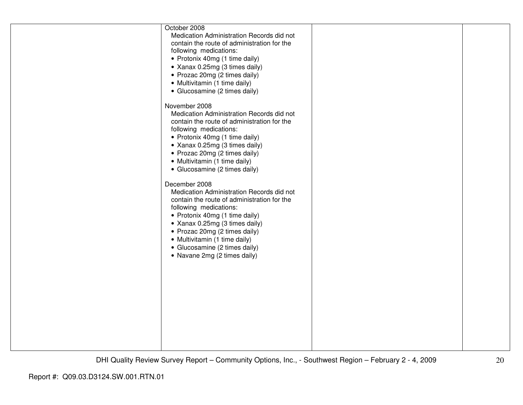| October 2008<br>Medication Administration Records did not<br>contain the route of administration for the<br>following medications:<br>• Protonix 40mg (1 time daily)<br>• Xanax 0.25mg (3 times daily)<br>• Prozac 20mg (2 times daily)<br>• Multivitamin (1 time daily)<br>• Glucosamine (2 times daily)<br>November 2008                 |  |
|--------------------------------------------------------------------------------------------------------------------------------------------------------------------------------------------------------------------------------------------------------------------------------------------------------------------------------------------|--|
| Medication Administration Records did not<br>contain the route of administration for the<br>following medications:<br>• Protonix 40mg (1 time daily)<br>• Xanax 0.25mg (3 times daily)<br>• Prozac 20mg (2 times daily)<br>• Multivitamin (1 time daily)<br>• Glucosamine (2 times daily)                                                  |  |
| December 2008<br>Medication Administration Records did not<br>contain the route of administration for the<br>following medications:<br>• Protonix 40mg (1 time daily)<br>• Xanax 0.25mg (3 times daily)<br>• Prozac 20mg (2 times daily)<br>• Multivitamin (1 time daily)<br>• Glucosamine (2 times daily)<br>• Navane 2mg (2 times daily) |  |
|                                                                                                                                                                                                                                                                                                                                            |  |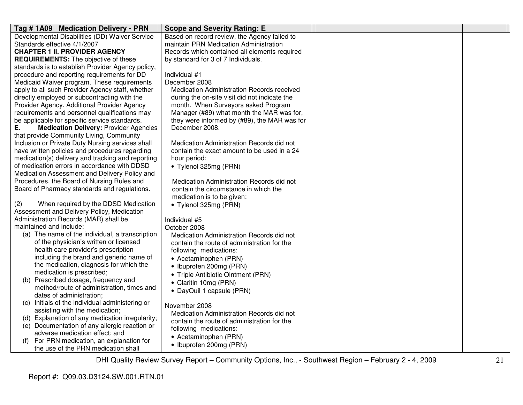|                                                                                                                                                                                                                                                                                                                                                                                                                                                                                                                                                                                                                                                                                                                                                                                                                                                                                                                                                                                                                                                                                                                                                                 | Tag #1A09 Medication Delivery - PRN                                                                                                                                                                                                                                                                                                                                                                                                                                                                                                                                                                                                                                                                                                                                                                                                                                                                                                                                                                                                                                                                                                                                                                                                                                                                                                                                                                                                                                                                                                                                                                                                                                                                                                                                                                                     |
|-----------------------------------------------------------------------------------------------------------------------------------------------------------------------------------------------------------------------------------------------------------------------------------------------------------------------------------------------------------------------------------------------------------------------------------------------------------------------------------------------------------------------------------------------------------------------------------------------------------------------------------------------------------------------------------------------------------------------------------------------------------------------------------------------------------------------------------------------------------------------------------------------------------------------------------------------------------------------------------------------------------------------------------------------------------------------------------------------------------------------------------------------------------------|-------------------------------------------------------------------------------------------------------------------------------------------------------------------------------------------------------------------------------------------------------------------------------------------------------------------------------------------------------------------------------------------------------------------------------------------------------------------------------------------------------------------------------------------------------------------------------------------------------------------------------------------------------------------------------------------------------------------------------------------------------------------------------------------------------------------------------------------------------------------------------------------------------------------------------------------------------------------------------------------------------------------------------------------------------------------------------------------------------------------------------------------------------------------------------------------------------------------------------------------------------------------------------------------------------------------------------------------------------------------------------------------------------------------------------------------------------------------------------------------------------------------------------------------------------------------------------------------------------------------------------------------------------------------------------------------------------------------------------------------------------------------------------------------------------------------------|
| Based on record review, the Agency failed to                                                                                                                                                                                                                                                                                                                                                                                                                                                                                                                                                                                                                                                                                                                                                                                                                                                                                                                                                                                                                                                                                                                    | Developmental Disabilities (DD) Waiver Service                                                                                                                                                                                                                                                                                                                                                                                                                                                                                                                                                                                                                                                                                                                                                                                                                                                                                                                                                                                                                                                                                                                                                                                                                                                                                                                                                                                                                                                                                                                                                                                                                                                                                                                                                                          |
| maintain PRN Medication Administration                                                                                                                                                                                                                                                                                                                                                                                                                                                                                                                                                                                                                                                                                                                                                                                                                                                                                                                                                                                                                                                                                                                          | Standards effective 4/1/2007                                                                                                                                                                                                                                                                                                                                                                                                                                                                                                                                                                                                                                                                                                                                                                                                                                                                                                                                                                                                                                                                                                                                                                                                                                                                                                                                                                                                                                                                                                                                                                                                                                                                                                                                                                                            |
|                                                                                                                                                                                                                                                                                                                                                                                                                                                                                                                                                                                                                                                                                                                                                                                                                                                                                                                                                                                                                                                                                                                                                                 |                                                                                                                                                                                                                                                                                                                                                                                                                                                                                                                                                                                                                                                                                                                                                                                                                                                                                                                                                                                                                                                                                                                                                                                                                                                                                                                                                                                                                                                                                                                                                                                                                                                                                                                                                                                                                         |
|                                                                                                                                                                                                                                                                                                                                                                                                                                                                                                                                                                                                                                                                                                                                                                                                                                                                                                                                                                                                                                                                                                                                                                 |                                                                                                                                                                                                                                                                                                                                                                                                                                                                                                                                                                                                                                                                                                                                                                                                                                                                                                                                                                                                                                                                                                                                                                                                                                                                                                                                                                                                                                                                                                                                                                                                                                                                                                                                                                                                                         |
|                                                                                                                                                                                                                                                                                                                                                                                                                                                                                                                                                                                                                                                                                                                                                                                                                                                                                                                                                                                                                                                                                                                                                                 |                                                                                                                                                                                                                                                                                                                                                                                                                                                                                                                                                                                                                                                                                                                                                                                                                                                                                                                                                                                                                                                                                                                                                                                                                                                                                                                                                                                                                                                                                                                                                                                                                                                                                                                                                                                                                         |
|                                                                                                                                                                                                                                                                                                                                                                                                                                                                                                                                                                                                                                                                                                                                                                                                                                                                                                                                                                                                                                                                                                                                                                 |                                                                                                                                                                                                                                                                                                                                                                                                                                                                                                                                                                                                                                                                                                                                                                                                                                                                                                                                                                                                                                                                                                                                                                                                                                                                                                                                                                                                                                                                                                                                                                                                                                                                                                                                                                                                                         |
|                                                                                                                                                                                                                                                                                                                                                                                                                                                                                                                                                                                                                                                                                                                                                                                                                                                                                                                                                                                                                                                                                                                                                                 |                                                                                                                                                                                                                                                                                                                                                                                                                                                                                                                                                                                                                                                                                                                                                                                                                                                                                                                                                                                                                                                                                                                                                                                                                                                                                                                                                                                                                                                                                                                                                                                                                                                                                                                                                                                                                         |
|                                                                                                                                                                                                                                                                                                                                                                                                                                                                                                                                                                                                                                                                                                                                                                                                                                                                                                                                                                                                                                                                                                                                                                 |                                                                                                                                                                                                                                                                                                                                                                                                                                                                                                                                                                                                                                                                                                                                                                                                                                                                                                                                                                                                                                                                                                                                                                                                                                                                                                                                                                                                                                                                                                                                                                                                                                                                                                                                                                                                                         |
|                                                                                                                                                                                                                                                                                                                                                                                                                                                                                                                                                                                                                                                                                                                                                                                                                                                                                                                                                                                                                                                                                                                                                                 |                                                                                                                                                                                                                                                                                                                                                                                                                                                                                                                                                                                                                                                                                                                                                                                                                                                                                                                                                                                                                                                                                                                                                                                                                                                                                                                                                                                                                                                                                                                                                                                                                                                                                                                                                                                                                         |
|                                                                                                                                                                                                                                                                                                                                                                                                                                                                                                                                                                                                                                                                                                                                                                                                                                                                                                                                                                                                                                                                                                                                                                 |                                                                                                                                                                                                                                                                                                                                                                                                                                                                                                                                                                                                                                                                                                                                                                                                                                                                                                                                                                                                                                                                                                                                                                                                                                                                                                                                                                                                                                                                                                                                                                                                                                                                                                                                                                                                                         |
|                                                                                                                                                                                                                                                                                                                                                                                                                                                                                                                                                                                                                                                                                                                                                                                                                                                                                                                                                                                                                                                                                                                                                                 |                                                                                                                                                                                                                                                                                                                                                                                                                                                                                                                                                                                                                                                                                                                                                                                                                                                                                                                                                                                                                                                                                                                                                                                                                                                                                                                                                                                                                                                                                                                                                                                                                                                                                                                                                                                                                         |
|                                                                                                                                                                                                                                                                                                                                                                                                                                                                                                                                                                                                                                                                                                                                                                                                                                                                                                                                                                                                                                                                                                                                                                 |                                                                                                                                                                                                                                                                                                                                                                                                                                                                                                                                                                                                                                                                                                                                                                                                                                                                                                                                                                                                                                                                                                                                                                                                                                                                                                                                                                                                                                                                                                                                                                                                                                                                                                                                                                                                                         |
|                                                                                                                                                                                                                                                                                                                                                                                                                                                                                                                                                                                                                                                                                                                                                                                                                                                                                                                                                                                                                                                                                                                                                                 |                                                                                                                                                                                                                                                                                                                                                                                                                                                                                                                                                                                                                                                                                                                                                                                                                                                                                                                                                                                                                                                                                                                                                                                                                                                                                                                                                                                                                                                                                                                                                                                                                                                                                                                                                                                                                         |
|                                                                                                                                                                                                                                                                                                                                                                                                                                                                                                                                                                                                                                                                                                                                                                                                                                                                                                                                                                                                                                                                                                                                                                 |                                                                                                                                                                                                                                                                                                                                                                                                                                                                                                                                                                                                                                                                                                                                                                                                                                                                                                                                                                                                                                                                                                                                                                                                                                                                                                                                                                                                                                                                                                                                                                                                                                                                                                                                                                                                                         |
|                                                                                                                                                                                                                                                                                                                                                                                                                                                                                                                                                                                                                                                                                                                                                                                                                                                                                                                                                                                                                                                                                                                                                                 |                                                                                                                                                                                                                                                                                                                                                                                                                                                                                                                                                                                                                                                                                                                                                                                                                                                                                                                                                                                                                                                                                                                                                                                                                                                                                                                                                                                                                                                                                                                                                                                                                                                                                                                                                                                                                         |
|                                                                                                                                                                                                                                                                                                                                                                                                                                                                                                                                                                                                                                                                                                                                                                                                                                                                                                                                                                                                                                                                                                                                                                 |                                                                                                                                                                                                                                                                                                                                                                                                                                                                                                                                                                                                                                                                                                                                                                                                                                                                                                                                                                                                                                                                                                                                                                                                                                                                                                                                                                                                                                                                                                                                                                                                                                                                                                                                                                                                                         |
|                                                                                                                                                                                                                                                                                                                                                                                                                                                                                                                                                                                                                                                                                                                                                                                                                                                                                                                                                                                                                                                                                                                                                                 |                                                                                                                                                                                                                                                                                                                                                                                                                                                                                                                                                                                                                                                                                                                                                                                                                                                                                                                                                                                                                                                                                                                                                                                                                                                                                                                                                                                                                                                                                                                                                                                                                                                                                                                                                                                                                         |
|                                                                                                                                                                                                                                                                                                                                                                                                                                                                                                                                                                                                                                                                                                                                                                                                                                                                                                                                                                                                                                                                                                                                                                 |                                                                                                                                                                                                                                                                                                                                                                                                                                                                                                                                                                                                                                                                                                                                                                                                                                                                                                                                                                                                                                                                                                                                                                                                                                                                                                                                                                                                                                                                                                                                                                                                                                                                                                                                                                                                                         |
|                                                                                                                                                                                                                                                                                                                                                                                                                                                                                                                                                                                                                                                                                                                                                                                                                                                                                                                                                                                                                                                                                                                                                                 |                                                                                                                                                                                                                                                                                                                                                                                                                                                                                                                                                                                                                                                                                                                                                                                                                                                                                                                                                                                                                                                                                                                                                                                                                                                                                                                                                                                                                                                                                                                                                                                                                                                                                                                                                                                                                         |
|                                                                                                                                                                                                                                                                                                                                                                                                                                                                                                                                                                                                                                                                                                                                                                                                                                                                                                                                                                                                                                                                                                                                                                 |                                                                                                                                                                                                                                                                                                                                                                                                                                                                                                                                                                                                                                                                                                                                                                                                                                                                                                                                                                                                                                                                                                                                                                                                                                                                                                                                                                                                                                                                                                                                                                                                                                                                                                                                                                                                                         |
|                                                                                                                                                                                                                                                                                                                                                                                                                                                                                                                                                                                                                                                                                                                                                                                                                                                                                                                                                                                                                                                                                                                                                                 |                                                                                                                                                                                                                                                                                                                                                                                                                                                                                                                                                                                                                                                                                                                                                                                                                                                                                                                                                                                                                                                                                                                                                                                                                                                                                                                                                                                                                                                                                                                                                                                                                                                                                                                                                                                                                         |
|                                                                                                                                                                                                                                                                                                                                                                                                                                                                                                                                                                                                                                                                                                                                                                                                                                                                                                                                                                                                                                                                                                                                                                 |                                                                                                                                                                                                                                                                                                                                                                                                                                                                                                                                                                                                                                                                                                                                                                                                                                                                                                                                                                                                                                                                                                                                                                                                                                                                                                                                                                                                                                                                                                                                                                                                                                                                                                                                                                                                                         |
|                                                                                                                                                                                                                                                                                                                                                                                                                                                                                                                                                                                                                                                                                                                                                                                                                                                                                                                                                                                                                                                                                                                                                                 |                                                                                                                                                                                                                                                                                                                                                                                                                                                                                                                                                                                                                                                                                                                                                                                                                                                                                                                                                                                                                                                                                                                                                                                                                                                                                                                                                                                                                                                                                                                                                                                                                                                                                                                                                                                                                         |
|                                                                                                                                                                                                                                                                                                                                                                                                                                                                                                                                                                                                                                                                                                                                                                                                                                                                                                                                                                                                                                                                                                                                                                 |                                                                                                                                                                                                                                                                                                                                                                                                                                                                                                                                                                                                                                                                                                                                                                                                                                                                                                                                                                                                                                                                                                                                                                                                                                                                                                                                                                                                                                                                                                                                                                                                                                                                                                                                                                                                                         |
|                                                                                                                                                                                                                                                                                                                                                                                                                                                                                                                                                                                                                                                                                                                                                                                                                                                                                                                                                                                                                                                                                                                                                                 |                                                                                                                                                                                                                                                                                                                                                                                                                                                                                                                                                                                                                                                                                                                                                                                                                                                                                                                                                                                                                                                                                                                                                                                                                                                                                                                                                                                                                                                                                                                                                                                                                                                                                                                                                                                                                         |
|                                                                                                                                                                                                                                                                                                                                                                                                                                                                                                                                                                                                                                                                                                                                                                                                                                                                                                                                                                                                                                                                                                                                                                 |                                                                                                                                                                                                                                                                                                                                                                                                                                                                                                                                                                                                                                                                                                                                                                                                                                                                                                                                                                                                                                                                                                                                                                                                                                                                                                                                                                                                                                                                                                                                                                                                                                                                                                                                                                                                                         |
|                                                                                                                                                                                                                                                                                                                                                                                                                                                                                                                                                                                                                                                                                                                                                                                                                                                                                                                                                                                                                                                                                                                                                                 |                                                                                                                                                                                                                                                                                                                                                                                                                                                                                                                                                                                                                                                                                                                                                                                                                                                                                                                                                                                                                                                                                                                                                                                                                                                                                                                                                                                                                                                                                                                                                                                                                                                                                                                                                                                                                         |
|                                                                                                                                                                                                                                                                                                                                                                                                                                                                                                                                                                                                                                                                                                                                                                                                                                                                                                                                                                                                                                                                                                                                                                 |                                                                                                                                                                                                                                                                                                                                                                                                                                                                                                                                                                                                                                                                                                                                                                                                                                                                                                                                                                                                                                                                                                                                                                                                                                                                                                                                                                                                                                                                                                                                                                                                                                                                                                                                                                                                                         |
|                                                                                                                                                                                                                                                                                                                                                                                                                                                                                                                                                                                                                                                                                                                                                                                                                                                                                                                                                                                                                                                                                                                                                                 |                                                                                                                                                                                                                                                                                                                                                                                                                                                                                                                                                                                                                                                                                                                                                                                                                                                                                                                                                                                                                                                                                                                                                                                                                                                                                                                                                                                                                                                                                                                                                                                                                                                                                                                                                                                                                         |
|                                                                                                                                                                                                                                                                                                                                                                                                                                                                                                                                                                                                                                                                                                                                                                                                                                                                                                                                                                                                                                                                                                                                                                 |                                                                                                                                                                                                                                                                                                                                                                                                                                                                                                                                                                                                                                                                                                                                                                                                                                                                                                                                                                                                                                                                                                                                                                                                                                                                                                                                                                                                                                                                                                                                                                                                                                                                                                                                                                                                                         |
|                                                                                                                                                                                                                                                                                                                                                                                                                                                                                                                                                                                                                                                                                                                                                                                                                                                                                                                                                                                                                                                                                                                                                                 |                                                                                                                                                                                                                                                                                                                                                                                                                                                                                                                                                                                                                                                                                                                                                                                                                                                                                                                                                                                                                                                                                                                                                                                                                                                                                                                                                                                                                                                                                                                                                                                                                                                                                                                                                                                                                         |
|                                                                                                                                                                                                                                                                                                                                                                                                                                                                                                                                                                                                                                                                                                                                                                                                                                                                                                                                                                                                                                                                                                                                                                 |                                                                                                                                                                                                                                                                                                                                                                                                                                                                                                                                                                                                                                                                                                                                                                                                                                                                                                                                                                                                                                                                                                                                                                                                                                                                                                                                                                                                                                                                                                                                                                                                                                                                                                                                                                                                                         |
|                                                                                                                                                                                                                                                                                                                                                                                                                                                                                                                                                                                                                                                                                                                                                                                                                                                                                                                                                                                                                                                                                                                                                                 |                                                                                                                                                                                                                                                                                                                                                                                                                                                                                                                                                                                                                                                                                                                                                                                                                                                                                                                                                                                                                                                                                                                                                                                                                                                                                                                                                                                                                                                                                                                                                                                                                                                                                                                                                                                                                         |
|                                                                                                                                                                                                                                                                                                                                                                                                                                                                                                                                                                                                                                                                                                                                                                                                                                                                                                                                                                                                                                                                                                                                                                 |                                                                                                                                                                                                                                                                                                                                                                                                                                                                                                                                                                                                                                                                                                                                                                                                                                                                                                                                                                                                                                                                                                                                                                                                                                                                                                                                                                                                                                                                                                                                                                                                                                                                                                                                                                                                                         |
|                                                                                                                                                                                                                                                                                                                                                                                                                                                                                                                                                                                                                                                                                                                                                                                                                                                                                                                                                                                                                                                                                                                                                                 |                                                                                                                                                                                                                                                                                                                                                                                                                                                                                                                                                                                                                                                                                                                                                                                                                                                                                                                                                                                                                                                                                                                                                                                                                                                                                                                                                                                                                                                                                                                                                                                                                                                                                                                                                                                                                         |
|                                                                                                                                                                                                                                                                                                                                                                                                                                                                                                                                                                                                                                                                                                                                                                                                                                                                                                                                                                                                                                                                                                                                                                 |                                                                                                                                                                                                                                                                                                                                                                                                                                                                                                                                                                                                                                                                                                                                                                                                                                                                                                                                                                                                                                                                                                                                                                                                                                                                                                                                                                                                                                                                                                                                                                                                                                                                                                                                                                                                                         |
|                                                                                                                                                                                                                                                                                                                                                                                                                                                                                                                                                                                                                                                                                                                                                                                                                                                                                                                                                                                                                                                                                                                                                                 |                                                                                                                                                                                                                                                                                                                                                                                                                                                                                                                                                                                                                                                                                                                                                                                                                                                                                                                                                                                                                                                                                                                                                                                                                                                                                                                                                                                                                                                                                                                                                                                                                                                                                                                                                                                                                         |
|                                                                                                                                                                                                                                                                                                                                                                                                                                                                                                                                                                                                                                                                                                                                                                                                                                                                                                                                                                                                                                                                                                                                                                 |                                                                                                                                                                                                                                                                                                                                                                                                                                                                                                                                                                                                                                                                                                                                                                                                                                                                                                                                                                                                                                                                                                                                                                                                                                                                                                                                                                                                                                                                                                                                                                                                                                                                                                                                                                                                                         |
|                                                                                                                                                                                                                                                                                                                                                                                                                                                                                                                                                                                                                                                                                                                                                                                                                                                                                                                                                                                                                                                                                                                                                                 |                                                                                                                                                                                                                                                                                                                                                                                                                                                                                                                                                                                                                                                                                                                                                                                                                                                                                                                                                                                                                                                                                                                                                                                                                                                                                                                                                                                                                                                                                                                                                                                                                                                                                                                                                                                                                         |
|                                                                                                                                                                                                                                                                                                                                                                                                                                                                                                                                                                                                                                                                                                                                                                                                                                                                                                                                                                                                                                                                                                                                                                 |                                                                                                                                                                                                                                                                                                                                                                                                                                                                                                                                                                                                                                                                                                                                                                                                                                                                                                                                                                                                                                                                                                                                                                                                                                                                                                                                                                                                                                                                                                                                                                                                                                                                                                                                                                                                                         |
|                                                                                                                                                                                                                                                                                                                                                                                                                                                                                                                                                                                                                                                                                                                                                                                                                                                                                                                                                                                                                                                                                                                                                                 |                                                                                                                                                                                                                                                                                                                                                                                                                                                                                                                                                                                                                                                                                                                                                                                                                                                                                                                                                                                                                                                                                                                                                                                                                                                                                                                                                                                                                                                                                                                                                                                                                                                                                                                                                                                                                         |
| Records which contained all elements required<br>by standard for 3 of 7 Individuals.<br>Individual #1<br>December 2008<br>Medication Administration Records received<br>during the on-site visit did not indicate the<br>month. When Surveyors asked Program<br>Manager (#89) what month the MAR was for,<br>they were informed by (#89), the MAR was for<br>December 2008.<br>Medication Administration Records did not<br>contain the exact amount to be used in a 24<br>hour period:<br>• Tylenol 325mg (PRN)<br>Medication Administration Records did not<br>contain the circumstance in which the<br>medication is to be given:<br>• Tylenol 325mg (PRN)<br>Individual #5<br>October 2008<br>Medication Administration Records did not<br>contain the route of administration for the<br>following medications:<br>• Acetaminophen (PRN)<br>• Ibuprofen 200mg (PRN)<br>• Triple Antibiotic Ointment (PRN)<br>• Claritin 10mg (PRN)<br>• DayQuil 1 capsule (PRN)<br>November 2008<br>Medication Administration Records did not<br>contain the route of administration for the<br>following medications:<br>• Acetaminophen (PRN)<br>• Ibuprofen 200mg (PRN) | <b>CHAPTER 1 II. PROVIDER AGENCY</b><br><b>REQUIREMENTS:</b> The objective of these<br>standards is to establish Provider Agency policy,<br>procedure and reporting requirements for DD<br>Medicaid Waiver program. These requirements<br>apply to all such Provider Agency staff, whether<br>directly employed or subcontracting with the<br>Provider Agency. Additional Provider Agency<br>requirements and personnel qualifications may<br>be applicable for specific service standards.<br><b>Medication Delivery: Provider Agencies</b><br>Е.<br>that provide Community Living, Community<br>Inclusion or Private Duty Nursing services shall<br>have written policies and procedures regarding<br>medication(s) delivery and tracking and reporting<br>of medication errors in accordance with DDSD<br>Medication Assessment and Delivery Policy and<br>Procedures, the Board of Nursing Rules and<br>Board of Pharmacy standards and regulations.<br>(2)<br>When required by the DDSD Medication<br>Assessment and Delivery Policy, Medication<br>Administration Records (MAR) shall be<br>maintained and include:<br>(a) The name of the individual, a transcription<br>of the physician's written or licensed<br>health care provider's prescription<br>including the brand and generic name of<br>the medication, diagnosis for which the<br>medication is prescribed;<br>(b) Prescribed dosage, frequency and<br>method/route of administration, times and<br>dates of administration;<br>Initials of the individual administering or<br>(C)<br>assisting with the medication;<br>(d) Explanation of any medication irregularity;<br>(e) Documentation of any allergic reaction or<br>adverse medication effect; and<br>For PRN medication, an explanation for<br>(f)<br>the use of the PRN medication shall |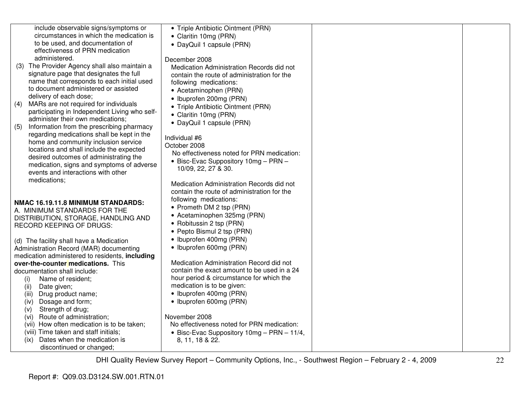| include observable signs/symptoms or             | • Triple Antibiotic Ointment (PRN)            |  |
|--------------------------------------------------|-----------------------------------------------|--|
| circumstances in which the medication is         | • Claritin 10mg (PRN)                         |  |
| to be used, and documentation of                 | • DayQuil 1 capsule (PRN)                     |  |
| effectiveness of PRN medication                  |                                               |  |
| administered.                                    | December 2008                                 |  |
| (3) The Provider Agency shall also maintain a    | Medication Administration Records did not     |  |
| signature page that designates the full          | contain the route of administration for the   |  |
| name that corresponds to each initial used       | following medications:                        |  |
| to document administered or assisted             | • Acetaminophen (PRN)                         |  |
| delivery of each dose;                           | • Ibuprofen 200mg (PRN)                       |  |
| MARs are not required for individuals<br>(4)     | • Triple Antibiotic Ointment (PRN)            |  |
| participating in Independent Living who self-    | • Claritin 10mg (PRN)                         |  |
| administer their own medications;                |                                               |  |
| Information from the prescribing pharmacy<br>(5) | • DayQuil 1 capsule (PRN)                     |  |
| regarding medications shall be kept in the       |                                               |  |
| home and community inclusion service             | Individual #6                                 |  |
| locations and shall include the expected         | October 2008                                  |  |
| desired outcomes of administrating the           | No effectiveness noted for PRN medication:    |  |
| medication, signs and symptoms of adverse        | • Bisc-Evac Suppository 10mg - PRN -          |  |
| events and interactions with other               | 10/09, 22, 27 & 30.                           |  |
| medications;                                     |                                               |  |
|                                                  | Medication Administration Records did not     |  |
|                                                  | contain the route of administration for the   |  |
| NMAC 16.19.11.8 MINIMUM STANDARDS:               | following medications:                        |  |
| A. MINIMUM STANDARDS FOR THE                     | • Prometh DM 2 tsp (PRN)                      |  |
| DISTRIBUTION, STORAGE, HANDLING AND              | • Acetaminophen 325mg (PRN)                   |  |
| RECORD KEEPING OF DRUGS:                         | • Robitussin 2 tsp (PRN)                      |  |
|                                                  | • Pepto Bismul 2 tsp (PRN)                    |  |
| (d) The facility shall have a Medication         | • Ibuprofen 400mg (PRN)                       |  |
| Administration Record (MAR) documenting          | • Ibuprofen 600mg (PRN)                       |  |
| medication administered to residents, including  |                                               |  |
| over-the-counter medications. This               | Medication Administration Record did not      |  |
| documentation shall include:                     | contain the exact amount to be used in a 24   |  |
| Name of resident;<br>(i)                         | hour period & circumstance for which the      |  |
| (ii)<br>Date given;                              | medication is to be given:                    |  |
| Drug product name;<br>(iii)                      | • Ibuprofen 400mg (PRN)                       |  |
| Dosage and form;<br>(iv)                         | • Ibuprofen 600mg (PRN)                       |  |
| Strength of drug;<br>(V)                         |                                               |  |
| Route of administration;<br>(vi)                 | November 2008                                 |  |
| (vii) How often medication is to be taken;       | No effectiveness noted for PRN medication:    |  |
| (viii) Time taken and staff initials;            | • Bisc-Evac Suppository $10mg - PRN - 11/4$ , |  |
| Dates when the medication is<br>(ix)             | 8, 11, 18 & 22.                               |  |
| discontinued or changed;                         |                                               |  |
|                                                  |                                               |  |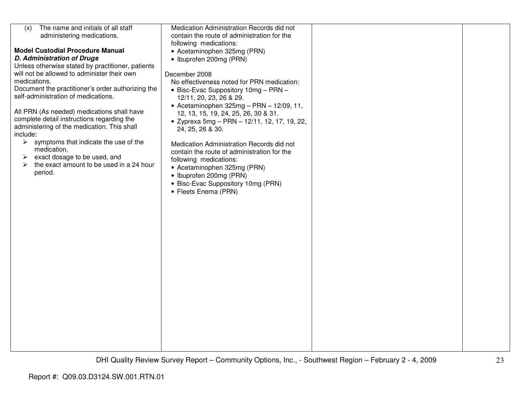| The name and initials of all staff<br>(x)              | Medication Administration Records did not    |  |
|--------------------------------------------------------|----------------------------------------------|--|
| administering medications.                             | contain the route of administration for the  |  |
|                                                        | following medications:                       |  |
| <b>Model Custodial Procedure Manual</b>                | • Acetaminophen 325mg (PRN)                  |  |
| <b>D. Administration of Drugs</b>                      | • Ibuprofen 200mg (PRN)                      |  |
| Unless otherwise stated by practitioner, patients      |                                              |  |
| will not be allowed to administer their own            | December 2008                                |  |
| medications.                                           |                                              |  |
|                                                        | No effectiveness noted for PRN medication:   |  |
| Document the practitioner's order authorizing the      | • Bisc-Evac Suppository 10mg - PRN -         |  |
| self-administration of medications.                    | 12/11, 20, 23, 26 & 29.                      |  |
|                                                        | • Acetaminophen $325mg - PRN - 12/09$ , 11,  |  |
| All PRN (As needed) medications shall have             | 12, 13, 15, 19, 24, 25, 26, 30 & 31.         |  |
| complete detail instructions regarding the             | • Zyprexa 5mg - PRN - 12/11, 12, 17, 19, 22, |  |
| administering of the medication. This shall            | 24, 25, 26 & 30.                             |  |
| include:                                               |                                              |  |
| $\triangleright$ symptoms that indicate the use of the | Medication Administration Records did not    |  |
| medication,                                            | contain the route of administration for the  |  |
| exact dosage to be used, and<br>➤                      | following medications:                       |  |
| the exact amount to be used in a 24 hour<br>➤          | • Acetaminophen 325mg (PRN)                  |  |
| period.                                                | • Ibuprofen 200mg (PRN)                      |  |
|                                                        | • Bisc-Evac Suppository 10mg (PRN)           |  |
|                                                        | • Fleets Enema (PRN)                         |  |
|                                                        |                                              |  |
|                                                        |                                              |  |
|                                                        |                                              |  |
|                                                        |                                              |  |
|                                                        |                                              |  |
|                                                        |                                              |  |
|                                                        |                                              |  |
|                                                        |                                              |  |
|                                                        |                                              |  |
|                                                        |                                              |  |
|                                                        |                                              |  |
|                                                        |                                              |  |
|                                                        |                                              |  |
|                                                        |                                              |  |
|                                                        |                                              |  |
|                                                        |                                              |  |
|                                                        |                                              |  |
|                                                        |                                              |  |
|                                                        |                                              |  |
|                                                        |                                              |  |
|                                                        |                                              |  |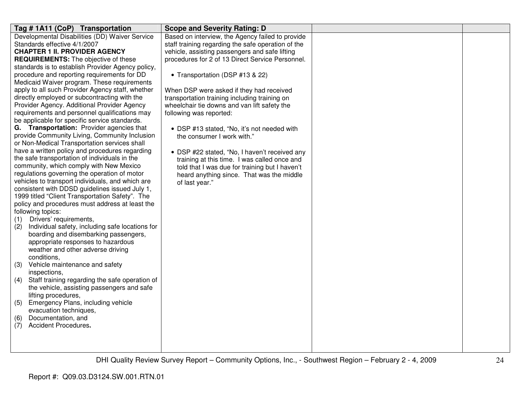| Tag # 1A11 (CoP) Transportation                                                               | <b>Scope and Severity Rating: D</b>                                                         |  |
|-----------------------------------------------------------------------------------------------|---------------------------------------------------------------------------------------------|--|
| Developmental Disabilities (DD) Waiver Service                                                | Based on interview, the Agency failed to provide                                            |  |
| Standards effective 4/1/2007                                                                  | staff training regarding the safe operation of the                                          |  |
| <b>CHAPTER 1 II. PROVIDER AGENCY</b>                                                          | vehicle, assisting passengers and safe lifting                                              |  |
| <b>REQUIREMENTS:</b> The objective of these                                                   | procedures for 2 of 13 Direct Service Personnel.                                            |  |
| standards is to establish Provider Agency policy,                                             |                                                                                             |  |
| procedure and reporting requirements for DD                                                   | • Transportation (DSP #13 & 22)                                                             |  |
| Medicaid Waiver program. These requirements                                                   |                                                                                             |  |
| apply to all such Provider Agency staff, whether                                              | When DSP were asked if they had received                                                    |  |
| directly employed or subcontracting with the                                                  | transportation training including training on                                               |  |
| Provider Agency. Additional Provider Agency                                                   | wheelchair tie downs and van lift safety the                                                |  |
| requirements and personnel qualifications may                                                 | following was reported:                                                                     |  |
| be applicable for specific service standards.                                                 |                                                                                             |  |
| G. Transportation: Provider agencies that                                                     | • DSP #13 stated, "No, it's not needed with                                                 |  |
| provide Community Living, Community Inclusion<br>or Non-Medical Transportation services shall | the consumer I work with."                                                                  |  |
| have a written policy and procedures regarding                                                |                                                                                             |  |
| the safe transportation of individuals in the                                                 | • DSP #22 stated, "No, I haven't received any                                               |  |
| community, which comply with New Mexico                                                       | training at this time. I was called once and                                                |  |
| regulations governing the operation of motor                                                  | told that I was due for training but I haven't<br>heard anything since. That was the middle |  |
| vehicles to transport individuals, and which are                                              | of last year."                                                                              |  |
| consistent with DDSD guidelines issued July 1,                                                |                                                                                             |  |
| 1999 titled "Client Transportation Safety". The                                               |                                                                                             |  |
| policy and procedures must address at least the                                               |                                                                                             |  |
| following topics:                                                                             |                                                                                             |  |
| Drivers' requirements,<br>(1)                                                                 |                                                                                             |  |
| Individual safety, including safe locations for<br>(2)                                        |                                                                                             |  |
| boarding and disembarking passengers,                                                         |                                                                                             |  |
| appropriate responses to hazardous                                                            |                                                                                             |  |
| weather and other adverse driving                                                             |                                                                                             |  |
| conditions,                                                                                   |                                                                                             |  |
| Vehicle maintenance and safety<br>(3)                                                         |                                                                                             |  |
| inspections,                                                                                  |                                                                                             |  |
| Staff training regarding the safe operation of<br>(4)                                         |                                                                                             |  |
| the vehicle, assisting passengers and safe                                                    |                                                                                             |  |
| lifting procedures,                                                                           |                                                                                             |  |
| Emergency Plans, including vehicle<br>(5)                                                     |                                                                                             |  |
| evacuation techniques,                                                                        |                                                                                             |  |
| Documentation, and<br>(6)                                                                     |                                                                                             |  |
| Accident Procedures.<br>(7)                                                                   |                                                                                             |  |
|                                                                                               |                                                                                             |  |
|                                                                                               |                                                                                             |  |
|                                                                                               |                                                                                             |  |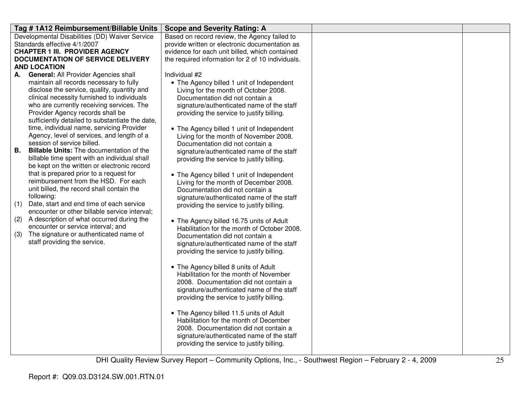| Tag #1A12 Reimbursement/Billable Units                                                                | <b>Scope and Severity Rating: A</b>                                                |  |
|-------------------------------------------------------------------------------------------------------|------------------------------------------------------------------------------------|--|
| Developmental Disabilities (DD) Waiver Service                                                        | Based on record review, the Agency failed to                                       |  |
| Standards effective 4/1/2007                                                                          | provide written or electronic documentation as                                     |  |
| <b>CHAPTER 1 III. PROVIDER AGENCY</b>                                                                 | evidence for each unit billed, which contained                                     |  |
| <b>DOCUMENTATION OF SERVICE DELIVERY</b><br><b>AND LOCATION</b>                                       | the required information for 2 of 10 individuals.                                  |  |
| <b>General: All Provider Agencies shall</b><br>А.                                                     | Individual #2                                                                      |  |
| maintain all records necessary to fully                                                               | • The Agency billed 1 unit of Independent                                          |  |
| disclose the service, quality, quantity and                                                           | Living for the month of October 2008.                                              |  |
| clinical necessity furnished to individuals                                                           | Documentation did not contain a                                                    |  |
| who are currently receiving services. The                                                             | signature/authenticated name of the staff                                          |  |
| Provider Agency records shall be                                                                      | providing the service to justify billing.                                          |  |
| sufficiently detailed to substantiate the date,                                                       |                                                                                    |  |
| time, individual name, servicing Provider                                                             | • The Agency billed 1 unit of Independent                                          |  |
| Agency, level of services, and length of a                                                            | Living for the month of November 2008.                                             |  |
| session of service billed.                                                                            | Documentation did not contain a                                                    |  |
| <b>Billable Units:</b> The documentation of the<br>В.<br>billable time spent with an individual shall | signature/authenticated name of the staff                                          |  |
| be kept on the written or electronic record                                                           | providing the service to justify billing.                                          |  |
| that is prepared prior to a request for                                                               | • The Agency billed 1 unit of Independent                                          |  |
| reimbursement from the HSD. For each                                                                  | Living for the month of December 2008.                                             |  |
| unit billed, the record shall contain the                                                             | Documentation did not contain a                                                    |  |
| following:                                                                                            | signature/authenticated name of the staff                                          |  |
| (1)<br>Date, start and end time of each service                                                       | providing the service to justify billing.                                          |  |
| encounter or other billable service interval;                                                         |                                                                                    |  |
| A description of what occurred during the<br>(2)                                                      | • The Agency billed 16.75 units of Adult                                           |  |
| encounter or service interval; and                                                                    | Habilitation for the month of October 2008.                                        |  |
| (3)<br>The signature or authenticated name of<br>staff providing the service.                         | Documentation did not contain a                                                    |  |
|                                                                                                       | signature/authenticated name of the staff                                          |  |
|                                                                                                       | providing the service to justify billing.                                          |  |
|                                                                                                       | • The Agency billed 8 units of Adult                                               |  |
|                                                                                                       | Habilitation for the month of November                                             |  |
|                                                                                                       | 2008. Documentation did not contain a                                              |  |
|                                                                                                       | signature/authenticated name of the staff                                          |  |
|                                                                                                       | providing the service to justify billing.                                          |  |
|                                                                                                       |                                                                                    |  |
|                                                                                                       | • The Agency billed 11.5 units of Adult                                            |  |
|                                                                                                       | Habilitation for the month of December                                             |  |
|                                                                                                       | 2008. Documentation did not contain a<br>signature/authenticated name of the staff |  |
|                                                                                                       | providing the service to justify billing.                                          |  |
|                                                                                                       |                                                                                    |  |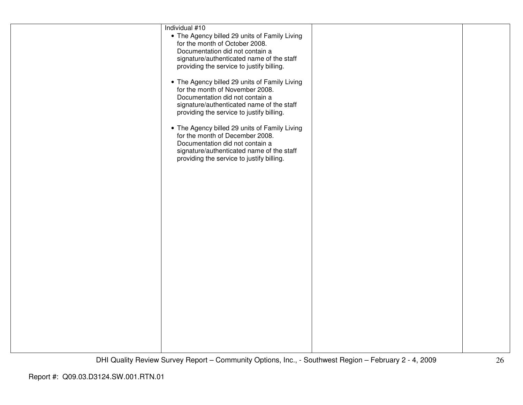| Individual #10                                |  |
|-----------------------------------------------|--|
| • The Agency billed 29 units of Family Living |  |
| for the month of October 2008.                |  |
| Documentation did not contain a               |  |
| signature/authenticated name of the staff     |  |
|                                               |  |
| providing the service to justify billing.     |  |
|                                               |  |
| • The Agency billed 29 units of Family Living |  |
| for the month of November 2008.               |  |
| Documentation did not contain a               |  |
| signature/authenticated name of the staff     |  |
| providing the service to justify billing.     |  |
|                                               |  |
|                                               |  |
| • The Agency billed 29 units of Family Living |  |
| for the month of December 2008.               |  |
| Documentation did not contain a               |  |
| signature/authenticated name of the staff     |  |
| providing the service to justify billing.     |  |
|                                               |  |
|                                               |  |
|                                               |  |
|                                               |  |
|                                               |  |
|                                               |  |
|                                               |  |
|                                               |  |
|                                               |  |
|                                               |  |
|                                               |  |
|                                               |  |
|                                               |  |
|                                               |  |
|                                               |  |
|                                               |  |
|                                               |  |
|                                               |  |
|                                               |  |
|                                               |  |
|                                               |  |
|                                               |  |
|                                               |  |
|                                               |  |
|                                               |  |
|                                               |  |
|                                               |  |
|                                               |  |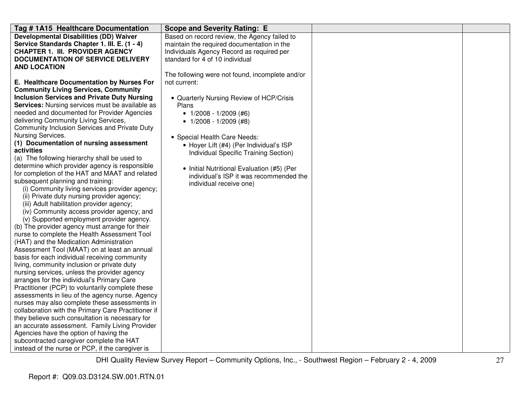| Tag # 1A15 Healthcare Documentation                                                                  | <b>Scope and Severity Rating: E</b>             |  |
|------------------------------------------------------------------------------------------------------|-------------------------------------------------|--|
| <b>Developmental Disabilities (DD) Waiver</b>                                                        | Based on record review, the Agency failed to    |  |
| Service Standards Chapter 1. III. E. (1 - 4)                                                         | maintain the required documentation in the      |  |
| <b>CHAPTER 1. III. PROVIDER AGENCY</b>                                                               | Individuals Agency Record as required per       |  |
| <b>DOCUMENTATION OF SERVICE DELIVERY</b>                                                             | standard for 4 of 10 individual                 |  |
| <b>AND LOCATION</b>                                                                                  |                                                 |  |
|                                                                                                      | The following were not found, incomplete and/or |  |
| E. Healthcare Documentation by Nurses For                                                            | not current:                                    |  |
| <b>Community Living Services, Community</b>                                                          |                                                 |  |
| <b>Inclusion Services and Private Duty Nursing</b>                                                   | • Quarterly Nursing Review of HCP/Crisis        |  |
| Services: Nursing services must be available as                                                      | Plans                                           |  |
| needed and documented for Provider Agencies                                                          | • $1/2008 - 1/2009$ (#6)                        |  |
| delivering Community Living Services,                                                                | • $1/2008 - 1/2009$ (#8)                        |  |
| Community Inclusion Services and Private Duty                                                        |                                                 |  |
| Nursing Services.                                                                                    | • Special Health Care Needs:                    |  |
| (1) Documentation of nursing assessment                                                              | • Hoyer Lift (#4) (Per Individual's ISP         |  |
| activities                                                                                           | Individual Specific Training Section)           |  |
| (a) The following hierarchy shall be used to                                                         |                                                 |  |
| determine which provider agency is responsible                                                       | • Initial Nutritional Evaluation (#5) (Per      |  |
| for completion of the HAT and MAAT and related                                                       | individual's ISP it was recommended the         |  |
| subsequent planning and training:                                                                    | individual receive one)                         |  |
| (i) Community living services provider agency;                                                       |                                                 |  |
| (ii) Private duty nursing provider agency;                                                           |                                                 |  |
| (iii) Adult habilitation provider agency;                                                            |                                                 |  |
| (iv) Community access provider agency; and                                                           |                                                 |  |
| (v) Supported employment provider agency.                                                            |                                                 |  |
| (b) The provider agency must arrange for their                                                       |                                                 |  |
| nurse to complete the Health Assessment Tool                                                         |                                                 |  |
| (HAT) and the Medication Administration                                                              |                                                 |  |
| Assessment Tool (MAAT) on at least an annual                                                         |                                                 |  |
| basis for each individual receiving community                                                        |                                                 |  |
| living, community inclusion or private duty                                                          |                                                 |  |
| nursing services, unless the provider agency                                                         |                                                 |  |
| arranges for the individual's Primary Care                                                           |                                                 |  |
| Practitioner (PCP) to voluntarily complete these                                                     |                                                 |  |
| assessments in lieu of the agency nurse. Agency                                                      |                                                 |  |
| nurses may also complete these assessments in<br>collaboration with the Primary Care Practitioner if |                                                 |  |
| they believe such consultation is necessary for                                                      |                                                 |  |
| an accurate assessment. Family Living Provider                                                       |                                                 |  |
| Agencies have the option of having the                                                               |                                                 |  |
|                                                                                                      |                                                 |  |
| subcontracted caregiver complete the HAT<br>instead of the nurse or PCP, if the caregiver is         |                                                 |  |
|                                                                                                      |                                                 |  |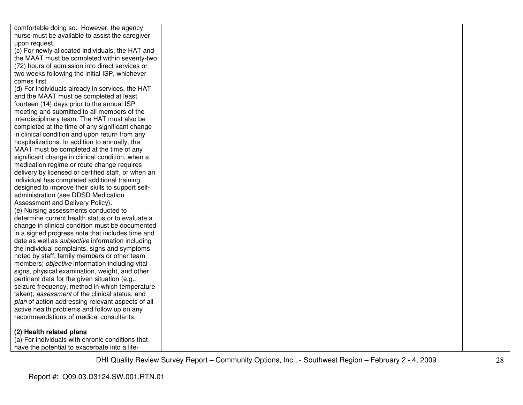| comfortable doing so. However, the agency               |  |  |
|---------------------------------------------------------|--|--|
| nurse must be available to assist the caregiver         |  |  |
| upon request.                                           |  |  |
| (c) For newly allocated individuals, the HAT and        |  |  |
| the MAAT must be completed within seventy-two           |  |  |
| (72) hours of admission into direct services or         |  |  |
| two weeks following the initial ISP, whichever          |  |  |
| comes first.                                            |  |  |
| (d) For individuals already in services, the HAT        |  |  |
| and the MAAT must be completed at least                 |  |  |
| fourteen (14) days prior to the annual ISP              |  |  |
| meeting and submitted to all members of the             |  |  |
| interdisciplinary team. The HAT must also be            |  |  |
| completed at the time of any significant change         |  |  |
| in clinical condition and upon return from any          |  |  |
| hospitalizations. In addition to annually, the          |  |  |
| MAAT must be completed at the time of any               |  |  |
| significant change in clinical condition, when a        |  |  |
| medication regime or route change requires              |  |  |
| delivery by licensed or certified staff, or when an     |  |  |
| individual has completed additional training            |  |  |
| designed to improve their skills to support self-       |  |  |
| administration (see DDSD Medication                     |  |  |
| Assessment and Delivery Policy).                        |  |  |
| (e) Nursing assessments conducted to                    |  |  |
| determine current health status or to evaluate a        |  |  |
| change in clinical condition must be documented         |  |  |
| in a signed progress note that includes time and        |  |  |
| date as well as <i>subjective</i> information including |  |  |
| the individual complaints, signs and symptoms           |  |  |
| noted by staff, family members or other team            |  |  |
| members; objective information including vital          |  |  |
| signs, physical examination, weight, and other          |  |  |
| pertinent data for the given situation (e.g.,           |  |  |
| seizure frequency, method in which temperature          |  |  |
| taken); assessment of the clinical status, and          |  |  |
| plan of action addressing relevant aspects of all       |  |  |
| active health problems and follow up on any             |  |  |
| recommendations of medical consultants.                 |  |  |
| (2) Health related plans                                |  |  |
| (a) For individuals with chronic conditions that        |  |  |
| have the potential to exacerbate into a life-           |  |  |
|                                                         |  |  |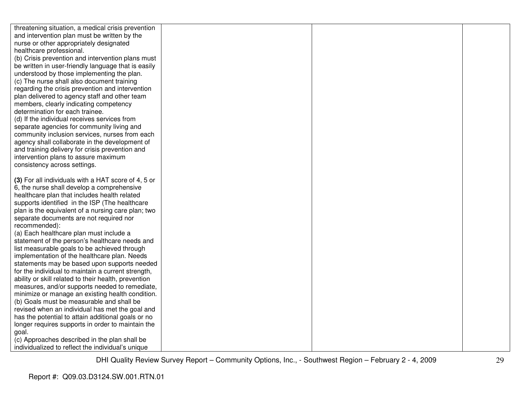| threatening situation, a medical crisis prevention                                        |  |  |
|-------------------------------------------------------------------------------------------|--|--|
| and intervention plan must be written by the                                              |  |  |
| nurse or other appropriately designated                                                   |  |  |
| healthcare professional.                                                                  |  |  |
| (b) Crisis prevention and intervention plans must                                         |  |  |
| be written in user-friendly language that is easily                                       |  |  |
| understood by those implementing the plan.                                                |  |  |
| (c) The nurse shall also document training                                                |  |  |
| regarding the crisis prevention and intervention                                          |  |  |
| plan delivered to agency staff and other team                                             |  |  |
| members, clearly indicating competency                                                    |  |  |
| determination for each trainee.                                                           |  |  |
| (d) If the individual receives services from                                              |  |  |
| separate agencies for community living and                                                |  |  |
| community inclusion services, nurses from each                                            |  |  |
| agency shall collaborate in the development of                                            |  |  |
| and training delivery for crisis prevention and                                           |  |  |
| intervention plans to assure maximum                                                      |  |  |
| consistency across settings.                                                              |  |  |
|                                                                                           |  |  |
| (3) For all individuals with a HAT score of 4, 5 or                                       |  |  |
| 6, the nurse shall develop a comprehensive                                                |  |  |
| healthcare plan that includes health related                                              |  |  |
| supports identified in the ISP (The healthcare                                            |  |  |
| plan is the equivalent of a nursing care plan; two                                        |  |  |
| separate documents are not required nor                                                   |  |  |
| recommended):                                                                             |  |  |
| (a) Each healthcare plan must include a<br>statement of the person's healthcare needs and |  |  |
| list measurable goals to be achieved through                                              |  |  |
| implementation of the healthcare plan. Needs                                              |  |  |
| statements may be based upon supports needed                                              |  |  |
| for the individual to maintain a current strength,                                        |  |  |
| ability or skill related to their health, prevention                                      |  |  |
| measures, and/or supports needed to remediate,                                            |  |  |
| minimize or manage an existing health condition.                                          |  |  |
| (b) Goals must be measurable and shall be                                                 |  |  |
| revised when an individual has met the goal and                                           |  |  |
| has the potential to attain additional goals or no                                        |  |  |
| longer requires supports in order to maintain the                                         |  |  |
| goal.                                                                                     |  |  |
| (c) Approaches described in the plan shall be                                             |  |  |
| individualized to reflect the individual's unique                                         |  |  |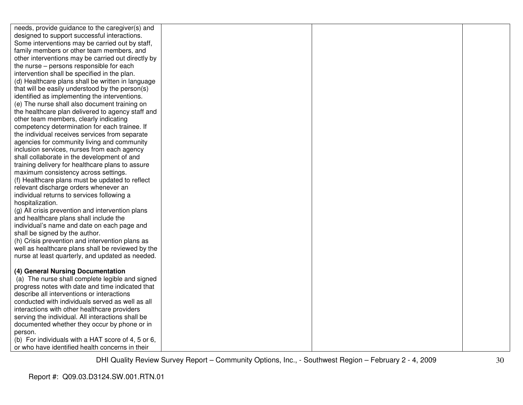| needs, provide guidance to the caregiver(s) and    |  |  |
|----------------------------------------------------|--|--|
| designed to support successful interactions.       |  |  |
| Some interventions may be carried out by staff,    |  |  |
| family members or other team members, and          |  |  |
| other interventions may be carried out directly by |  |  |
| the nurse – persons responsible for each           |  |  |
| intervention shall be specified in the plan.       |  |  |
| (d) Healthcare plans shall be written in language  |  |  |
| that will be easily understood by the person(s)    |  |  |
| identified as implementing the interventions.      |  |  |
| (e) The nurse shall also document training on      |  |  |
| the healthcare plan delivered to agency staff and  |  |  |
| other team members, clearly indicating             |  |  |
| competency determination for each trainee. If      |  |  |
| the individual receives services from separate     |  |  |
| agencies for community living and community        |  |  |
| inclusion services, nurses from each agency        |  |  |
| shall collaborate in the development of and        |  |  |
| training delivery for healthcare plans to assure   |  |  |
| maximum consistency across settings.               |  |  |
| (f) Healthcare plans must be updated to reflect    |  |  |
| relevant discharge orders whenever an              |  |  |
| individual returns to services following a         |  |  |
| hospitalization.                                   |  |  |
| (g) All crisis prevention and intervention plans   |  |  |
| and healthcare plans shall include the             |  |  |
| individual's name and date on each page and        |  |  |
| shall be signed by the author.                     |  |  |
| (h) Crisis prevention and intervention plans as    |  |  |
| well as healthcare plans shall be reviewed by the  |  |  |
| nurse at least quarterly, and updated as needed.   |  |  |
|                                                    |  |  |
| (4) General Nursing Documentation                  |  |  |
| (a) The nurse shall complete legible and signed    |  |  |
| progress notes with date and time indicated that   |  |  |
| describe all interventions or interactions         |  |  |
| conducted with individuals served as well as all   |  |  |
| interactions with other healthcare providers       |  |  |
| serving the individual. All interactions shall be  |  |  |
| documented whether they occur by phone or in       |  |  |
| person.                                            |  |  |
| (b) For individuals with a HAT score of 4, 5 or 6, |  |  |
| or who have identified health concerns in their    |  |  |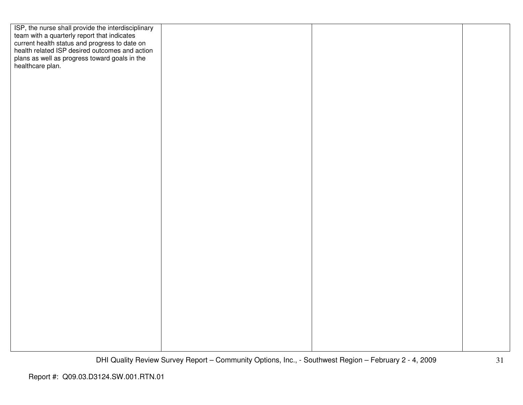| ISP, the nurse shall provide the interdisciplinary<br>team with a quarterly report that indicates<br>current health status and progress to date on<br>health related ISP desired outcomes and action |  |  |
|------------------------------------------------------------------------------------------------------------------------------------------------------------------------------------------------------|--|--|
|                                                                                                                                                                                                      |  |  |
|                                                                                                                                                                                                      |  |  |
|                                                                                                                                                                                                      |  |  |
| plans as well as progress toward goals in the healthcare plan.                                                                                                                                       |  |  |
|                                                                                                                                                                                                      |  |  |
|                                                                                                                                                                                                      |  |  |
|                                                                                                                                                                                                      |  |  |
|                                                                                                                                                                                                      |  |  |
|                                                                                                                                                                                                      |  |  |
|                                                                                                                                                                                                      |  |  |
|                                                                                                                                                                                                      |  |  |
|                                                                                                                                                                                                      |  |  |
|                                                                                                                                                                                                      |  |  |
|                                                                                                                                                                                                      |  |  |
|                                                                                                                                                                                                      |  |  |
|                                                                                                                                                                                                      |  |  |
|                                                                                                                                                                                                      |  |  |
|                                                                                                                                                                                                      |  |  |
|                                                                                                                                                                                                      |  |  |
|                                                                                                                                                                                                      |  |  |
|                                                                                                                                                                                                      |  |  |
|                                                                                                                                                                                                      |  |  |
|                                                                                                                                                                                                      |  |  |
|                                                                                                                                                                                                      |  |  |
|                                                                                                                                                                                                      |  |  |
|                                                                                                                                                                                                      |  |  |
|                                                                                                                                                                                                      |  |  |
|                                                                                                                                                                                                      |  |  |
|                                                                                                                                                                                                      |  |  |
|                                                                                                                                                                                                      |  |  |
|                                                                                                                                                                                                      |  |  |
|                                                                                                                                                                                                      |  |  |
|                                                                                                                                                                                                      |  |  |
|                                                                                                                                                                                                      |  |  |
|                                                                                                                                                                                                      |  |  |
|                                                                                                                                                                                                      |  |  |
|                                                                                                                                                                                                      |  |  |
|                                                                                                                                                                                                      |  |  |
|                                                                                                                                                                                                      |  |  |
|                                                                                                                                                                                                      |  |  |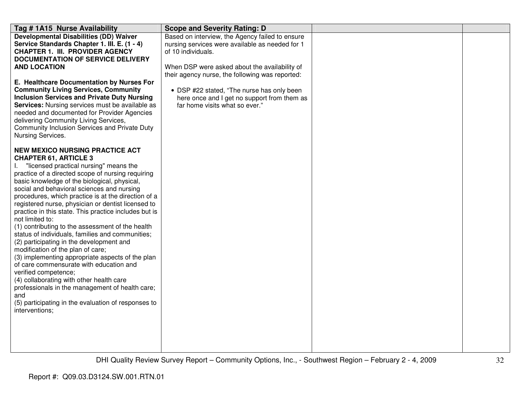| Tag # 1A15 Nurse Availability                                      | <b>Scope and Severity Rating: D</b>             |  |
|--------------------------------------------------------------------|-------------------------------------------------|--|
| <b>Developmental Disabilities (DD) Waiver</b>                      | Based on interview, the Agency failed to ensure |  |
| Service Standards Chapter 1. III. E. (1 - 4)                       | nursing services were available as needed for 1 |  |
| <b>CHAPTER 1. III. PROVIDER AGENCY</b>                             | of 10 individuals.                              |  |
| <b>DOCUMENTATION OF SERVICE DELIVERY</b>                           |                                                 |  |
| <b>AND LOCATION</b>                                                | When DSP were asked about the availability of   |  |
|                                                                    | their agency nurse, the following was reported: |  |
| E. Healthcare Documentation by Nurses For                          |                                                 |  |
| <b>Community Living Services, Community</b>                        | • DSP #22 stated, "The nurse has only been      |  |
| <b>Inclusion Services and Private Duty Nursing</b>                 | here once and I get no support from them as     |  |
| Services: Nursing services must be available as                    | far home visits what so ever."                  |  |
| needed and documented for Provider Agencies                        |                                                 |  |
| delivering Community Living Services,                              |                                                 |  |
| Community Inclusion Services and Private Duty<br>Nursing Services. |                                                 |  |
|                                                                    |                                                 |  |
| <b>NEW MEXICO NURSING PRACTICE ACT</b>                             |                                                 |  |
| <b>CHAPTER 61, ARTICLE 3</b>                                       |                                                 |  |
| "licensed practical nursing" means the                             |                                                 |  |
| practice of a directed scope of nursing requiring                  |                                                 |  |
| basic knowledge of the biological, physical,                       |                                                 |  |
| social and behavioral sciences and nursing                         |                                                 |  |
| procedures, which practice is at the direction of a                |                                                 |  |
| registered nurse, physician or dentist licensed to                 |                                                 |  |
| practice in this state. This practice includes but is              |                                                 |  |
| not limited to:                                                    |                                                 |  |
| (1) contributing to the assessment of the health                   |                                                 |  |
| status of individuals, families and communities;                   |                                                 |  |
| (2) participating in the development and                           |                                                 |  |
| modification of the plan of care;                                  |                                                 |  |
| (3) implementing appropriate aspects of the plan                   |                                                 |  |
| of care commensurate with education and                            |                                                 |  |
| verified competence;                                               |                                                 |  |
| (4) collaborating with other health care                           |                                                 |  |
| professionals in the management of health care;                    |                                                 |  |
| and<br>(5) participating in the evaluation of responses to         |                                                 |  |
| interventions;                                                     |                                                 |  |
|                                                                    |                                                 |  |
|                                                                    |                                                 |  |
|                                                                    |                                                 |  |
|                                                                    |                                                 |  |
|                                                                    |                                                 |  |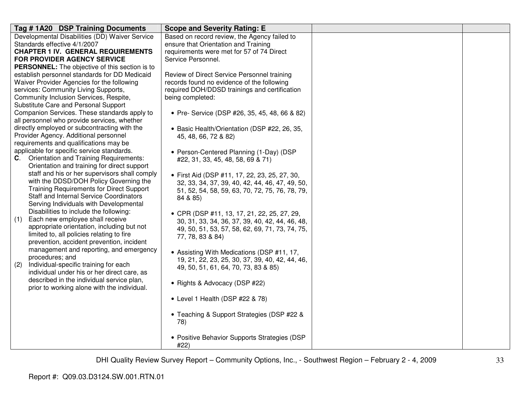| Tag #1A20 DSP Training Documents                                                            | <b>Scope and Severity Rating: E</b>                                                            |  |
|---------------------------------------------------------------------------------------------|------------------------------------------------------------------------------------------------|--|
| Developmental Disabilities (DD) Waiver Service                                              | Based on record review, the Agency failed to                                                   |  |
| Standards effective 4/1/2007                                                                | ensure that Orientation and Training                                                           |  |
| <b>CHAPTER 1 IV. GENERAL REQUIREMENTS</b>                                                   | requirements were met for 57 of 74 Direct                                                      |  |
| FOR PROVIDER AGENCY SERVICE                                                                 | Service Personnel.                                                                             |  |
| PERSONNEL: The objective of this section is to                                              |                                                                                                |  |
| establish personnel standards for DD Medicaid<br>Waiver Provider Agencies for the following | Review of Direct Service Personnel training<br>records found no evidence of the following      |  |
| services: Community Living Supports,                                                        | required DOH/DDSD trainings and certification                                                  |  |
| Community Inclusion Services, Respite,                                                      | being completed:                                                                               |  |
| Substitute Care and Personal Support                                                        |                                                                                                |  |
| Companion Services. These standards apply to                                                | • Pre- Service (DSP #26, 35, 45, 48, 66 & 82)                                                  |  |
| all personnel who provide services, whether                                                 |                                                                                                |  |
| directly employed or subcontracting with the                                                | • Basic Health/Orientation (DSP #22, 26, 35,                                                   |  |
| Provider Agency. Additional personnel                                                       | 45, 48, 66, 72 & 82)                                                                           |  |
| requirements and qualifications may be                                                      |                                                                                                |  |
| applicable for specific service standards.                                                  | • Person-Centered Planning (1-Day) (DSP                                                        |  |
| <b>Orientation and Training Requirements:</b><br>C.                                         | #22, 31, 33, 45, 48, 58, 69 & 71)                                                              |  |
| Orientation and training for direct support                                                 |                                                                                                |  |
| staff and his or her supervisors shall comply                                               | • First Aid (DSP #11, 17, 22, 23, 25, 27, 30,                                                  |  |
| with the DDSD/DOH Policy Governing the<br><b>Training Requirements for Direct Support</b>   | 32, 33, 34, 37, 39, 40, 42, 44, 46, 47, 49, 50,                                                |  |
| <b>Staff and Internal Service Coordinators</b>                                              | 51, 52, 54, 58, 59, 63, 70, 72, 75, 76, 78, 79,                                                |  |
| Serving Individuals with Developmental                                                      | 84 & 85)                                                                                       |  |
| Disabilities to include the following:                                                      |                                                                                                |  |
| Each new employee shall receive<br>(1)                                                      | • CPR (DSP #11, 13, 17, 21, 22, 25, 27, 29,<br>30, 31, 33, 34, 36, 37, 39, 40, 42, 44, 46, 48, |  |
| appropriate orientation, including but not                                                  | 49, 50, 51, 53, 57, 58, 62, 69, 71, 73, 74, 75,                                                |  |
| limited to, all policies relating to fire                                                   | 77, 78, 83 & 84)                                                                               |  |
| prevention, accident prevention, incident                                                   |                                                                                                |  |
| management and reporting, and emergency                                                     | • Assisting With Medications (DSP #11, 17,                                                     |  |
| procedures; and                                                                             | 19, 21, 22, 23, 25, 30, 37, 39, 40, 42, 44, 46,                                                |  |
| Individual-specific training for each<br>(2)                                                | 49, 50, 51, 61, 64, 70, 73, 83 & 85)                                                           |  |
| individual under his or her direct care, as                                                 |                                                                                                |  |
| described in the individual service plan,                                                   | • Rights & Advocacy (DSP #22)                                                                  |  |
| prior to working alone with the individual.                                                 |                                                                                                |  |
|                                                                                             | • Level 1 Health (DSP #22 & 78)                                                                |  |
|                                                                                             |                                                                                                |  |
|                                                                                             | • Teaching & Support Strategies (DSP #22 &                                                     |  |
|                                                                                             | 78)                                                                                            |  |
|                                                                                             |                                                                                                |  |
|                                                                                             | • Positive Behavior Supports Strategies (DSP                                                   |  |
|                                                                                             | #22)                                                                                           |  |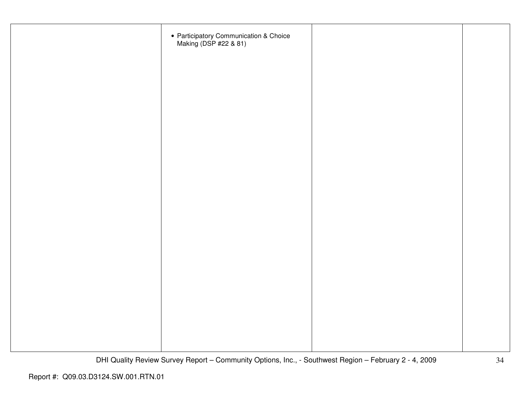| • Participatory Communication & Choice<br>Making (DSP #22 & 81) |  |
|-----------------------------------------------------------------|--|
|                                                                 |  |
|                                                                 |  |
|                                                                 |  |
|                                                                 |  |
|                                                                 |  |
|                                                                 |  |
|                                                                 |  |
|                                                                 |  |
|                                                                 |  |
|                                                                 |  |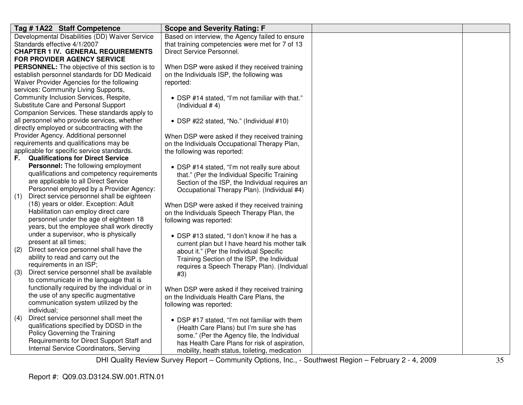|     | Tag # 1A22 Staff Competence                    | <b>Scope and Severity Rating: F</b>             |
|-----|------------------------------------------------|-------------------------------------------------|
|     | Developmental Disabilities (DD) Waiver Service | Based on interview, the Agency failed to ensure |
|     | Standards effective 4/1/2007                   | that training competencies were met for 7 of 13 |
|     | <b>CHAPTER 1 IV. GENERAL REQUIREMENTS</b>      | Direct Service Personnel.                       |
|     | <b>FOR PROVIDER AGENCY SERVICE</b>             |                                                 |
|     | PERSONNEL: The objective of this section is to | When DSP were asked if they received training   |
|     | establish personnel standards for DD Medicaid  | on the Individuals ISP, the following was       |
|     | Waiver Provider Agencies for the following     | reported:                                       |
|     | services: Community Living Supports,           |                                                 |
|     | Community Inclusion Services, Respite,         | • DSP #14 stated, "I'm not familiar with that." |
|     | Substitute Care and Personal Support           | (Individual $# 4$ )                             |
|     | Companion Services. These standards apply to   |                                                 |
|     | all personnel who provide services, whether    | • DSP #22 stated, "No." (Individual #10)        |
|     | directly employed or subcontracting with the   |                                                 |
|     | Provider Agency. Additional personnel          | When DSP were asked if they received training   |
|     | requirements and qualifications may be         | on the Individuals Occupational Therapy Plan,   |
|     | applicable for specific service standards.     | the following was reported:                     |
| F.  | <b>Qualifications for Direct Service</b>       |                                                 |
|     | Personnel: The following employment            | • DSP #14 stated, "I'm not really sure about    |
|     | qualifications and competency requirements     | that." (Per the Individual Specific Training    |
|     | are applicable to all Direct Service           | Section of the ISP, the Individual requires an  |
|     | Personnel employed by a Provider Agency:       | Occupational Therapy Plan). (Individual #4)     |
| (1) | Direct service personnel shall be eighteen     |                                                 |
|     | (18) years or older. Exception: Adult          | When DSP were asked if they received training   |
|     | Habilitation can employ direct care            | on the Individuals Speech Therapy Plan, the     |
|     | personnel under the age of eighteen 18         | following was reported:                         |
|     | years, but the employee shall work directly    |                                                 |
|     | under a supervisor, who is physically          | • DSP #13 stated, "I don't know if he has a     |
|     | present at all times;                          | current plan but I have heard his mother talk   |
| (2) | Direct service personnel shall have the        | about it." (Per the Individual Specific         |
|     | ability to read and carry out the              | Training Section of the ISP, the Individual     |
|     | requirements in an ISP;                        | requires a Speech Therapy Plan). (Individual    |
| (3) | Direct service personnel shall be available    | #3)                                             |
|     | to communicate in the language that is         |                                                 |
|     | functionally required by the individual or in  | When DSP were asked if they received training   |
|     | the use of any specific augmentative           | on the Individuals Health Care Plans, the       |
|     | communication system utilized by the           | following was reported:                         |
|     | individual;                                    |                                                 |
| (4) | Direct service personnel shall meet the        | • DSP #17 stated, "I'm not familiar with them   |
|     | qualifications specified by DDSD in the        | (Health Care Plans) but I'm sure she has        |
|     | Policy Governing the Training                  | some." (Per the Agency file, the Individual     |
|     | Requirements for Direct Support Staff and      | has Health Care Plans for risk of aspiration,   |
|     | Internal Service Coordinators, Serving         | mobility, heath status, toileting, medication   |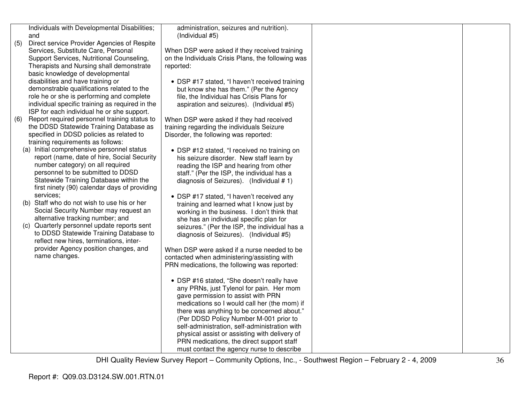|     | Individuals with Developmental Disabilities;                                           | administration, seizures and nutrition).                                                  |  |
|-----|----------------------------------------------------------------------------------------|-------------------------------------------------------------------------------------------|--|
|     | and                                                                                    | (Individual #5)                                                                           |  |
| (5) | Direct service Provider Agencies of Respite                                            |                                                                                           |  |
|     | Services, Substitute Care, Personal                                                    | When DSP were asked if they received training                                             |  |
|     | Support Services, Nutritional Counseling,                                              | on the Individuals Crisis Plans, the following was                                        |  |
|     | Therapists and Nursing shall demonstrate                                               | reported:                                                                                 |  |
|     | basic knowledge of developmental<br>disabilities and have training or                  |                                                                                           |  |
|     | demonstrable qualifications related to the                                             | • DSP #17 stated, "I haven't received training<br>but know she has them." (Per the Agency |  |
|     | role he or she is performing and complete                                              | file, the Individual has Crisis Plans for                                                 |  |
|     | individual specific training as required in the                                        | aspiration and seizures). (Individual #5)                                                 |  |
|     | ISP for each individual he or she support.                                             |                                                                                           |  |
| (6) | Report required personnel training status to                                           | When DSP were asked if they had received                                                  |  |
|     | the DDSD Statewide Training Database as                                                | training regarding the individuals Seizure                                                |  |
|     | specified in DDSD policies as related to                                               | Disorder, the following was reported:                                                     |  |
|     | training requirements as follows:                                                      |                                                                                           |  |
|     | (a) Initial comprehensive personnel status                                             | • DSP #12 stated, "I received no training on                                              |  |
|     | report (name, date of hire, Social Security                                            | his seizure disorder. New staff learn by                                                  |  |
|     | number category) on all required                                                       | reading the ISP and hearing from other                                                    |  |
|     | personnel to be submitted to DDSD                                                      | staff." (Per the ISP, the individual has a                                                |  |
|     | Statewide Training Database within the<br>first ninety (90) calendar days of providing | diagnosis of Seizures). (Individual # 1)                                                  |  |
|     | services:                                                                              |                                                                                           |  |
|     | (b) Staff who do not wish to use his or her                                            | • DSP #17 stated, "I haven't received any<br>training and learned what I know just by     |  |
|     | Social Security Number may request an                                                  | working in the business. I don't think that                                               |  |
|     | alternative tracking number; and                                                       | she has an individual specific plan for                                                   |  |
|     | (c) Quarterly personnel update reports sent                                            | seizures." (Per the ISP, the individual has a                                             |  |
|     | to DDSD Statewide Training Database to                                                 | diagnosis of Seizures). (Individual #5)                                                   |  |
|     | reflect new hires, terminations, inter-                                                |                                                                                           |  |
|     | provider Agency position changes, and                                                  | When DSP were asked if a nurse needed to be                                               |  |
|     | name changes.                                                                          | contacted when administering/assisting with                                               |  |
|     |                                                                                        | PRN medications, the following was reported:                                              |  |
|     |                                                                                        |                                                                                           |  |
|     |                                                                                        | • DSP #16 stated, "She doesn't really have                                                |  |
|     |                                                                                        | any PRNs, just Tylenol for pain. Her mom                                                  |  |
|     |                                                                                        | gave permission to assist with PRN<br>medications so I would call her (the mom) if        |  |
|     |                                                                                        | there was anything to be concerned about."                                                |  |
|     |                                                                                        | (Per DDSD Policy Number M-001 prior to                                                    |  |
|     |                                                                                        | self-administration, self-administration with                                             |  |
|     |                                                                                        | physical assist or assisting with delivery of                                             |  |
|     |                                                                                        | PRN medications, the direct support staff                                                 |  |
|     |                                                                                        | must contact the agency nurse to describe                                                 |  |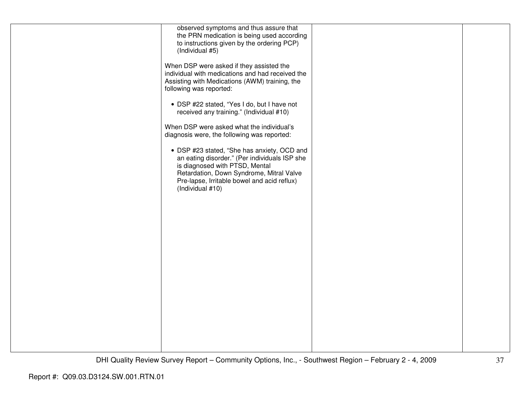| observed symptoms and thus assure that           |  |
|--------------------------------------------------|--|
| the PRN medication is being used according       |  |
| to instructions given by the ordering PCP)       |  |
| (Individual #5)                                  |  |
|                                                  |  |
|                                                  |  |
| When DSP were asked if they assisted the         |  |
| individual with medications and had received the |  |
| Assisting with Medications (AWM) training, the   |  |
| following was reported:                          |  |
|                                                  |  |
|                                                  |  |
| • DSP #22 stated, "Yes I do, but I have not      |  |
| received any training." (Individual #10)         |  |
|                                                  |  |
| When DSP were asked what the individual's        |  |
|                                                  |  |
| diagnosis were, the following was reported:      |  |
|                                                  |  |
| • DSP #23 stated, "She has anxiety, OCD and      |  |
| an eating disorder." (Per individuals ISP she    |  |
| is diagnosed with PTSD, Mental                   |  |
|                                                  |  |
| Retardation, Down Syndrome, Mitral Valve         |  |
| Pre-lapse, Irritable bowel and acid reflux)      |  |
| (Individual #10)                                 |  |
|                                                  |  |
|                                                  |  |
|                                                  |  |
|                                                  |  |
|                                                  |  |
|                                                  |  |
|                                                  |  |
|                                                  |  |
|                                                  |  |
|                                                  |  |
|                                                  |  |
|                                                  |  |
|                                                  |  |
|                                                  |  |
|                                                  |  |
|                                                  |  |
|                                                  |  |
|                                                  |  |
|                                                  |  |
|                                                  |  |
|                                                  |  |
|                                                  |  |
|                                                  |  |
|                                                  |  |
|                                                  |  |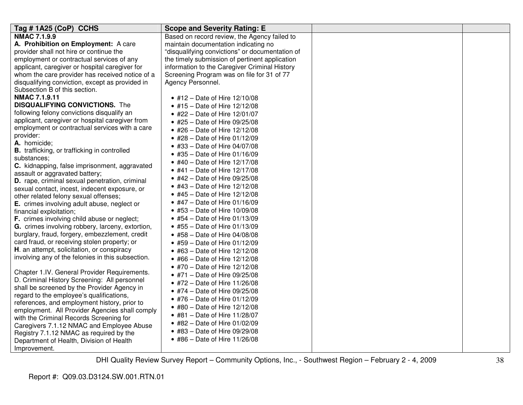| Tag #1A25 (CoP) CCHS                                | <b>Scope and Severity Rating: E</b>             |  |
|-----------------------------------------------------|-------------------------------------------------|--|
| <b>NMAC 7.1.9.9</b>                                 | Based on record review, the Agency failed to    |  |
| A. Prohibition on Employment: A care                | maintain documentation indicating no            |  |
| provider shall not hire or continue the             | "disqualifying convictions" or documentation of |  |
| employment or contractual services of any           | the timely submission of pertinent application  |  |
| applicant, caregiver or hospital caregiver for      | information to the Caregiver Criminal History   |  |
| whom the care provider has received notice of a     | Screening Program was on file for 31 of 77      |  |
| disqualifying conviction, except as provided in     | Agency Personnel.                               |  |
| Subsection B of this section.                       |                                                 |  |
| <b>NMAC 7.1.9.11</b>                                | • #12 – Date of Hire 12/10/08                   |  |
| <b>DISQUALIFYING CONVICTIONS.</b> The               | • #15 – Date of Hire $12/12/08$                 |  |
| following felony convictions disqualify an          | • #22 – Date of Hire 12/01/07                   |  |
| applicant, caregiver or hospital caregiver from     | • #25 - Date of Hire 09/25/08                   |  |
| employment or contractual services with a care      | • #26 – Date of Hire 12/12/08                   |  |
| provider:                                           | • #28 – Date of Hire 01/12/09                   |  |
| A. homicide;                                        | • #33 - Date of Hire 04/07/08                   |  |
| <b>B.</b> trafficking, or trafficking in controlled | • #35 – Date of Hire $01/16/09$                 |  |
| substances;                                         | • #40 - Date of Hire 12/17/08                   |  |
| C. kidnapping, false imprisonment, aggravated       | • #41 – Date of Hire $12/17/08$                 |  |
| assault or aggravated battery;                      | • #42 – Date of Hire 09/25/08                   |  |
| D. rape, criminal sexual penetration, criminal      |                                                 |  |
| sexual contact, incest, indecent exposure, or       | • #43 - Date of Hire 12/12/08                   |  |
| other related felony sexual offenses;               | • #45 - Date of Hire 12/12/08                   |  |
| <b>E.</b> crimes involving adult abuse, neglect or  | • #47 – Date of Hire $01/16/09$                 |  |
| financial exploitation;                             | • #53 – Date of Hire $10/09/08$                 |  |
| F. crimes involving child abuse or neglect;         | • #54 – Date of Hire 01/13/09                   |  |
| G. crimes involving robbery, larceny, extortion,    | • #55 – Date of Hire 01/13/09                   |  |
| burglary, fraud, forgery, embezzlement, credit      | • #58 - Date of Hire 04/08/08                   |  |
| card fraud, or receiving stolen property; or        | • #59 – Date of Hire 01/12/09                   |  |
| H. an attempt, solicitation, or conspiracy          | • #63 – Date of Hire 12/12/08                   |  |
| involving any of the felonies in this subsection.   | • #66 – Date of Hire 12/12/08                   |  |
|                                                     | • #70 - Date of Hire 12/12/08                   |  |
| Chapter 1.IV. General Provider Requirements.        | • #71 - Date of Hire 09/25/08                   |  |
| D. Criminal History Screening: All personnel        | • #72 - Date of Hire 11/26/08                   |  |
| shall be screened by the Provider Agency in         | • #74 – Date of Hire $09/25/08$                 |  |
| regard to the employee's qualifications,            | • #76 - Date of Hire 01/12/09                   |  |
| references, and employment history, prior to        | • #80 – Date of Hire 12/12/08                   |  |
| employment. All Provider Agencies shall comply      | • #81 – Date of Hire $11/28/07$                 |  |
| with the Criminal Records Screening for             | • #82 - Date of Hire 01/02/09                   |  |
| Caregivers 7.1.12 NMAC and Employee Abuse           | • #83 - Date of Hire 09/29/08                   |  |
| Registry 7.1.12 NMAC as required by the             | • #86 – Date of Hire 11/26/08                   |  |
| Department of Health, Division of Health            |                                                 |  |
| Improvement.                                        |                                                 |  |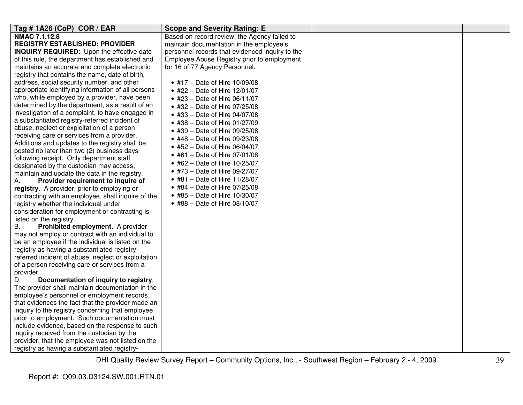| Tag #1A26 (CoP) COR / EAR                                                                             | <b>Scope and Severity Rating: E</b>             |  |
|-------------------------------------------------------------------------------------------------------|-------------------------------------------------|--|
| <b>NMAC 7.1.12.8</b>                                                                                  | Based on record review, the Agency failed to    |  |
| <b>REGISTRY ESTABLISHED; PROVIDER</b>                                                                 | maintain documentation in the employee's        |  |
| INQUIRY REQUIRED: Upon the effective date                                                             | personnel records that evidenced inquiry to the |  |
| of this rule, the department has established and                                                      | Employee Abuse Registry prior to employment     |  |
| maintains an accurate and complete electronic                                                         | for 16 of 77 Agency Personnel.                  |  |
| registry that contains the name, date of birth,                                                       |                                                 |  |
| address, social security number, and other                                                            | • #17 - Date of Hire 10/09/08                   |  |
| appropriate identifying information of all persons                                                    | • #22 – Date of Hire $12/01/07$                 |  |
| who, while employed by a provider, have been                                                          | • #23 - Date of Hire 06/11/07                   |  |
| determined by the department, as a result of an                                                       | • #32 - Date of Hire 07/25/08                   |  |
| investigation of a complaint, to have engaged in                                                      | • #33 - Date of Hire 04/07/08                   |  |
| a substantiated registry-referred incident of                                                         | • #38 – Date of Hire $01/27/09$                 |  |
| abuse, neglect or exploitation of a person                                                            | • #39 - Date of Hire 09/25/08                   |  |
| receiving care or services from a provider.                                                           | • #48 – Date of Hire $09/23/08$                 |  |
| Additions and updates to the registry shall be                                                        | • #52 - Date of Hire 06/04/07                   |  |
| posted no later than two (2) business days                                                            | • #61 – Date of Hire $07/01/08$                 |  |
| following receipt. Only department staff                                                              | • #62 – Date of Hire $10/25/07$                 |  |
| designated by the custodian may access,                                                               | • #73 - Date of Hire 09/27/07                   |  |
| maintain and update the data in the registry.                                                         |                                                 |  |
| Provider requirement to inquire of<br>А.                                                              | • #81 – Date of Hire $11/28/07$                 |  |
| registry. A provider, prior to employing or                                                           | • #84 - Date of Hire 07/25/08                   |  |
| contracting with an employee, shall inquire of the                                                    | • #85 - Date of Hire 10/30/07                   |  |
| registry whether the individual under                                                                 | • #88 - Date of Hire 08/10/07                   |  |
| consideration for employment or contracting is                                                        |                                                 |  |
| listed on the registry.                                                                               |                                                 |  |
| Prohibited employment. A provider<br>В.                                                               |                                                 |  |
| may not employ or contract with an individual to                                                      |                                                 |  |
| be an employee if the individual is listed on the                                                     |                                                 |  |
| registry as having a substantiated registry-                                                          |                                                 |  |
| referred incident of abuse, neglect or exploitation                                                   |                                                 |  |
| of a person receiving care or services from a                                                         |                                                 |  |
| provider.                                                                                             |                                                 |  |
| Documentation of inquiry to registry.<br>D.                                                           |                                                 |  |
| The provider shall maintain documentation in the<br>employee's personnel or employment records        |                                                 |  |
|                                                                                                       |                                                 |  |
| that evidences the fact that the provider made an<br>inquiry to the registry concerning that employee |                                                 |  |
| prior to employment. Such documentation must                                                          |                                                 |  |
| include evidence, based on the response to such                                                       |                                                 |  |
| inquiry received from the custodian by the                                                            |                                                 |  |
| provider, that the employee was not listed on the                                                     |                                                 |  |
| registry as having a substantiated registry-                                                          |                                                 |  |
|                                                                                                       |                                                 |  |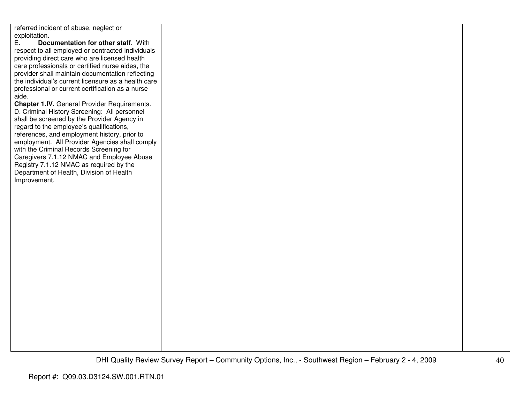| referred incident of abuse, neglect or              |  |  |
|-----------------------------------------------------|--|--|
| exploitation.                                       |  |  |
| Documentation for other staff. With<br>E.           |  |  |
| respect to all employed or contracted individuals   |  |  |
| providing direct care who are licensed health       |  |  |
|                                                     |  |  |
| care professionals or certified nurse aides, the    |  |  |
| provider shall maintain documentation reflecting    |  |  |
| the individual's current licensure as a health care |  |  |
| professional or current certification as a nurse    |  |  |
| aide.                                               |  |  |
| Chapter 1.IV. General Provider Requirements.        |  |  |
|                                                     |  |  |
| D. Criminal History Screening: All personnel        |  |  |
| shall be screened by the Provider Agency in         |  |  |
| regard to the employee's qualifications,            |  |  |
| references, and employment history, prior to        |  |  |
| employment. All Provider Agencies shall comply      |  |  |
| with the Criminal Records Screening for             |  |  |
|                                                     |  |  |
| Caregivers 7.1.12 NMAC and Employee Abuse           |  |  |
| Registry 7.1.12 NMAC as required by the             |  |  |
| Department of Health, Division of Health            |  |  |
| Improvement.                                        |  |  |
|                                                     |  |  |
|                                                     |  |  |
|                                                     |  |  |
|                                                     |  |  |
|                                                     |  |  |
|                                                     |  |  |
|                                                     |  |  |
|                                                     |  |  |
|                                                     |  |  |
|                                                     |  |  |
|                                                     |  |  |
|                                                     |  |  |
|                                                     |  |  |
|                                                     |  |  |
|                                                     |  |  |
|                                                     |  |  |
|                                                     |  |  |
|                                                     |  |  |
|                                                     |  |  |
|                                                     |  |  |
|                                                     |  |  |
|                                                     |  |  |
|                                                     |  |  |
|                                                     |  |  |
|                                                     |  |  |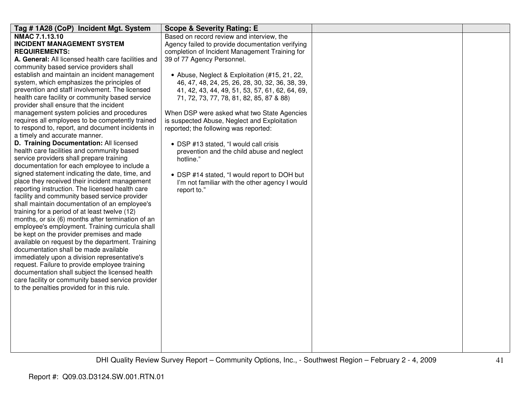| Tag #1A28 (CoP) Incident Mgt. System                                                           | <b>Scope &amp; Severity Rating: E</b>            |  |
|------------------------------------------------------------------------------------------------|--------------------------------------------------|--|
| NMAC 7.1.13.10                                                                                 | Based on record review and interview, the        |  |
| <b>INCIDENT MANAGEMENT SYSTEM</b>                                                              | Agency failed to provide documentation verifying |  |
| <b>REQUIREMENTS:</b>                                                                           | completion of Incident Management Training for   |  |
| A. General: All licensed health care facilities and                                            | 39 of 77 Agency Personnel.                       |  |
| community based service providers shall                                                        |                                                  |  |
| establish and maintain an incident management                                                  | • Abuse, Neglect & Exploitation (#15, 21, 22,    |  |
| system, which emphasizes the principles of                                                     | 46, 47, 48, 24, 25, 26, 28, 30, 32, 36, 38, 39,  |  |
| prevention and staff involvement. The licensed                                                 | 41, 42, 43, 44, 49, 51, 53, 57, 61, 62, 64, 69,  |  |
| health care facility or community based service                                                | 71, 72, 73, 77, 78, 81, 82, 85, 87 & 88)         |  |
| provider shall ensure that the incident                                                        |                                                  |  |
| management system policies and procedures                                                      | When DSP were asked what two State Agencies      |  |
| requires all employees to be competently trained                                               | is suspected Abuse, Neglect and Exploitation     |  |
| to respond to, report, and document incidents in                                               | reported; the following was reported:            |  |
| a timely and accurate manner.                                                                  |                                                  |  |
| D. Training Documentation: All licensed                                                        | • DSP #13 stated, "I would call crisis           |  |
| health care facilities and community based                                                     | prevention and the child abuse and neglect       |  |
| service providers shall prepare training                                                       | hotline."                                        |  |
| documentation for each employee to include a                                                   |                                                  |  |
| signed statement indicating the date, time, and                                                | • DSP #14 stated, "I would report to DOH but     |  |
| place they received their incident management                                                  | I'm not familiar with the other agency I would   |  |
| reporting instruction. The licensed health care                                                | report to."                                      |  |
| facility and community based service provider<br>shall maintain documentation of an employee's |                                                  |  |
| training for a period of at least twelve (12)                                                  |                                                  |  |
| months, or six (6) months after termination of an                                              |                                                  |  |
| employee's employment. Training curricula shall                                                |                                                  |  |
| be kept on the provider premises and made                                                      |                                                  |  |
| available on request by the department. Training                                               |                                                  |  |
| documentation shall be made available                                                          |                                                  |  |
| immediately upon a division representative's                                                   |                                                  |  |
| request. Failure to provide employee training                                                  |                                                  |  |
| documentation shall subject the licensed health                                                |                                                  |  |
| care facility or community based service provider                                              |                                                  |  |
| to the penalties provided for in this rule.                                                    |                                                  |  |
|                                                                                                |                                                  |  |
|                                                                                                |                                                  |  |
|                                                                                                |                                                  |  |
|                                                                                                |                                                  |  |
|                                                                                                |                                                  |  |
|                                                                                                |                                                  |  |
|                                                                                                |                                                  |  |
|                                                                                                |                                                  |  |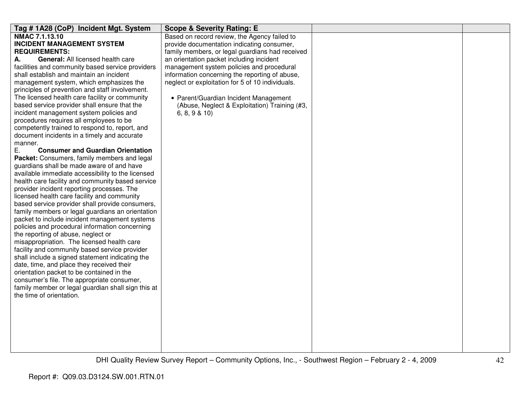| Tag #1A28 (CoP) Incident Mgt. System                                                           | <b>Scope &amp; Severity Rating: E</b>                                                         |  |
|------------------------------------------------------------------------------------------------|-----------------------------------------------------------------------------------------------|--|
| <b>NMAC 7.1.13.10</b><br><b>INCIDENT MANAGEMENT SYSTEM</b>                                     | Based on record review, the Agency failed to                                                  |  |
| <b>REQUIREMENTS:</b>                                                                           | provide documentation indicating consumer,<br>family members, or legal guardians had received |  |
| General: All licensed health care<br>А.                                                        | an orientation packet including incident                                                      |  |
| facilities and community based service providers                                               | management system policies and procedural                                                     |  |
| shall establish and maintain an incident                                                       | information concerning the reporting of abuse,                                                |  |
| management system, which emphasizes the                                                        | neglect or exploitation for 5 of 10 individuals.                                              |  |
| principles of prevention and staff involvement.                                                |                                                                                               |  |
| The licensed health care facility or community                                                 | • Parent/Guardian Incident Management                                                         |  |
| based service provider shall ensure that the                                                   | (Abuse, Neglect & Exploitation) Training (#3,                                                 |  |
| incident management system policies and                                                        | 6, 8, 9 & 10                                                                                  |  |
| procedures requires all employees to be                                                        |                                                                                               |  |
| competently trained to respond to, report, and                                                 |                                                                                               |  |
| document incidents in a timely and accurate                                                    |                                                                                               |  |
| manner.                                                                                        |                                                                                               |  |
| Ε.<br><b>Consumer and Guardian Orientation</b>                                                 |                                                                                               |  |
| Packet: Consumers, family members and legal                                                    |                                                                                               |  |
| guardians shall be made aware of and have                                                      |                                                                                               |  |
| available immediate accessibility to the licensed                                              |                                                                                               |  |
| health care facility and community based service<br>provider incident reporting processes. The |                                                                                               |  |
| licensed health care facility and community                                                    |                                                                                               |  |
| based service provider shall provide consumers,                                                |                                                                                               |  |
| family members or legal guardians an orientation                                               |                                                                                               |  |
| packet to include incident management systems                                                  |                                                                                               |  |
| policies and procedural information concerning                                                 |                                                                                               |  |
| the reporting of abuse, neglect or                                                             |                                                                                               |  |
| misappropriation. The licensed health care                                                     |                                                                                               |  |
| facility and community based service provider                                                  |                                                                                               |  |
| shall include a signed statement indicating the                                                |                                                                                               |  |
| date, time, and place they received their                                                      |                                                                                               |  |
| orientation packet to be contained in the                                                      |                                                                                               |  |
| consumer's file. The appropriate consumer,                                                     |                                                                                               |  |
| family member or legal guardian shall sign this at                                             |                                                                                               |  |
| the time of orientation.                                                                       |                                                                                               |  |
|                                                                                                |                                                                                               |  |
|                                                                                                |                                                                                               |  |
|                                                                                                |                                                                                               |  |
|                                                                                                |                                                                                               |  |
|                                                                                                |                                                                                               |  |
|                                                                                                |                                                                                               |  |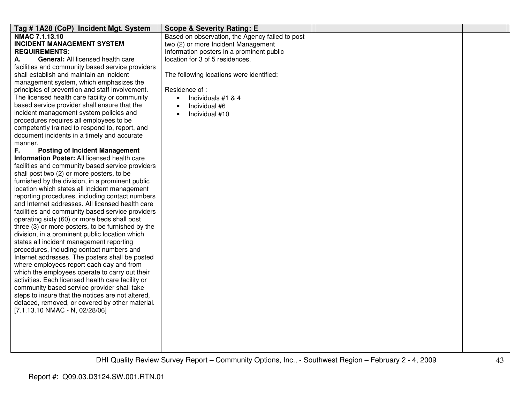| Tag # 1A28 (CoP) Incident Mgt. System             | <b>Scope &amp; Severity Rating: E</b>           |  |
|---------------------------------------------------|-------------------------------------------------|--|
| NMAC 7.1.13.10                                    | Based on observation, the Agency failed to post |  |
| <b>INCIDENT MANAGEMENT SYSTEM</b>                 | two (2) or more Incident Management             |  |
| <b>REQUIREMENTS:</b>                              | Information posters in a prominent public       |  |
| General: All licensed health care<br>А.           | location for 3 of 5 residences.                 |  |
| facilities and community based service providers  |                                                 |  |
| shall establish and maintain an incident          | The following locations were identified:        |  |
| management system, which emphasizes the           |                                                 |  |
| principles of prevention and staff involvement.   | Residence of:                                   |  |
| The licensed health care facility or community    | Individuals #1 & 4<br>$\bullet$                 |  |
| based service provider shall ensure that the      | Individual #6                                   |  |
| incident management system policies and           | Individual #10                                  |  |
| procedures requires all employees to be           |                                                 |  |
| competently trained to respond to, report, and    |                                                 |  |
| document incidents in a timely and accurate       |                                                 |  |
| manner.                                           |                                                 |  |
| F.<br><b>Posting of Incident Management</b>       |                                                 |  |
| Information Poster: All licensed health care      |                                                 |  |
| facilities and community based service providers  |                                                 |  |
| shall post two (2) or more posters, to be         |                                                 |  |
| furnished by the division, in a prominent public  |                                                 |  |
| location which states all incident management     |                                                 |  |
| reporting procedures, including contact numbers   |                                                 |  |
| and Internet addresses. All licensed health care  |                                                 |  |
| facilities and community based service providers  |                                                 |  |
| operating sixty (60) or more beds shall post      |                                                 |  |
| three (3) or more posters, to be furnished by the |                                                 |  |
| division, in a prominent public location which    |                                                 |  |
| states all incident management reporting          |                                                 |  |
| procedures, including contact numbers and         |                                                 |  |
| Internet addresses. The posters shall be posted   |                                                 |  |
| where employees report each day and from          |                                                 |  |
| which the employees operate to carry out their    |                                                 |  |
| activities. Each licensed health care facility or |                                                 |  |
| community based service provider shall take       |                                                 |  |
| steps to insure that the notices are not altered, |                                                 |  |
| defaced, removed, or covered by other material.   |                                                 |  |
| [7.1.13.10 NMAC - N, 02/28/06]                    |                                                 |  |
|                                                   |                                                 |  |
|                                                   |                                                 |  |
|                                                   |                                                 |  |
|                                                   |                                                 |  |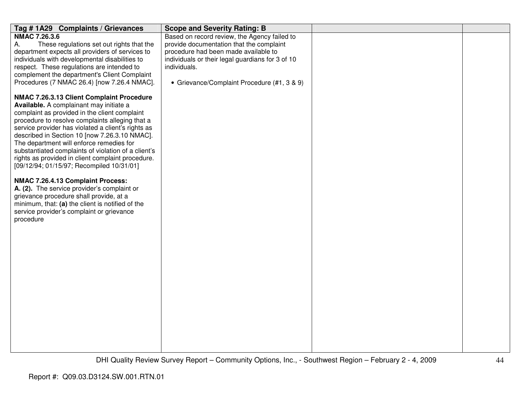| Tag #1A29 Complaints / Grievances                                                                                                                                                                                                                                                                                                                                                                                                                       | <b>Scope and Severity Rating: B</b>                                                                                                                                                                                                                 |  |
|---------------------------------------------------------------------------------------------------------------------------------------------------------------------------------------------------------------------------------------------------------------------------------------------------------------------------------------------------------------------------------------------------------------------------------------------------------|-----------------------------------------------------------------------------------------------------------------------------------------------------------------------------------------------------------------------------------------------------|--|
| <b>NMAC 7.26.3.6</b><br>These regulations set out rights that the<br>А.<br>department expects all providers of services to<br>individuals with developmental disabilities to<br>respect. These regulations are intended to<br>complement the department's Client Complaint<br>Procedures (7 NMAC 26.4) [now 7.26.4 NMAC].<br>NMAC 7.26.3.13 Client Complaint Procedure                                                                                  | Based on record review, the Agency failed to<br>provide documentation that the complaint<br>procedure had been made available to<br>individuals or their legal guardians for 3 of 10<br>individuals.<br>• Grievance/Complaint Procedure (#1, 3 & 9) |  |
| Available. A complainant may initiate a<br>complaint as provided in the client complaint<br>procedure to resolve complaints alleging that a<br>service provider has violated a client's rights as<br>described in Section 10 [now 7.26.3.10 NMAC].<br>The department will enforce remedies for<br>substantiated complaints of violation of a client's<br>rights as provided in client complaint procedure.<br>[09/12/94; 01/15/97; Recompiled 10/31/01] |                                                                                                                                                                                                                                                     |  |
| NMAC 7.26.4.13 Complaint Process:<br>A. (2). The service provider's complaint or<br>grievance procedure shall provide, at a<br>minimum, that: (a) the client is notified of the<br>service provider's complaint or grievance<br>procedure                                                                                                                                                                                                               |                                                                                                                                                                                                                                                     |  |
|                                                                                                                                                                                                                                                                                                                                                                                                                                                         |                                                                                                                                                                                                                                                     |  |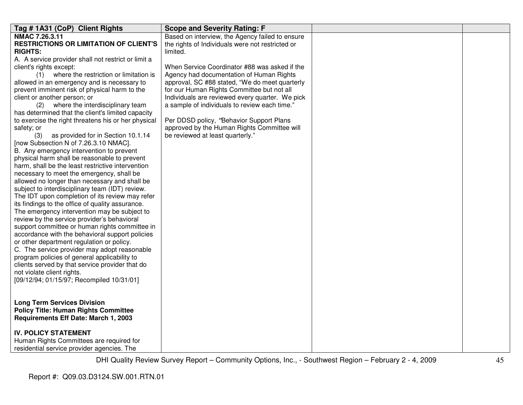| Tag # 1A31 (CoP) Client Rights                                                              | <b>Scope and Severity Rating: F</b>              |  |
|---------------------------------------------------------------------------------------------|--------------------------------------------------|--|
| NMAC 7.26.3.11                                                                              | Based on interview, the Agency failed to ensure  |  |
| <b>RESTRICTIONS OR LIMITATION OF CLIENT'S</b>                                               | the rights of Individuals were not restricted or |  |
| <b>RIGHTS:</b>                                                                              | limited.                                         |  |
| A. A service provider shall not restrict or limit a                                         |                                                  |  |
| client's rights except:                                                                     | When Service Coordinator #88 was asked if the    |  |
| (1) where the restriction or limitation is                                                  | Agency had documentation of Human Rights         |  |
| allowed in an emergency and is necessary to                                                 | approval, SC #88 stated, "We do meet quarterly   |  |
| prevent imminent risk of physical harm to the                                               | for our Human Rights Committee but not all       |  |
| client or another person; or                                                                | Individuals are reviewed every quarter. We pick  |  |
| (2) where the interdisciplinary team                                                        | a sample of individuals to review each time."    |  |
| has determined that the client's limited capacity                                           |                                                  |  |
| to exercise the right threatens his or her physical                                         | Per DDSD policy, "Behavior Support Plans         |  |
| safety; or                                                                                  | approved by the Human Rights Committee will      |  |
| as provided for in Section 10.1.14<br>(3)                                                   | be reviewed at least quarterly."                 |  |
| [now Subsection N of 7.26.3.10 NMAC].                                                       |                                                  |  |
| B. Any emergency intervention to prevent                                                    |                                                  |  |
| physical harm shall be reasonable to prevent                                                |                                                  |  |
| harm, shall be the least restrictive intervention                                           |                                                  |  |
| necessary to meet the emergency, shall be                                                   |                                                  |  |
| allowed no longer than necessary and shall be                                               |                                                  |  |
| subject to interdisciplinary team (IDT) review.                                             |                                                  |  |
| The IDT upon completion of its review may refer                                             |                                                  |  |
| its findings to the office of quality assurance.                                            |                                                  |  |
| The emergency intervention may be subject to<br>review by the service provider's behavioral |                                                  |  |
| support committee or human rights committee in                                              |                                                  |  |
| accordance with the behavioral support policies                                             |                                                  |  |
| or other department regulation or policy.                                                   |                                                  |  |
| C. The service provider may adopt reasonable                                                |                                                  |  |
| program policies of general applicability to                                                |                                                  |  |
| clients served by that service provider that do                                             |                                                  |  |
| not violate client rights.                                                                  |                                                  |  |
| [09/12/94; 01/15/97; Recompiled 10/31/01]                                                   |                                                  |  |
|                                                                                             |                                                  |  |
|                                                                                             |                                                  |  |
| <b>Long Term Services Division</b>                                                          |                                                  |  |
| <b>Policy Title: Human Rights Committee</b>                                                 |                                                  |  |
| Requirements Eff Date: March 1, 2003                                                        |                                                  |  |
|                                                                                             |                                                  |  |
| <b>IV. POLICY STATEMENT</b>                                                                 |                                                  |  |
| Human Rights Committees are required for                                                    |                                                  |  |
| residential service provider agencies. The                                                  |                                                  |  |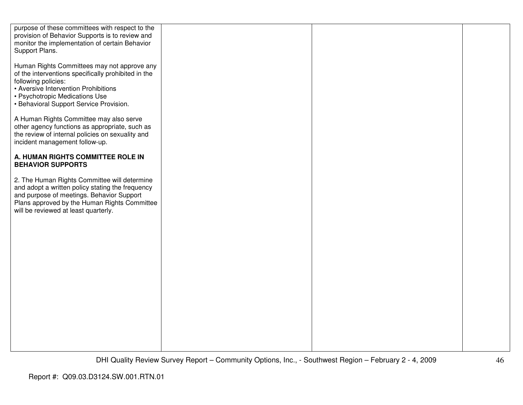| purpose of these committees with respect to the<br>provision of Behavior Supports is to review and<br>monitor the implementation of certain Behavior<br>Support Plans.                                                                         |  |  |
|------------------------------------------------------------------------------------------------------------------------------------------------------------------------------------------------------------------------------------------------|--|--|
| Human Rights Committees may not approve any<br>of the interventions specifically prohibited in the<br>following policies:<br>• Aversive Intervention Prohibitions<br>• Psychotropic Medications Use<br>• Behavioral Support Service Provision. |  |  |
| A Human Rights Committee may also serve<br>other agency functions as appropriate, such as<br>the review of internal policies on sexuality and<br>incident management follow-up.                                                                |  |  |
| A. HUMAN RIGHTS COMMITTEE ROLE IN<br><b>BEHAVIOR SUPPORTS</b>                                                                                                                                                                                  |  |  |
| 2. The Human Rights Committee will determine<br>and adopt a written policy stating the frequency<br>and purpose of meetings. Behavior Support<br>Plans approved by the Human Rights Committee<br>will be reviewed at least quarterly.          |  |  |
|                                                                                                                                                                                                                                                |  |  |
|                                                                                                                                                                                                                                                |  |  |
|                                                                                                                                                                                                                                                |  |  |
|                                                                                                                                                                                                                                                |  |  |
|                                                                                                                                                                                                                                                |  |  |
|                                                                                                                                                                                                                                                |  |  |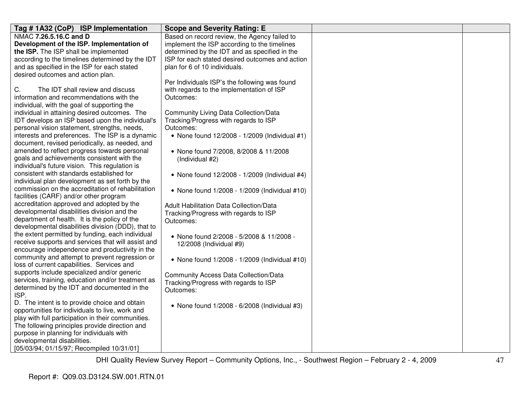| Tag #1A32 (CoP) ISP Implementation                 | <b>Scope and Severity Rating: E</b>             |  |
|----------------------------------------------------|-------------------------------------------------|--|
| NMAC 7.26.5.16.C and D                             | Based on record review, the Agency failed to    |  |
| Development of the ISP. Implementation of          | implement the ISP according to the timelines    |  |
| the ISP. The ISP shall be implemented              | determined by the IDT and as specified in the   |  |
| according to the timelines determined by the IDT   | ISP for each stated desired outcomes and action |  |
| and as specified in the ISP for each stated        | plan for 6 of 10 individuals.                   |  |
| desired outcomes and action plan.                  |                                                 |  |
|                                                    | Per Individuals ISP's the following was found   |  |
| С.<br>The IDT shall review and discuss             | with regards to the implementation of ISP       |  |
| information and recommendations with the           | Outcomes:                                       |  |
| individual, with the goal of supporting the        |                                                 |  |
| individual in attaining desired outcomes. The      | <b>Community Living Data Collection/Data</b>    |  |
| IDT develops an ISP based upon the individual's    | Tracking/Progress with regards to ISP           |  |
| personal vision statement, strengths, needs,       | Outcomes:                                       |  |
| interests and preferences. The ISP is a dynamic    | • None found 12/2008 - 1/2009 (Individual #1)   |  |
| document, revised periodically, as needed, and     |                                                 |  |
| amended to reflect progress towards personal       | • None found 7/2008, 8/2008 & 11/2008           |  |
| goals and achievements consistent with the         | (Individual #2)                                 |  |
| individual's future vision. This regulation is     |                                                 |  |
| consistent with standards established for          | • None found 12/2008 - 1/2009 (Individual #4)   |  |
| individual plan development as set forth by the    |                                                 |  |
| commission on the accreditation of rehabilitation  | • None found 1/2008 - 1/2009 (Individual #10)   |  |
| facilities (CARF) and/or other program             |                                                 |  |
| accreditation approved and adopted by the          | Adult Habilitation Data Collection/Data         |  |
| developmental disabilities division and the        | Tracking/Progress with regards to ISP           |  |
| department of health. It is the policy of the      | Outcomes:                                       |  |
| developmental disabilities division (DDD), that to |                                                 |  |
| the extent permitted by funding, each individual   | • None found 2/2008 - 5/2008 & 11/2008 -        |  |
| receive supports and services that will assist and | 12/2008 (Individual #9)                         |  |
| encourage independence and productivity in the     |                                                 |  |
| community and attempt to prevent regression or     | • None found 1/2008 - 1/2009 (Individual #10)   |  |
| loss of current capabilities. Services and         |                                                 |  |
| supports include specialized and/or generic        | <b>Community Access Data Collection/Data</b>    |  |
| services, training, education and/or treatment as  | Tracking/Progress with regards to ISP           |  |
| determined by the IDT and documented in the        | Outcomes:                                       |  |
| ISP.                                               |                                                 |  |
| D. The intent is to provide choice and obtain      | • None found 1/2008 - 6/2008 (Individual #3)    |  |
| opportunities for individuals to live, work and    |                                                 |  |
| play with full participation in their communities. |                                                 |  |
| The following principles provide direction and     |                                                 |  |
| purpose in planning for individuals with           |                                                 |  |
| developmental disabilities.                        |                                                 |  |
| [05/03/94; 01/15/97; Recompiled 10/31/01]          |                                                 |  |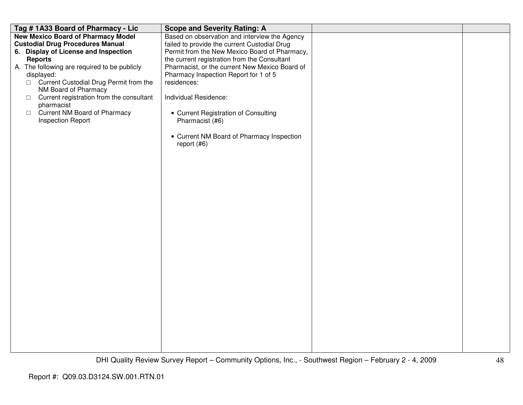| Tag #1A33 Board of Pharmacy - Lic                                                    | <b>Scope and Severity Rating: A</b>                                                           |  |
|--------------------------------------------------------------------------------------|-----------------------------------------------------------------------------------------------|--|
| <b>New Mexico Board of Pharmacy Model</b><br><b>Custodial Drug Procedures Manual</b> | Based on observation and interview the Agency<br>failed to provide the current Custodial Drug |  |
| 6. Display of License and Inspection                                                 | Permit from the New Mexico Board of Pharmacy,                                                 |  |
| <b>Reports</b>                                                                       | the current registration from the Consultant                                                  |  |
| A. The following are required to be publicly<br>displayed:                           | Pharmacist, or the current New Mexico Board of<br>Pharmacy Inspection Report for 1 of 5       |  |
| □ Current Custodial Drug Permit from the                                             | residences:                                                                                   |  |
| NM Board of Pharmacy<br>Current registration from the consultant                     | Individual Residence:                                                                         |  |
| $\Box$<br>pharmacist                                                                 |                                                                                               |  |
| Current NM Board of Pharmacy<br>$\Box$<br><b>Inspection Report</b>                   | • Current Registration of Consulting<br>Pharmacist (#6)                                       |  |
|                                                                                      | • Current NM Board of Pharmacy Inspection<br>report $(#6)$                                    |  |
|                                                                                      |                                                                                               |  |
|                                                                                      |                                                                                               |  |
|                                                                                      |                                                                                               |  |
|                                                                                      |                                                                                               |  |
|                                                                                      |                                                                                               |  |
|                                                                                      |                                                                                               |  |
|                                                                                      |                                                                                               |  |
|                                                                                      |                                                                                               |  |
|                                                                                      |                                                                                               |  |
|                                                                                      |                                                                                               |  |
|                                                                                      |                                                                                               |  |
|                                                                                      |                                                                                               |  |
|                                                                                      |                                                                                               |  |
|                                                                                      |                                                                                               |  |
|                                                                                      |                                                                                               |  |
|                                                                                      |                                                                                               |  |
|                                                                                      |                                                                                               |  |
|                                                                                      |                                                                                               |  |
|                                                                                      |                                                                                               |  |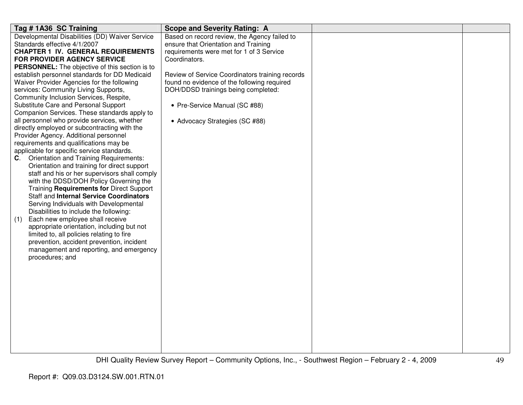| Tag #1A36 SC Training                                                               | <b>Scope and Severity Rating: A</b>             |  |
|-------------------------------------------------------------------------------------|-------------------------------------------------|--|
| Developmental Disabilities (DD) Waiver Service                                      | Based on record review, the Agency failed to    |  |
| Standards effective 4/1/2007                                                        | ensure that Orientation and Training            |  |
| <b>CHAPTER 1 IV. GENERAL REQUIREMENTS</b>                                           | requirements were met for 1 of 3 Service        |  |
| FOR PROVIDER AGENCY SERVICE                                                         | Coordinators.                                   |  |
| <b>PERSONNEL:</b> The objective of this section is to                               |                                                 |  |
| establish personnel standards for DD Medicaid                                       | Review of Service Coordinators training records |  |
| Waiver Provider Agencies for the following                                          | found no evidence of the following required     |  |
| services: Community Living Supports,                                                | DOH/DDSD trainings being completed:             |  |
| Community Inclusion Services, Respite,                                              |                                                 |  |
| Substitute Care and Personal Support                                                | • Pre-Service Manual (SC #88)                   |  |
| Companion Services. These standards apply to                                        |                                                 |  |
| all personnel who provide services, whether                                         | • Advocacy Strategies (SC #88)                  |  |
| directly employed or subcontracting with the                                        |                                                 |  |
| Provider Agency. Additional personnel                                               |                                                 |  |
| requirements and qualifications may be                                              |                                                 |  |
| applicable for specific service standards.                                          |                                                 |  |
| <b>Orientation and Training Requirements:</b><br>C.                                 |                                                 |  |
| Orientation and training for direct support                                         |                                                 |  |
| staff and his or her supervisors shall comply                                       |                                                 |  |
| with the DDSD/DOH Policy Governing the                                              |                                                 |  |
| Training Requirements for Direct Support<br>Staff and Internal Service Coordinators |                                                 |  |
| Serving Individuals with Developmental                                              |                                                 |  |
| Disabilities to include the following:                                              |                                                 |  |
| Each new employee shall receive<br>(1)                                              |                                                 |  |
| appropriate orientation, including but not                                          |                                                 |  |
| limited to, all policies relating to fire                                           |                                                 |  |
| prevention, accident prevention, incident                                           |                                                 |  |
| management and reporting, and emergency                                             |                                                 |  |
| procedures; and                                                                     |                                                 |  |
|                                                                                     |                                                 |  |
|                                                                                     |                                                 |  |
|                                                                                     |                                                 |  |
|                                                                                     |                                                 |  |
|                                                                                     |                                                 |  |
|                                                                                     |                                                 |  |
|                                                                                     |                                                 |  |
|                                                                                     |                                                 |  |
|                                                                                     |                                                 |  |
|                                                                                     |                                                 |  |
|                                                                                     |                                                 |  |
|                                                                                     |                                                 |  |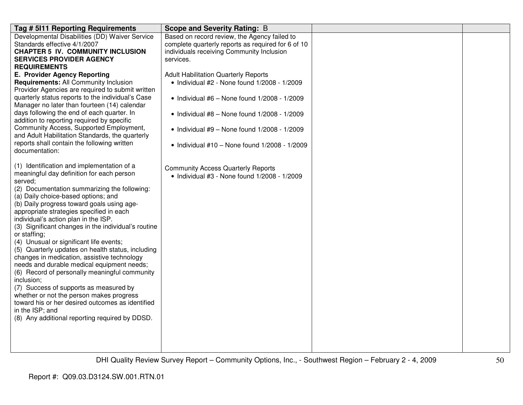| Tag # 5111 Reporting Requirements                                                                                                                                                                                                                                                                                                                                                                                                                                                                                                                                                                                                                                                                                                                                                                                                                                             | <b>Scope and Severity Rating: B</b>                                                                                                                                                                                                                                                                                                                                                                                                                                                      |  |
|-------------------------------------------------------------------------------------------------------------------------------------------------------------------------------------------------------------------------------------------------------------------------------------------------------------------------------------------------------------------------------------------------------------------------------------------------------------------------------------------------------------------------------------------------------------------------------------------------------------------------------------------------------------------------------------------------------------------------------------------------------------------------------------------------------------------------------------------------------------------------------|------------------------------------------------------------------------------------------------------------------------------------------------------------------------------------------------------------------------------------------------------------------------------------------------------------------------------------------------------------------------------------------------------------------------------------------------------------------------------------------|--|
| Developmental Disabilities (DD) Waiver Service<br>Standards effective 4/1/2007<br><b>CHAPTER 5 IV. COMMUNITY INCLUSION</b><br><b>SERVICES PROVIDER AGENCY</b><br><b>REQUIREMENTS</b><br>E. Provider Agency Reporting<br><b>Requirements: All Community Inclusion</b><br>Provider Agencies are required to submit written<br>quarterly status reports to the individual's Case<br>Manager no later than fourteen (14) calendar<br>days following the end of each quarter. In<br>addition to reporting required by specific<br>Community Access, Supported Employment,<br>and Adult Habilitation Standards, the quarterly<br>reports shall contain the following written<br>documentation:                                                                                                                                                                                      | Based on record review, the Agency failed to<br>complete quarterly reports as required for 6 of 10<br>individuals receiving Community Inclusion<br>services.<br><b>Adult Habilitation Quarterly Reports</b><br>• Individual #2 - None found 1/2008 - 1/2009<br>$\bullet$ Individual #6 - None found 1/2008 - 1/2009<br>$\bullet$ Individual #8 - None found 1/2008 - 1/2009<br>$\bullet$ Individual #9 - None found 1/2008 - 1/2009<br>• Individual $#10 -$ None found $1/2008 - 1/2009$ |  |
| (1) Identification and implementation of a<br>meaningful day definition for each person<br>served;<br>(2) Documentation summarizing the following:<br>(a) Daily choice-based options; and<br>(b) Daily progress toward goals using age-<br>appropriate strategies specified in each<br>individual's action plan in the ISP.<br>(3) Significant changes in the individual's routine<br>or staffing;<br>(4) Unusual or significant life events;<br>(5) Quarterly updates on health status, including<br>changes in medication, assistive technology<br>needs and durable medical equipment needs;<br>(6) Record of personally meaningful community<br>inclusion;<br>(7) Success of supports as measured by<br>whether or not the person makes progress<br>toward his or her desired outcomes as identified<br>in the ISP; and<br>(8) Any additional reporting required by DDSD. | <b>Community Access Quarterly Reports</b><br>• Individual #3 - None found 1/2008 - 1/2009                                                                                                                                                                                                                                                                                                                                                                                                |  |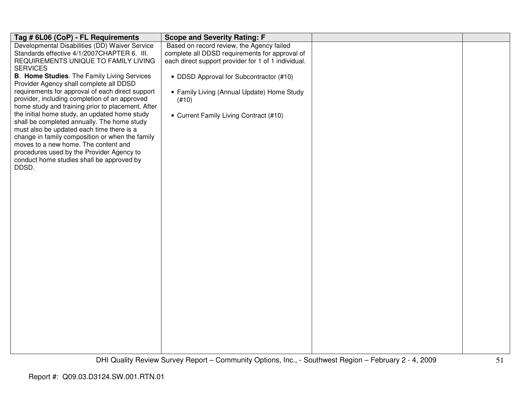| Tag # 6L06 (CoP) - FL Requirements                                                | <b>Scope and Severity Rating: F</b>                 |  |
|-----------------------------------------------------------------------------------|-----------------------------------------------------|--|
| Developmental Disabilities (DD) Waiver Service                                    | Based on record review, the Agency failed           |  |
| Standards effective 4/1/2007CHAPTER 6. III.                                       | complete all DDSD requirements for approval of      |  |
| REQUIREMENTS UNIQUE TO FAMILY LIVING                                              | each direct support provider for 1 of 1 individual. |  |
| <b>SERVICES</b>                                                                   |                                                     |  |
| B. Home Studies. The Family Living Services                                       | • DDSD Approval for Subcontractor (#10)             |  |
| Provider Agency shall complete all DDSD                                           |                                                     |  |
| requirements for approval of each direct support                                  | • Family Living (Annual Update) Home Study          |  |
| provider, including completion of an approved                                     | (#10)                                               |  |
| home study and training prior to placement. After                                 |                                                     |  |
| the initial home study, an updated home study                                     | • Current Family Living Contract (#10)              |  |
| shall be completed annually. The home study                                       |                                                     |  |
| must also be updated each time there is a                                         |                                                     |  |
| change in family composition or when the family                                   |                                                     |  |
| moves to a new home. The content and<br>procedures used by the Provider Agency to |                                                     |  |
| conduct home studies shall be approved by                                         |                                                     |  |
| DDSD.                                                                             |                                                     |  |
|                                                                                   |                                                     |  |
|                                                                                   |                                                     |  |
|                                                                                   |                                                     |  |
|                                                                                   |                                                     |  |
|                                                                                   |                                                     |  |
|                                                                                   |                                                     |  |
|                                                                                   |                                                     |  |
|                                                                                   |                                                     |  |
|                                                                                   |                                                     |  |
|                                                                                   |                                                     |  |
|                                                                                   |                                                     |  |
|                                                                                   |                                                     |  |
|                                                                                   |                                                     |  |
|                                                                                   |                                                     |  |
|                                                                                   |                                                     |  |
|                                                                                   |                                                     |  |
|                                                                                   |                                                     |  |
|                                                                                   |                                                     |  |
|                                                                                   |                                                     |  |
|                                                                                   |                                                     |  |
|                                                                                   |                                                     |  |
|                                                                                   |                                                     |  |
|                                                                                   |                                                     |  |
|                                                                                   |                                                     |  |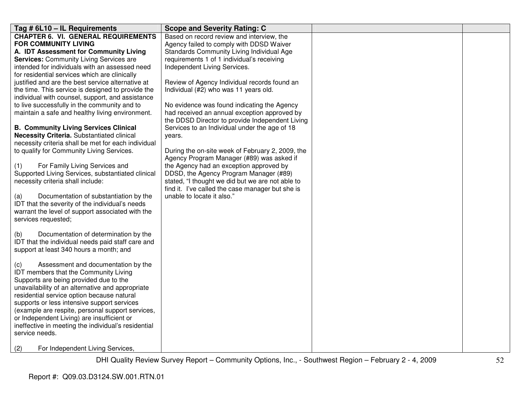| Tag # 6L10 - IL Requirements                        | <b>Scope and Severity Rating: C</b>              |  |
|-----------------------------------------------------|--------------------------------------------------|--|
| <b>CHAPTER 6. VI. GENERAL REQUIREMENTS</b>          | Based on record review and interview, the        |  |
| <b>FOR COMMUNITY LIVING</b>                         | Agency failed to comply with DDSD Waiver         |  |
| A. IDT Assessment for Community Living              | Standards Community Living Individual Age        |  |
| <b>Services: Community Living Services are</b>      | requirements 1 of 1 individual's receiving       |  |
| intended for individuals with an assessed need      | Independent Living Services.                     |  |
| for residential services which are clinically       |                                                  |  |
| justified and are the best service alternative at   | Review of Agency Individual records found an     |  |
| the time. This service is designed to provide the   | Individual (#2) who was 11 years old.            |  |
| individual with counsel, support, and assistance    |                                                  |  |
| to live successfully in the community and to        | No evidence was found indicating the Agency      |  |
| maintain a safe and healthy living environment.     | had received an annual exception approved by     |  |
|                                                     | the DDSD Director to provide Independent Living  |  |
| <b>B. Community Living Services Clinical</b>        | Services to an Individual under the age of 18    |  |
| Necessity Criteria. Substantiated clinical          | years.                                           |  |
| necessity criteria shall be met for each individual |                                                  |  |
| to qualify for Community Living Services.           | During the on-site week of February 2, 2009, the |  |
|                                                     | Agency Program Manager (#89) was asked if        |  |
| For Family Living Services and<br>(1)               | the Agency had an exception approved by          |  |
| Supported Living Services, substantiated clinical   | DDSD, the Agency Program Manager (#89)           |  |
| necessity criteria shall include:                   | stated, "I thought we did but we are not able to |  |
|                                                     | find it. I've called the case manager but she is |  |
| Documentation of substantiation by the<br>(a)       | unable to locate it also."                       |  |
| IDT that the severity of the individual's needs     |                                                  |  |
| warrant the level of support associated with the    |                                                  |  |
| services requested;                                 |                                                  |  |
| Documentation of determination by the<br>(b)        |                                                  |  |
| IDT that the individual needs paid staff care and   |                                                  |  |
| support at least 340 hours a month; and             |                                                  |  |
|                                                     |                                                  |  |
| Assessment and documentation by the<br>(C)          |                                                  |  |
| IDT members that the Community Living               |                                                  |  |
| Supports are being provided due to the              |                                                  |  |
| unavailability of an alternative and appropriate    |                                                  |  |
| residential service option because natural          |                                                  |  |
| supports or less intensive support services         |                                                  |  |
| (example are respite, personal support services,    |                                                  |  |
| or Independent Living) are insufficient or          |                                                  |  |
| ineffective in meeting the individual's residential |                                                  |  |
| service needs.                                      |                                                  |  |
|                                                     |                                                  |  |
| For Independent Living Services,<br>(2)             |                                                  |  |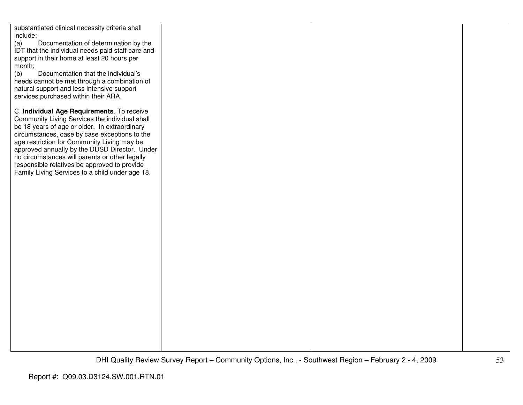| substantiated clinical necessity criteria shall   |  |  |
|---------------------------------------------------|--|--|
| include:                                          |  |  |
| Documentation of determination by the<br>(a)      |  |  |
|                                                   |  |  |
| IDT that the individual needs paid staff care and |  |  |
| support in their home at least 20 hours per       |  |  |
| month;                                            |  |  |
| (b)<br>Documentation that the individual's        |  |  |
| needs cannot be met through a combination of      |  |  |
|                                                   |  |  |
| natural support and less intensive support        |  |  |
| services purchased within their ARA.              |  |  |
|                                                   |  |  |
| C. Individual Age Requirements. To receive        |  |  |
| Community Living Services the individual shall    |  |  |
| be 18 years of age or older. In extraordinary     |  |  |
|                                                   |  |  |
| circumstances, case by case exceptions to the     |  |  |
| age restriction for Community Living may be       |  |  |
| approved annually by the DDSD Director. Under     |  |  |
| no circumstances will parents or other legally    |  |  |
| responsible relatives be approved to provide      |  |  |
| Family Living Services to a child under age 18.   |  |  |
|                                                   |  |  |
|                                                   |  |  |
|                                                   |  |  |
|                                                   |  |  |
|                                                   |  |  |
|                                                   |  |  |
|                                                   |  |  |
|                                                   |  |  |
|                                                   |  |  |
|                                                   |  |  |
|                                                   |  |  |
|                                                   |  |  |
|                                                   |  |  |
|                                                   |  |  |
|                                                   |  |  |
|                                                   |  |  |
|                                                   |  |  |
|                                                   |  |  |
|                                                   |  |  |
|                                                   |  |  |
|                                                   |  |  |
|                                                   |  |  |
|                                                   |  |  |
|                                                   |  |  |
|                                                   |  |  |
|                                                   |  |  |
|                                                   |  |  |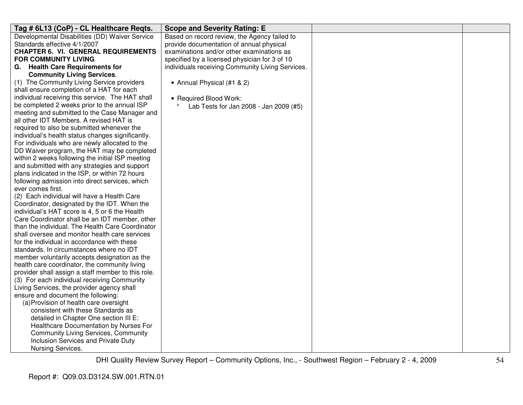| Tag # 6L13 (CoP) - CL Healthcare Reqts.                          | <b>Scope and Severity Rating: E</b>              |  |
|------------------------------------------------------------------|--------------------------------------------------|--|
| Developmental Disabilities (DD) Waiver Service                   | Based on record review, the Agency failed to     |  |
| Standards effective 4/1/2007                                     | provide documentation of annual physical         |  |
| <b>CHAPTER 6. VI. GENERAL REQUIREMENTS</b>                       | examinations and/or other examinations as        |  |
| FOR COMMUNITY LIVING                                             | specified by a licensed physician for 3 of 10    |  |
| G. Health Care Requirements for                                  | individuals receiving Community Living Services. |  |
| <b>Community Living Services.</b>                                |                                                  |  |
| (1) The Community Living Service providers                       | • Annual Physical (#1 & 2)                       |  |
| shall ensure completion of a HAT for each                        |                                                  |  |
| individual receiving this service. The HAT shall                 | • Required Blood Work:                           |  |
| be completed 2 weeks prior to the annual ISP                     | Lab Tests for Jan 2008 - Jan 2009 (#5)           |  |
| meeting and submitted to the Case Manager and                    |                                                  |  |
| all other IDT Members. A revised HAT is                          |                                                  |  |
| required to also be submitted whenever the                       |                                                  |  |
| individual's health status changes significantly.                |                                                  |  |
| For individuals who are newly allocated to the                   |                                                  |  |
| DD Waiver program, the HAT may be completed                      |                                                  |  |
| within 2 weeks following the initial ISP meeting                 |                                                  |  |
| and submitted with any strategies and support                    |                                                  |  |
| plans indicated in the ISP, or within 72 hours                   |                                                  |  |
| following admission into direct services, which                  |                                                  |  |
| ever comes first.<br>(2) Each individual will have a Health Care |                                                  |  |
| Coordinator, designated by the IDT. When the                     |                                                  |  |
| individual's HAT score is 4, 5 or 6 the Health                   |                                                  |  |
| Care Coordinator shall be an IDT member, other                   |                                                  |  |
| than the individual. The Health Care Coordinator                 |                                                  |  |
| shall oversee and monitor health care services                   |                                                  |  |
| for the individual in accordance with these                      |                                                  |  |
| standards. In circumstances where no IDT                         |                                                  |  |
| member voluntarily accepts designation as the                    |                                                  |  |
| health care coordinator, the community living                    |                                                  |  |
| provider shall assign a staff member to this role.               |                                                  |  |
| (3) For each individual receiving Community                      |                                                  |  |
| Living Services, the provider agency shall                       |                                                  |  |
| ensure and document the following:                               |                                                  |  |
| (a) Provision of health care oversight                           |                                                  |  |
| consistent with these Standards as                               |                                                  |  |
| detailed in Chapter One section III E:                           |                                                  |  |
| Healthcare Documentation by Nurses For                           |                                                  |  |
| <b>Community Living Services, Community</b>                      |                                                  |  |
| Inclusion Services and Private Duty                              |                                                  |  |
| Nursing Services.                                                |                                                  |  |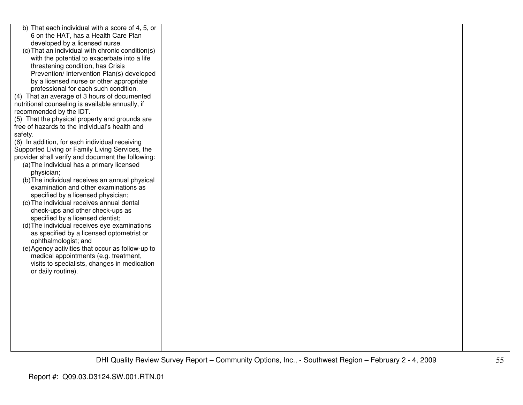| b) That each individual with a score of 4, 5, or  |  |  |
|---------------------------------------------------|--|--|
| 6 on the HAT, has a Health Care Plan              |  |  |
| developed by a licensed nurse.                    |  |  |
| (c) That an individual with chronic condition(s)  |  |  |
| with the potential to exacerbate into a life      |  |  |
| threatening condition, has Crisis                 |  |  |
| Prevention/ Intervention Plan(s) developed        |  |  |
| by a licensed nurse or other appropriate          |  |  |
| professional for each such condition.             |  |  |
| (4) That an average of 3 hours of documented      |  |  |
| nutritional counseling is available annually, if  |  |  |
| recommended by the IDT.                           |  |  |
| (5) That the physical property and grounds are    |  |  |
| free of hazards to the individual's health and    |  |  |
| safety.                                           |  |  |
| (6) In addition, for each individual receiving    |  |  |
| Supported Living or Family Living Services, the   |  |  |
| provider shall verify and document the following: |  |  |
| (a) The individual has a primary licensed         |  |  |
| physician;                                        |  |  |
| (b) The individual receives an annual physical    |  |  |
| examination and other examinations as             |  |  |
| specified by a licensed physician;                |  |  |
| (c) The individual receives annual dental         |  |  |
| check-ups and other check-ups as                  |  |  |
| specified by a licensed dentist;                  |  |  |
| (d) The individual receives eye examinations      |  |  |
| as specified by a licensed optometrist or         |  |  |
| ophthalmologist; and                              |  |  |
| (e) Agency activities that occur as follow-up to  |  |  |
| medical appointments (e.g. treatment,             |  |  |
| visits to specialists, changes in medication      |  |  |
| or daily routine).                                |  |  |
|                                                   |  |  |
|                                                   |  |  |
|                                                   |  |  |
|                                                   |  |  |
|                                                   |  |  |
|                                                   |  |  |
|                                                   |  |  |
|                                                   |  |  |
|                                                   |  |  |
|                                                   |  |  |
|                                                   |  |  |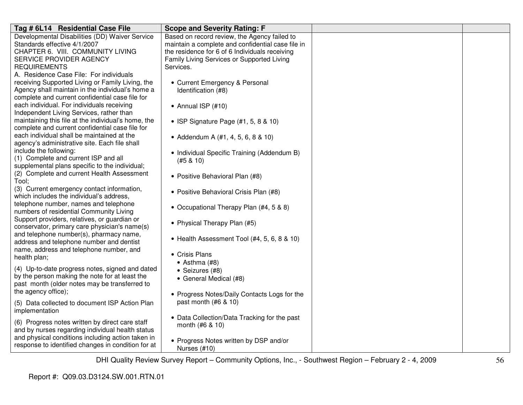| Tag # 6L14 Residential Case File                    | <b>Scope and Severity Rating: F</b>                                                                                       |  |
|-----------------------------------------------------|---------------------------------------------------------------------------------------------------------------------------|--|
| Developmental Disabilities (DD) Waiver Service      | Based on record review, the Agency failed to                                                                              |  |
| Standards effective 4/1/2007                        | maintain a complete and confidential case file in                                                                         |  |
| CHAPTER 6. VIII. COMMUNITY LIVING                   | the residence for 6 of 6 Individuals receiving                                                                            |  |
| SERVICE PROVIDER AGENCY                             | Family Living Services or Supported Living                                                                                |  |
| <b>REQUIREMENTS</b>                                 | Services.                                                                                                                 |  |
| A. Residence Case File: For individuals             |                                                                                                                           |  |
| receiving Supported Living or Family Living, the    | • Current Emergency & Personal                                                                                            |  |
| Agency shall maintain in the individual's home a    | Identification (#8)                                                                                                       |  |
| complete and current confidential case file for     |                                                                                                                           |  |
| each individual. For individuals receiving          | $\bullet$ Annual ISP (#10)                                                                                                |  |
| Independent Living Services, rather than            |                                                                                                                           |  |
| maintaining this file at the individual's home, the | • ISP Signature Page (#1, 5, 8 & 10)                                                                                      |  |
| complete and current confidential case file for     |                                                                                                                           |  |
| each individual shall be maintained at the          | • Addendum A (#1, 4, 5, 6, 8 & 10)                                                                                        |  |
| agency's administrative site. Each file shall       |                                                                                                                           |  |
| include the following:                              | • Individual Specific Training (Addendum B)                                                                               |  |
| (1) Complete and current ISP and all                | (#5 & 10)                                                                                                                 |  |
| supplemental plans specific to the individual;      |                                                                                                                           |  |
| (2) Complete and current Health Assessment          | • Positive Behavioral Plan (#8)                                                                                           |  |
| Tool;                                               |                                                                                                                           |  |
| (3) Current emergency contact information,          | • Positive Behavioral Crisis Plan (#8)                                                                                    |  |
| which includes the individual's address,            |                                                                                                                           |  |
| telephone number, names and telephone               | • Occupational Therapy Plan (#4, 5 & 8)                                                                                   |  |
| numbers of residential Community Living             |                                                                                                                           |  |
| Support providers, relatives, or guardian or        | • Physical Therapy Plan (#5)                                                                                              |  |
| conservator, primary care physician's name(s)       |                                                                                                                           |  |
| and telephone number(s), pharmacy name,             | • Health Assessment Tool (#4, 5, 6, 8 & 10)                                                                               |  |
| address and telephone number and dentist            |                                                                                                                           |  |
| name, address and telephone number, and             | • Crisis Plans                                                                                                            |  |
| health plan;                                        | $\bullet$ Asthma (#8)                                                                                                     |  |
| (4) Up-to-date progress notes, signed and dated     | • Seizures (#8)                                                                                                           |  |
| by the person making the note for at least the      | • General Medical (#8)                                                                                                    |  |
| past month (older notes may be transferred to       |                                                                                                                           |  |
| the agency office);                                 | • Progress Notes/Daily Contacts Logs for the                                                                              |  |
| (5) Data collected to document ISP Action Plan      | past month $(#6 \& 10)$                                                                                                   |  |
| implementation                                      |                                                                                                                           |  |
|                                                     |                                                                                                                           |  |
| (6) Progress notes written by direct care staff     |                                                                                                                           |  |
| and by nurses regarding individual health status    |                                                                                                                           |  |
| and physical conditions including action taken in   |                                                                                                                           |  |
|                                                     |                                                                                                                           |  |
| response to identified changes in condition for at  | • Data Collection/Data Tracking for the past<br>month (#6 & 10)<br>• Progress Notes written by DSP and/or<br>Nurses (#10) |  |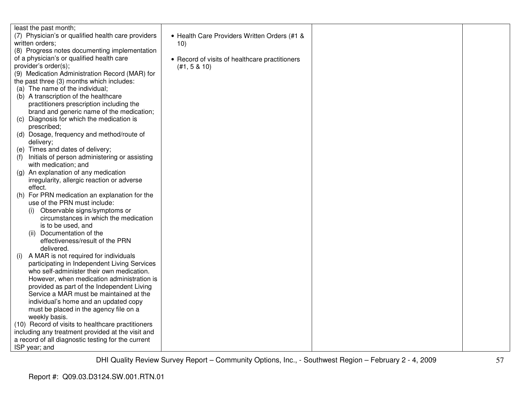| least the past month;                              |                                                |  |
|----------------------------------------------------|------------------------------------------------|--|
| (7) Physician's or qualified health care providers | • Health Care Providers Written Orders (#1 &   |  |
| written orders;                                    | 10)                                            |  |
| (8) Progress notes documenting implementation      |                                                |  |
|                                                    |                                                |  |
| of a physician's or qualified health care          | • Record of visits of healthcare practitioners |  |
| provider's order(s);                               | (#1, 5 & 10)                                   |  |
| (9) Medication Administration Record (MAR) for     |                                                |  |
| the past three (3) months which includes:          |                                                |  |
| (a) The name of the individual;                    |                                                |  |
| (b) A transcription of the healthcare              |                                                |  |
| practitioners prescription including the           |                                                |  |
| brand and generic name of the medication;          |                                                |  |
| (c) Diagnosis for which the medication is          |                                                |  |
| prescribed;                                        |                                                |  |
| (d) Dosage, frequency and method/route of          |                                                |  |
| delivery;                                          |                                                |  |
| (e) Times and dates of delivery;                   |                                                |  |
| Initials of person administering or assisting      |                                                |  |
| with medication; and                               |                                                |  |
| (g) An explanation of any medication               |                                                |  |
| irregularity, allergic reaction or adverse         |                                                |  |
| effect.                                            |                                                |  |
| (h) For PRN medication an explanation for the      |                                                |  |
| use of the PRN must include:                       |                                                |  |
| Observable signs/symptoms or<br>(i)                |                                                |  |
| circumstances in which the medication              |                                                |  |
| is to be used, and                                 |                                                |  |
| Documentation of the                               |                                                |  |
| (11)<br>effectiveness/result of the PRN            |                                                |  |
|                                                    |                                                |  |
| delivered.                                         |                                                |  |
| A MAR is not required for individuals<br>(i)       |                                                |  |
| participating in Independent Living Services       |                                                |  |
| who self-administer their own medication.          |                                                |  |
| However, when medication administration is         |                                                |  |
| provided as part of the Independent Living         |                                                |  |
| Service a MAR must be maintained at the            |                                                |  |
| individual's home and an updated copy              |                                                |  |
| must be placed in the agency file on a             |                                                |  |
| weekly basis.                                      |                                                |  |
| (10) Record of visits to healthcare practitioners  |                                                |  |
| including any treatment provided at the visit and  |                                                |  |
| a record of all diagnostic testing for the current |                                                |  |
| ISP year; and                                      |                                                |  |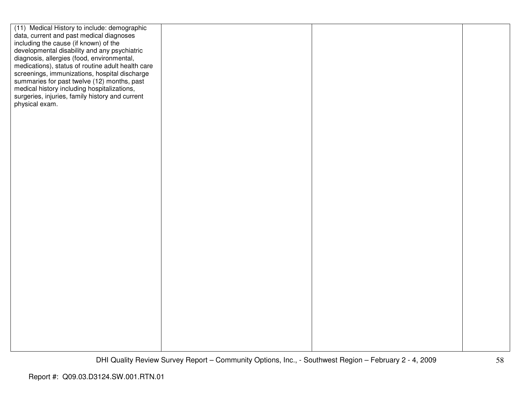| (11) Medical History to include: demographic      |  |  |
|---------------------------------------------------|--|--|
| data, current and past medical diagnoses          |  |  |
| including the cause (if known) of the             |  |  |
| developmental disability and any psychiatric      |  |  |
| diagnosis, allergies (food, environmental,        |  |  |
| medications), status of routine adult health care |  |  |
| screenings, immunizations, hospital discharge     |  |  |
| summaries for past twelve (12) months, past       |  |  |
| medical history including hospitalizations,       |  |  |
| surgeries, injuries, family history and current   |  |  |
| physical exam.                                    |  |  |
|                                                   |  |  |
|                                                   |  |  |
|                                                   |  |  |
|                                                   |  |  |
|                                                   |  |  |
|                                                   |  |  |
|                                                   |  |  |
|                                                   |  |  |
|                                                   |  |  |
|                                                   |  |  |
|                                                   |  |  |
|                                                   |  |  |
|                                                   |  |  |
|                                                   |  |  |
|                                                   |  |  |
|                                                   |  |  |
|                                                   |  |  |
|                                                   |  |  |
|                                                   |  |  |
|                                                   |  |  |
|                                                   |  |  |
|                                                   |  |  |
|                                                   |  |  |
|                                                   |  |  |
|                                                   |  |  |
|                                                   |  |  |
|                                                   |  |  |
|                                                   |  |  |
|                                                   |  |  |
|                                                   |  |  |
|                                                   |  |  |
|                                                   |  |  |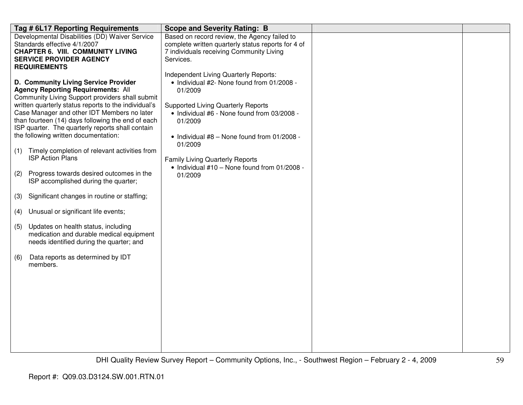|     | Tag # 6L17 Reporting Requirements                                                                   | <b>Scope and Severity Rating: B</b>                    |  |
|-----|-----------------------------------------------------------------------------------------------------|--------------------------------------------------------|--|
|     | Developmental Disabilities (DD) Waiver Service                                                      | Based on record review, the Agency failed to           |  |
|     | Standards effective 4/1/2007                                                                        | complete written quarterly status reports for 4 of     |  |
|     | <b>CHAPTER 6. VIII. COMMUNITY LIVING</b>                                                            | 7 individuals receiving Community Living               |  |
|     | <b>SERVICE PROVIDER AGENCY</b>                                                                      | Services.                                              |  |
|     | <b>REQUIREMENTS</b>                                                                                 |                                                        |  |
|     |                                                                                                     | Independent Living Quarterly Reports:                  |  |
|     | D. Community Living Service Provider                                                                | • Individual #2- None found from 01/2008 -             |  |
|     | <b>Agency Reporting Requirements: All</b>                                                           | 01/2009                                                |  |
|     | Community Living Support providers shall submit                                                     |                                                        |  |
|     | written quarterly status reports to the individual's<br>Case Manager and other IDT Members no later | <b>Supported Living Quarterly Reports</b>              |  |
|     | than fourteen (14) days following the end of each                                                   | • Individual #6 - None found from 03/2008 -<br>01/2009 |  |
|     | ISP quarter. The quarterly reports shall contain                                                    |                                                        |  |
|     | the following written documentation:                                                                | • Individual #8 - None found from 01/2008 -            |  |
|     |                                                                                                     | 01/2009                                                |  |
| (1) | Timely completion of relevant activities from                                                       |                                                        |  |
|     | <b>ISP Action Plans</b>                                                                             | <b>Family Living Quarterly Reports</b>                 |  |
|     |                                                                                                     | • Individual #10 - None found from 01/2008 -           |  |
| (2) | Progress towards desired outcomes in the                                                            | 01/2009                                                |  |
|     | ISP accomplished during the quarter;                                                                |                                                        |  |
| (3) | Significant changes in routine or staffing;                                                         |                                                        |  |
|     |                                                                                                     |                                                        |  |
|     | (4) Unusual or significant life events;                                                             |                                                        |  |
| (5) | Updates on health status, including                                                                 |                                                        |  |
|     | medication and durable medical equipment                                                            |                                                        |  |
|     | needs identified during the quarter; and                                                            |                                                        |  |
|     |                                                                                                     |                                                        |  |
| (6) | Data reports as determined by IDT<br>members.                                                       |                                                        |  |
|     |                                                                                                     |                                                        |  |
|     |                                                                                                     |                                                        |  |
|     |                                                                                                     |                                                        |  |
|     |                                                                                                     |                                                        |  |
|     |                                                                                                     |                                                        |  |
|     |                                                                                                     |                                                        |  |
|     |                                                                                                     |                                                        |  |
|     |                                                                                                     |                                                        |  |
|     |                                                                                                     |                                                        |  |
|     |                                                                                                     |                                                        |  |
|     |                                                                                                     |                                                        |  |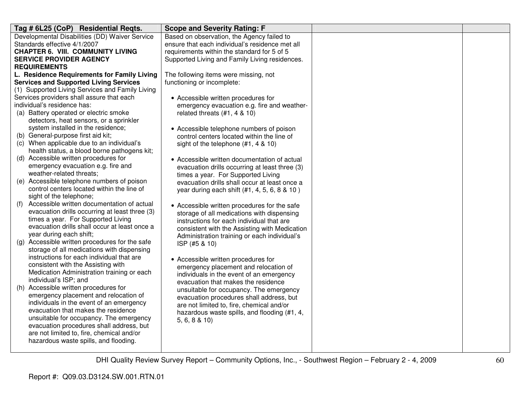| Tag # 6L25 (CoP) Residential Reqts.                                                 | <b>Scope and Severity Rating: F</b>             |  |
|-------------------------------------------------------------------------------------|-------------------------------------------------|--|
| Developmental Disabilities (DD) Waiver Service                                      | Based on observation, the Agency failed to      |  |
| Standards effective 4/1/2007                                                        | ensure that each individual's residence met all |  |
| <b>CHAPTER 6. VIII. COMMUNITY LIVING</b>                                            | requirements within the standard for 5 of 5     |  |
| <b>SERVICE PROVIDER AGENCY</b>                                                      | Supported Living and Family Living residences.  |  |
| <b>REQUIREMENTS</b>                                                                 |                                                 |  |
| L. Residence Requirements for Family Living                                         | The following items were missing, not           |  |
| <b>Services and Supported Living Services</b>                                       | functioning or incomplete:                      |  |
| (1) Supported Living Services and Family Living                                     |                                                 |  |
| Services providers shall assure that each                                           | • Accessible written procedures for             |  |
| individual's residence has:                                                         | emergency evacuation e.g. fire and weather-     |  |
| (a) Battery operated or electric smoke                                              | related threats $(#1, 4 \& 10)$                 |  |
| detectors, heat sensors, or a sprinkler                                             |                                                 |  |
| system installed in the residence;                                                  | • Accessible telephone numbers of poison        |  |
| (b) General-purpose first aid kit;                                                  | control centers located within the line of      |  |
| (c) When applicable due to an individual's                                          | sight of the telephone (#1, 4 & 10)             |  |
| health status, a blood borne pathogens kit;                                         |                                                 |  |
| (d) Accessible written procedures for                                               | • Accessible written documentation of actual    |  |
| emergency evacuation e.g. fire and                                                  | evacuation drills occurring at least three (3)  |  |
| weather-related threats;                                                            | times a year. For Supported Living              |  |
| (e) Accessible telephone numbers of poison                                          | evacuation drills shall occur at least once a   |  |
| control centers located within the line of                                          | year during each shift (#1, 4, 5, 6, 8 & 10)    |  |
| sight of the telephone;                                                             |                                                 |  |
| Accessible written documentation of actual<br>(f)                                   | • Accessible written procedures for the safe    |  |
| evacuation drills occurring at least three (3)                                      | storage of all medications with dispensing      |  |
| times a year. For Supported Living                                                  | instructions for each individual that are       |  |
| evacuation drills shall occur at least once a                                       | consistent with the Assisting with Medication   |  |
| year during each shift;                                                             | Administration training or each individual's    |  |
| (g) Accessible written procedures for the safe                                      | ISP (#5 & 10)                                   |  |
| storage of all medications with dispensing                                          |                                                 |  |
| instructions for each individual that are                                           | • Accessible written procedures for             |  |
| consistent with the Assisting with                                                  | emergency placement and relocation of           |  |
| Medication Administration training or each<br>individual's ISP; and                 | individuals in the event of an emergency        |  |
| (h) Accessible written procedures for                                               | evacuation that makes the residence             |  |
| emergency placement and relocation of                                               | unsuitable for occupancy. The emergency         |  |
| individuals in the event of an emergency                                            | evacuation procedures shall address, but        |  |
| evacuation that makes the residence                                                 | are not limited to, fire, chemical and/or       |  |
|                                                                                     | hazardous waste spills, and flooding (#1, 4,    |  |
| unsuitable for occupancy. The emergency<br>evacuation procedures shall address, but | 5, 6, 8 & 10                                    |  |
| are not limited to, fire, chemical and/or                                           |                                                 |  |
| hazardous waste spills, and flooding.                                               |                                                 |  |
|                                                                                     |                                                 |  |
|                                                                                     |                                                 |  |